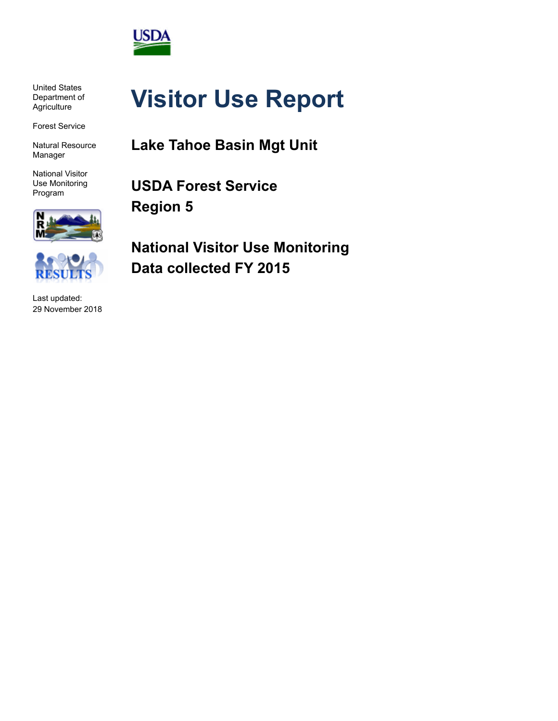

United States Department of **Agriculture** 

Forest Service

Natural Resource Manager

National Visitor Use Monitoring Program



Last updated: 29 November 2018

# **Visitor Use Report**

**Lake Tahoe Basin Mgt Unit**

**USDA Forest Service Region 5**

**National Visitor Use Monitoring Data collected FY 2015**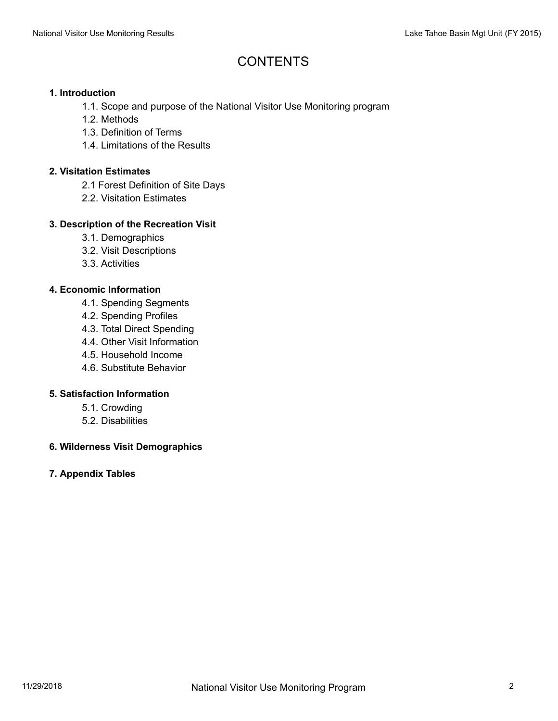## **CONTENTS**

#### **1. Introduction**

- 1.1. Scope and purpose of the National Visitor Use Monitoring program
- 1.2. Methods
- 1.3. Definition of Terms
- 1.4. Limitations of the Results

#### **2. Visitation Estimates**

- 2.1 Forest Definition of Site Days
- 2.2. Visitation Estimates

#### **3. Description of the Recreation Visit**

- 3.1. Demographics
- 3.2. Visit Descriptions
- 3.3. Activities

#### **4. Economic Information**

- 4.1. Spending Segments
- 4.2. Spending Profiles
- 4.3. Total Direct Spending
- 4.4. Other Visit Information
- 4.5. Household Income
- 4.6. Substitute Behavior

#### **5. Satisfaction Information**

- 5.1. Crowding
- 5.2. Disabilities

#### **6. Wilderness Visit Demographics**

#### **7. Appendix Tables**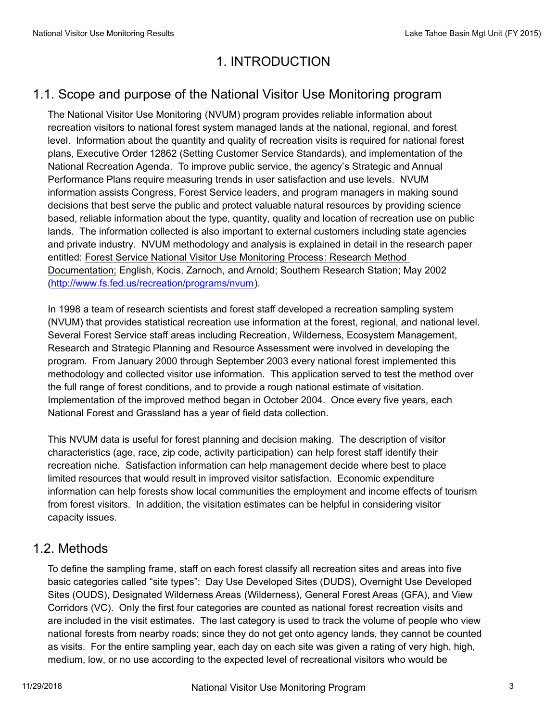## 1. INTRODUCTION

## 1.1. Scope and purpose of the National Visitor Use Monitoring program

The National Visitor Use Monitoring (NVUM) program provides reliable information about recreation visitors to national forest system managed lands at the national, regional, and forest level. Information about the quantity and quality of recreation visits is required for national forest plans, Executive Order 12862 (Setting Customer Service Standards), and implementation of the National Recreation Agenda. To improve public service, the agency's Strategic and Annual Performance Plans require measuring trends in user satisfaction and use levels. NVUM information assists Congress, Forest Service leaders, and program managers in making sound decisions that best serve the public and protect valuable natural resources by providing science based, reliable information about the type, quantity, quality and location of recreation use on public lands. The information collected is also important to external customers including state agencies and private industry. NVUM methodology and analysis is explained in detail in the research paper entitled: Forest Service National Visitor Use Monitoring Process: Research Method Documentation; English, Kocis, Zarnoch, and Arnold; Southern Research Station; May 2002 (http://www.fs.fed.us/recreation/programs/nvum).

In 1998 a team of research scientists and forest staff developed a recreation sampling system (NVUM) that provides statistical recreation use information at the forest, regional, and national level. Several Forest Service staff areas including Recreation, Wilderness, Ecosystem Management, Research and Strategic Planning and Resource Assessment were involved in developing the program. From January 2000 through September 2003 every national forest implemented this methodology and collected visitor use information. This application served to test the method over the full range of forest conditions, and to provide a rough national estimate of visitation. Implementation of the improved method began in October 2004. Once every five years, each National Forest and Grassland has a year of field data collection.

This NVUM data is useful for forest planning and decision making. The description of visitor characteristics (age, race, zip code, activity participation) can help forest staff identify their recreation niche. Satisfaction information can help management decide where best to place limited resources that would result in improved visitor satisfaction. Economic expenditure information can help forests show local communities the employment and income effects of tourism from forest visitors. In addition, the visitation estimates can be helpful in considering visitor capacity issues.

#### 1.2. Methods

To define the sampling frame, staff on each forest classify all recreation sites and areas into five basic categories called "site types": Day Use Developed Sites (DUDS), Overnight Use Developed Sites (OUDS), Designated Wilderness Areas (Wilderness), General Forest Areas (GFA), and View Corridors (VC). Only the first four categories are counted as national forest recreation visits and are included in the visit estimates. The last category is used to track the volume of people who view national forests from nearby roads; since they do not get onto agency lands, they cannot be counted as visits. For the entire sampling year, each day on each site was given a rating of very high, high, medium, low, or no use according to the expected level of recreational visitors who would be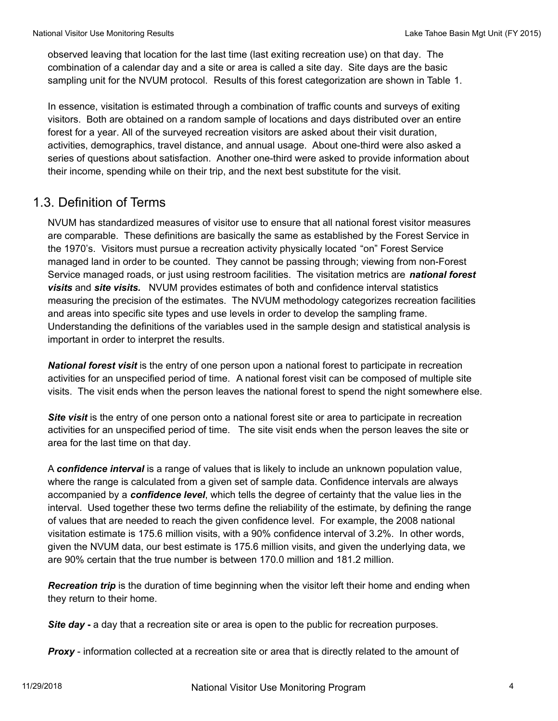observed leaving that location for the last time (last exiting recreation use) on that day. The combination of a calendar day and a site or area is called a site day. Site days are the basic sampling unit for the NVUM protocol. Results of this forest categorization are shown in Table 1.

In essence, visitation is estimated through a combination of traffic counts and surveys of exiting visitors. Both are obtained on a random sample of locations and days distributed over an entire forest for a year. All of the surveyed recreation visitors are asked about their visit duration, activities, demographics, travel distance, and annual usage. About one-third were also asked a series of questions about satisfaction. Another one-third were asked to provide information about their income, spending while on their trip, and the next best substitute for the visit.

#### 1.3. Definition of Terms

NVUM has standardized measures of visitor use to ensure that all national forest visitor measures are comparable. These definitions are basically the same as established by the Forest Service in the 1970's. Visitors must pursue a recreation activity physically located "on" Forest Service managed land in order to be counted. They cannot be passing through; viewing from non-Forest Service managed roads, or just using restroom facilities. The visitation metrics are *national forest visits* and *site visits.* NVUM provides estimates of both and confidence interval statistics measuring the precision of the estimates. The NVUM methodology categorizes recreation facilities and areas into specific site types and use levels in order to develop the sampling frame. Understanding the definitions of the variables used in the sample design and statistical analysis is important in order to interpret the results.

*National forest visit* is the entry of one person upon a national forest to participate in recreation activities for an unspecified period of time. A national forest visit can be composed of multiple site visits. The visit ends when the person leaves the national forest to spend the night somewhere else.

**Site visit** is the entry of one person onto a national forest site or area to participate in recreation activities for an unspecified period of time. The site visit ends when the person leaves the site or area for the last time on that day.

A *confidence interval* is a range of values that is likely to include an unknown population value, where the range is calculated from a given set of sample data. Confidence intervals are always accompanied by a *confidence level*, which tells the degree of certainty that the value lies in the interval. Used together these two terms define the reliability of the estimate, by defining the range of values that are needed to reach the given confidence level. For example, the 2008 national visitation estimate is 175.6 million visits, with a 90% confidence interval of 3.2%. In other words, given the NVUM data, our best estimate is 175.6 million visits, and given the underlying data, we are 90% certain that the true number is between 170.0 million and 181.2 million.

*Recreation trip* is the duration of time beginning when the visitor left their home and ending when they return to their home.

*Site day* **-** a day that a recreation site or area is open to the public for recreation purposes.

**Proxy** - information collected at a recreation site or area that is directly related to the amount of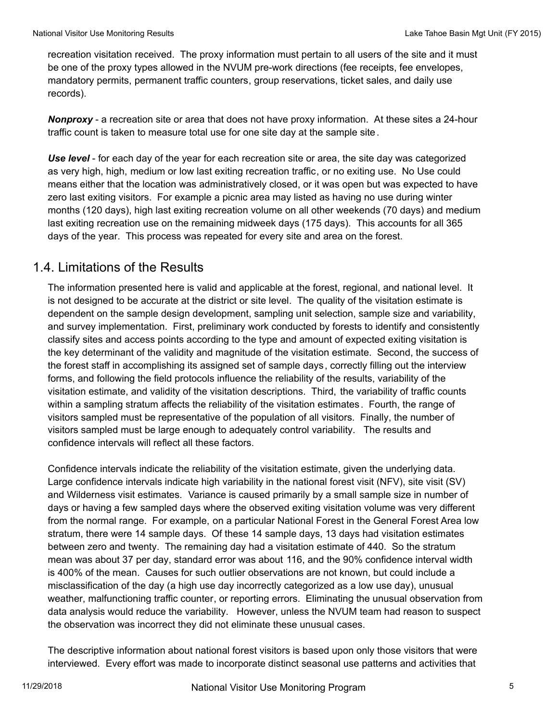recreation visitation received. The proxy information must pertain to all users of the site and it must be one of the proxy types allowed in the NVUM pre-work directions (fee receipts, fee envelopes, mandatory permits, permanent traffic counters, group reservations, ticket sales, and daily use records).

*Nonproxy* - a recreation site or area that does not have proxy information. At these sites a 24-hour traffic count is taken to measure total use for one site day at the sample site.

*Use level* - for each day of the year for each recreation site or area, the site day was categorized as very high, high, medium or low last exiting recreation traffic, or no exiting use. No Use could means either that the location was administratively closed, or it was open but was expected to have zero last exiting visitors. For example a picnic area may listed as having no use during winter months (120 days), high last exiting recreation volume on all other weekends (70 days) and medium last exiting recreation use on the remaining midweek days (175 days). This accounts for all 365 days of the year. This process was repeated for every site and area on the forest.

## 1.4. Limitations of the Results

The information presented here is valid and applicable at the forest, regional, and national level. It is not designed to be accurate at the district or site level. The quality of the visitation estimate is dependent on the sample design development, sampling unit selection, sample size and variability, and survey implementation. First, preliminary work conducted by forests to identify and consistently classify sites and access points according to the type and amount of expected exiting visitation is the key determinant of the validity and magnitude of the visitation estimate. Second, the success of the forest staff in accomplishing its assigned set of sample days, correctly filling out the interview forms, and following the field protocols influence the reliability of the results, variability of the visitation estimate, and validity of the visitation descriptions. Third, the variability of traffic counts within a sampling stratum affects the reliability of the visitation estimates. Fourth, the range of visitors sampled must be representative of the population of all visitors. Finally, the number of visitors sampled must be large enough to adequately control variability. The results and confidence intervals will reflect all these factors.

Confidence intervals indicate the reliability of the visitation estimate, given the underlying data. Large confidence intervals indicate high variability in the national forest visit (NFV), site visit (SV) and Wilderness visit estimates. Variance is caused primarily by a small sample size in number of days or having a few sampled days where the observed exiting visitation volume was very different from the normal range. For example, on a particular National Forest in the General Forest Area low stratum, there were 14 sample days. Of these 14 sample days, 13 days had visitation estimates between zero and twenty. The remaining day had a visitation estimate of 440. So the stratum mean was about 37 per day, standard error was about 116, and the 90% confidence interval width is 400% of the mean. Causes for such outlier observations are not known, but could include a misclassification of the day (a high use day incorrectly categorized as a low use day), unusual weather, malfunctioning traffic counter, or reporting errors. Eliminating the unusual observation from data analysis would reduce the variability. However, unless the NVUM team had reason to suspect the observation was incorrect they did not eliminate these unusual cases.

The descriptive information about national forest visitors is based upon only those visitors that were interviewed. Every effort was made to incorporate distinct seasonal use patterns and activities that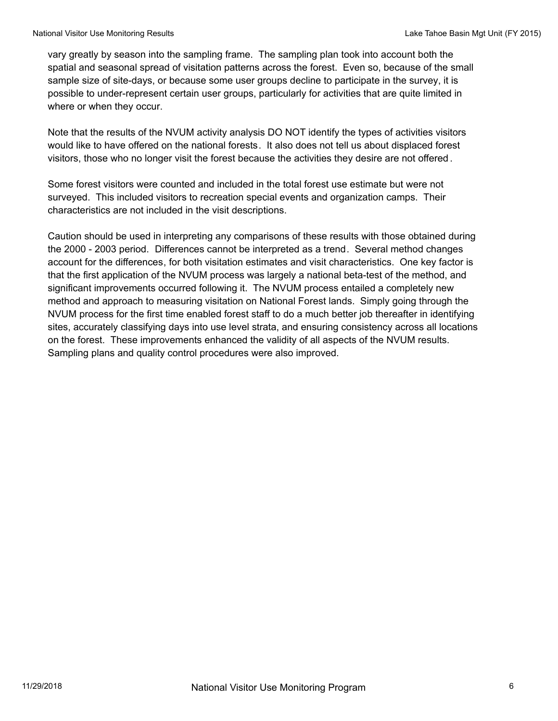vary greatly by season into the sampling frame. The sampling plan took into account both the spatial and seasonal spread of visitation patterns across the forest. Even so, because of the small sample size of site-days, or because some user groups decline to participate in the survey, it is possible to under-represent certain user groups, particularly for activities that are quite limited in where or when they occur.

Note that the results of the NVUM activity analysis DO NOT identify the types of activities visitors would like to have offered on the national forests. It also does not tell us about displaced forest visitors, those who no longer visit the forest because the activities they desire are not offered .

Some forest visitors were counted and included in the total forest use estimate but were not surveyed. This included visitors to recreation special events and organization camps. Their characteristics are not included in the visit descriptions.

Caution should be used in interpreting any comparisons of these results with those obtained during the 2000 - 2003 period. Differences cannot be interpreted as a trend. Several method changes account for the differences, for both visitation estimates and visit characteristics. One key factor is that the first application of the NVUM process was largely a national beta-test of the method, and significant improvements occurred following it. The NVUM process entailed a completely new method and approach to measuring visitation on National Forest lands. Simply going through the NVUM process for the first time enabled forest staff to do a much better job thereafter in identifying sites, accurately classifying days into use level strata, and ensuring consistency across all locations on the forest. These improvements enhanced the validity of all aspects of the NVUM results. Sampling plans and quality control procedures were also improved.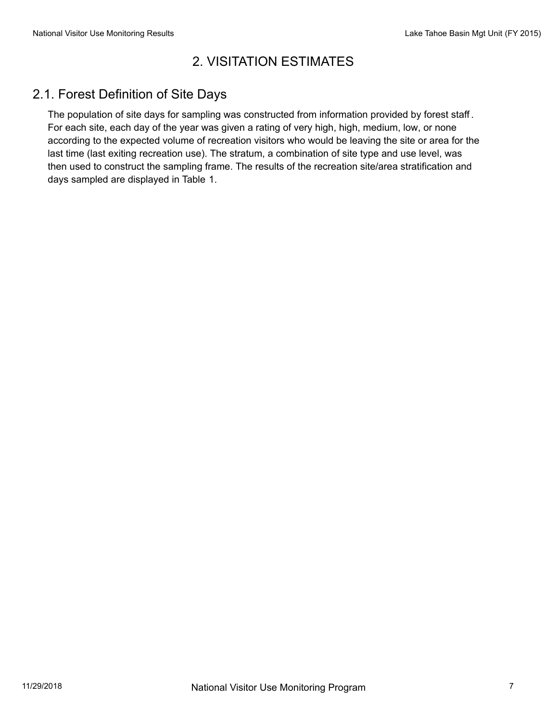## 2. VISITATION ESTIMATES

## 2.1. Forest Definition of Site Days

The population of site days for sampling was constructed from information provided by forest staff . For each site, each day of the year was given a rating of very high, high, medium, low, or none according to the expected volume of recreation visitors who would be leaving the site or area for the last time (last exiting recreation use). The stratum, a combination of site type and use level, was then used to construct the sampling frame. The results of the recreation site/area stratification and days sampled are displayed in Table 1.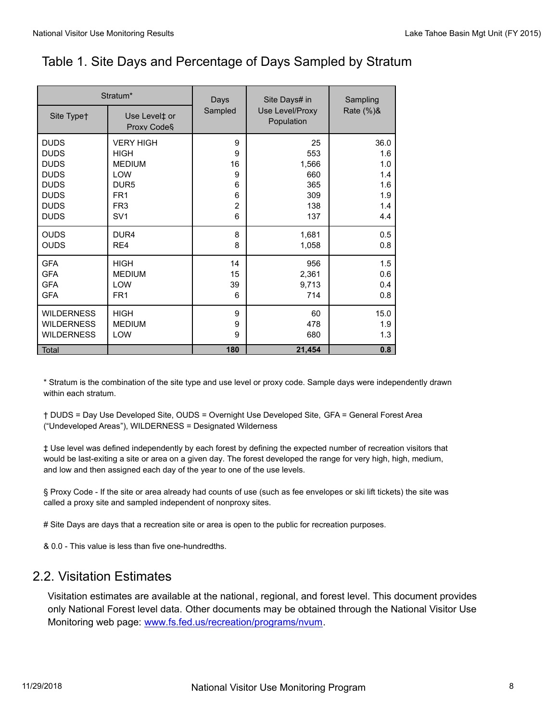# Table 1. Site Days and Percentage of Days Sampled by Stratum

| Stratum*                                                             |                                          | Days               | Site Days# in                 | Sampling                  |  |
|----------------------------------------------------------------------|------------------------------------------|--------------------|-------------------------------|---------------------------|--|
| Site Typet                                                           | Use Level‡ or<br>Proxy Code <sup>§</sup> | Sampled            | Use Level/Proxy<br>Population | Rate (%)&                 |  |
| <b>DUDS</b>                                                          | <b>VERY HIGH</b>                         | 9                  | 25                            | 36.0                      |  |
| <b>DUDS</b>                                                          | <b>HIGH</b>                              | 9                  | 553                           | 1.6                       |  |
| <b>DUDS</b>                                                          | <b>MEDIUM</b>                            | 16                 | 1,566                         | 1.0                       |  |
| <b>DUDS</b>                                                          | <b>LOW</b>                               | 9                  | 660                           | 1.4                       |  |
| <b>DUDS</b>                                                          | DUR <sub>5</sub>                         | 6                  | 365                           | 1.6                       |  |
| <b>DUDS</b>                                                          | FR <sub>1</sub>                          | 6                  | 309                           | 1.9                       |  |
| <b>DUDS</b>                                                          | FR <sub>3</sub>                          | $\overline{2}$     | 138                           | 1.4                       |  |
| <b>DUDS</b>                                                          | SV <sub>1</sub>                          | 6                  | 137                           | 4.4                       |  |
| <b>OUDS</b>                                                          | DUR <sub>4</sub>                         | 8                  | 1,681                         | 0.5                       |  |
| <b>OUDS</b>                                                          | RE4                                      | 8                  | 1,058                         | 0.8                       |  |
| <b>GFA</b>                                                           | <b>HIGH</b>                              | 14                 | 956                           | 1.5                       |  |
| <b>GFA</b>                                                           | <b>MEDIUM</b>                            | 15                 | 2,361                         | 0.6                       |  |
| <b>GFA</b>                                                           | LOW                                      | 39                 | 9,713                         | 0.4                       |  |
| <b>GFA</b>                                                           | FR <sub>1</sub>                          | 6                  | 714                           | 0.8                       |  |
| <b>WILDERNESS</b><br><b>WILDERNESS</b><br><b>WILDERNESS</b><br>Total | <b>HIGH</b><br><b>MEDIUM</b><br>LOW      | 9<br>9<br>9<br>180 | 60<br>478<br>680<br>21,454    | 15.0<br>1.9<br>1.3<br>0.8 |  |

\* Stratum is the combination of the site type and use level or proxy code. Sample days were independently drawn within each stratum.

† DUDS = Day Use Developed Site, OUDS = Overnight Use Developed Site, GFA = General Forest Area ("Undeveloped Areas"), WILDERNESS = Designated Wilderness

‡ Use level was defined independently by each forest by defining the expected number of recreation visitors that would be last-exiting a site or area on a given day. The forest developed the range for very high, high, medium, and low and then assigned each day of the year to one of the use levels.

§ Proxy Code - If the site or area already had counts of use (such as fee envelopes or ski lift tickets) the site was called a proxy site and sampled independent of nonproxy sites.

# Site Days are days that a recreation site or area is open to the public for recreation purposes.

& 0.0 - This value is less than five one-hundredths.

#### 2.2. Visitation Estimates

Visitation estimates are available at the national, regional, and forest level. This document provides only National Forest level data. Other documents may be obtained through the National Visitor Use Monitoring web page: www.fs.fed.us/recreation/programs/nvum.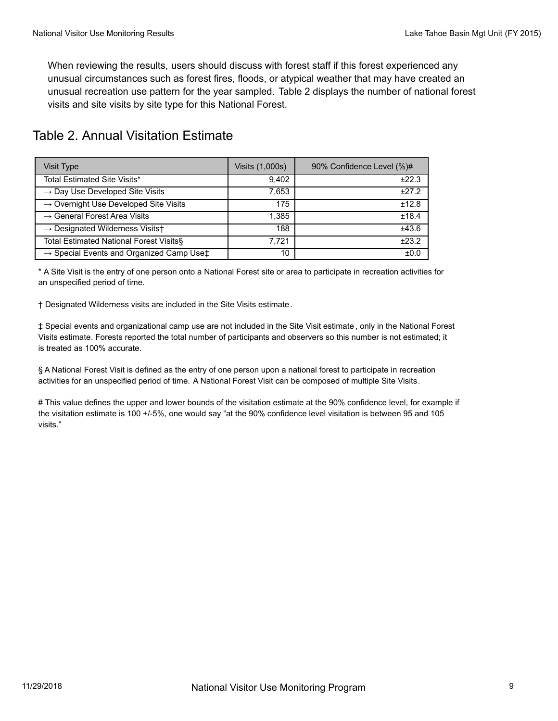When reviewing the results, users should discuss with forest staff if this forest experienced any unusual circumstances such as forest fires, floods, or atypical weather that may have created an unusual recreation use pattern for the year sampled. Table 2 displays the number of national forest visits and site visits by site type for this National Forest.

| Visit Type                                                     | Visits (1,000s) | 90% Confidence Level (%)# |
|----------------------------------------------------------------|-----------------|---------------------------|
| Total Estimated Site Visits*                                   | 9.402           | ±22.3                     |
| $\rightarrow$ Day Use Developed Site Visits                    | 7,653           | ±27.2                     |
| $\rightarrow$ Overnight Use Developed Site Visits              | 175             | ±12.8                     |
| $\rightarrow$ General Forest Area Visits                       | 1,385           | ±18.4                     |
| $\rightarrow$ Designated Wilderness Visits+                    | 188             | ±43.6                     |
| Total Estimated National Forest Visits§                        | 7.721           | ±23.2                     |
| $\rightarrow$ Special Events and Organized Camp Use $\ddagger$ | 10              | ±0.0                      |

# Table 2. Annual Visitation Estimate

\* A Site Visit is the entry of one person onto a National Forest site or area to participate in recreation activities for an unspecified period of time.

† Designated Wilderness visits are included in the Site Visits estimate.

‡ Special events and organizational camp use are not included in the Site Visit estimate , only in the National Forest Visits estimate. Forests reported the total number of participants and observers so this number is not estimated; it is treated as 100% accurate.

§ A National Forest Visit is defined as the entry of one person upon a national forest to participate in recreation activities for an unspecified period of time. A National Forest Visit can be composed of multiple Site Visits.

# This value defines the upper and lower bounds of the visitation estimate at the 90% confidence level, for example if the visitation estimate is 100 +/-5%, one would say "at the 90% confidence level visitation is between 95 and 105 visits."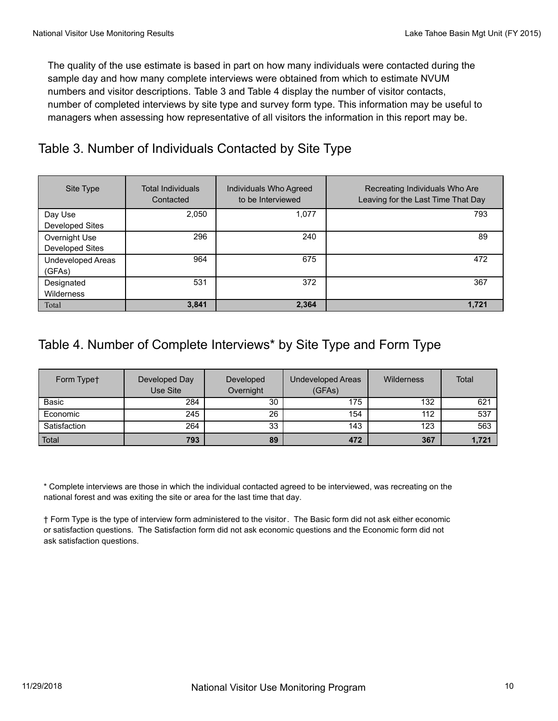The quality of the use estimate is based in part on how many individuals were contacted during the sample day and how many complete interviews were obtained from which to estimate NVUM numbers and visitor descriptions. Table 3 and Table 4 display the number of visitor contacts, number of completed interviews by site type and survey form type. This information may be useful to managers when assessing how representative of all visitors the information in this report may be.

## Table 3. Number of Individuals Contacted by Site Type

| Site Type                               | <b>Total Individuals</b><br>Contacted | Individuals Who Agreed<br>to be Interviewed | Recreating Individuals Who Are<br>Leaving for the Last Time That Day |
|-----------------------------------------|---------------------------------------|---------------------------------------------|----------------------------------------------------------------------|
| Day Use<br>Developed Sites              | 2,050                                 | 1,077                                       | 793                                                                  |
| Overnight Use<br><b>Developed Sites</b> | 296                                   | 240                                         | 89                                                                   |
| Undeveloped Areas<br>(GFAs)             | 964                                   | 675                                         | 472                                                                  |
| Designated<br>Wilderness                | 531                                   | 372                                         | 367                                                                  |
| Total                                   | 3,841                                 | 2,364                                       | 1.721                                                                |

## Table 4. Number of Complete Interviews\* by Site Type and Form Type

| Form Typet   | Developed Day<br>Use Site | Developed<br>Overnight | Undeveloped Areas<br>(GFAs) | Wilderness | Total |
|--------------|---------------------------|------------------------|-----------------------------|------------|-------|
| Basic        | 284                       | 30                     | 175                         | 132        | 621   |
| Economic     | 245                       | 26                     | 154                         | 112        | 537   |
| Satisfaction | 264                       | 33                     | 143                         | 123        | 563   |
| Total        | 793                       | 89                     | 472                         | 367        | 1,721 |

\* Complete interviews are those in which the individual contacted agreed to be interviewed, was recreating on the national forest and was exiting the site or area for the last time that day.

† Form Type is the type of interview form administered to the visitor. The Basic form did not ask either economic or satisfaction questions. The Satisfaction form did not ask economic questions and the Economic form did not ask satisfaction questions.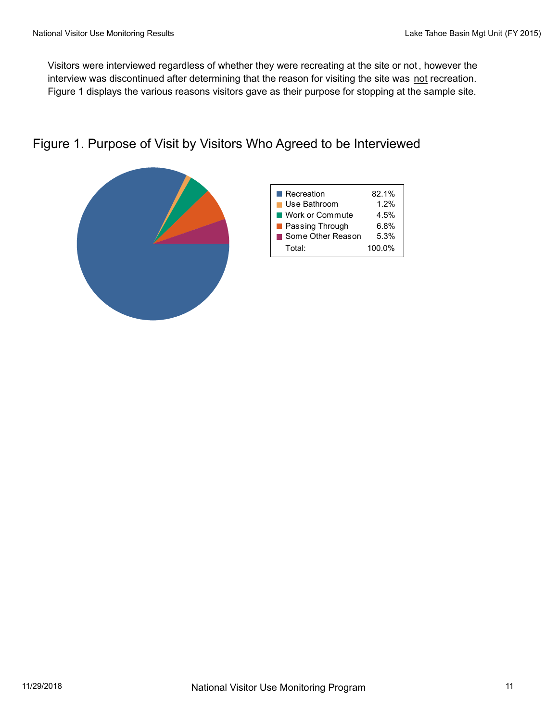Visitors were interviewed regardless of whether they were recreating at the site or not, however the interview was discontinued after determining that the reason for visiting the site was not recreation. Figure 1 displays the various reasons visitors gave as their purpose for stopping at the sample site.

### Figure 1. Purpose of Visit by Visitors Who Agreed to be Interviewed

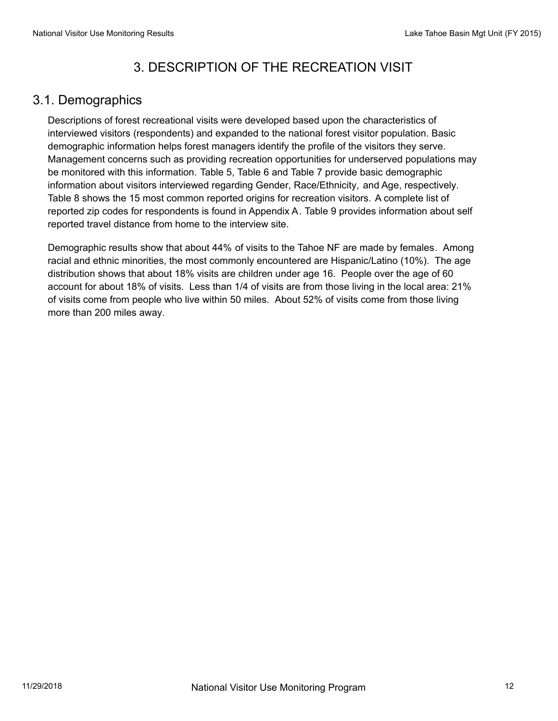# 3. DESCRIPTION OF THE RECREATION VISIT

#### 3.1. Demographics

Descriptions of forest recreational visits were developed based upon the characteristics of interviewed visitors (respondents) and expanded to the national forest visitor population. Basic demographic information helps forest managers identify the profile of the visitors they serve. Management concerns such as providing recreation opportunities for underserved populations may be monitored with this information. Table 5, Table 6 and Table 7 provide basic demographic information about visitors interviewed regarding Gender, Race/Ethnicity, and Age, respectively. Table 8 shows the 15 most common reported origins for recreation visitors. A complete list of reported zip codes for respondents is found in Appendix A. Table 9 provides information about self reported travel distance from home to the interview site.

Demographic results show that about 44% of visits to the Tahoe NF are made by females. Among racial and ethnic minorities, the most commonly encountered are Hispanic/Latino (10%). The age distribution shows that about 18% visits are children under age 16. People over the age of 60 account for about 18% of visits. Less than 1/4 of visits are from those living in the local area: 21% of visits come from people who live within 50 miles. About 52% of visits come from those living more than 200 miles away.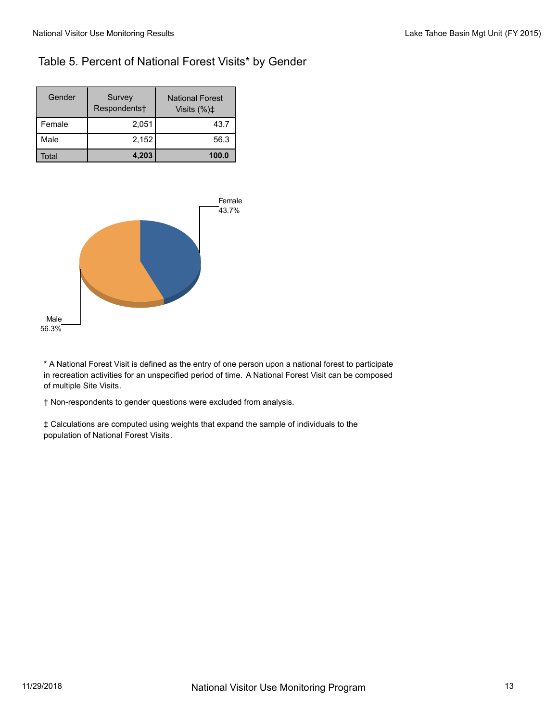#### Table 5. Percent of National Forest Visits\* by Gender

| Gender | Survey<br>Respondents† | <b>National Forest</b><br>Visits $(\%)\ddagger$ |
|--------|------------------------|-------------------------------------------------|
| Female | 2,051                  | 43.7                                            |
| Male   | 2,152                  | 56.3                                            |
| Total  | 4,203                  | 100.0                                           |



\* A National Forest Visit is defined as the entry of one person upon a national forest to participate in recreation activities for an unspecified period of time. A National Forest Visit can be composed of multiple Site Visits.

† Non-respondents to gender questions were excluded from analysis.

‡ Calculations are computed using weights that expand the sample of individuals to the population of National Forest Visits.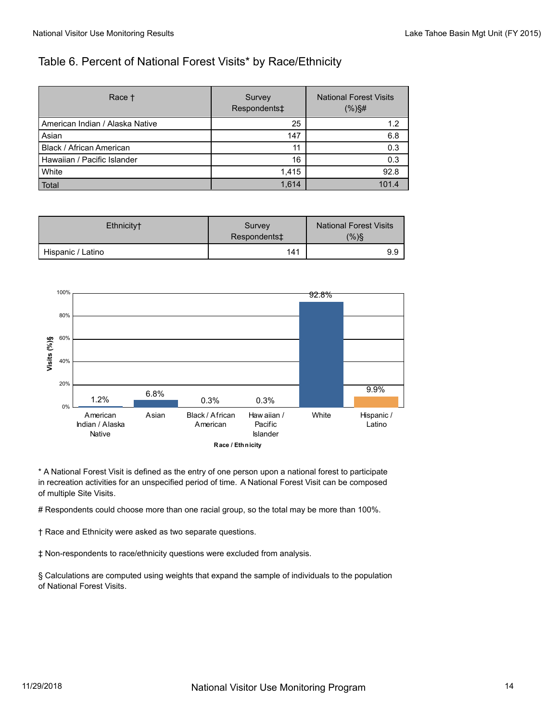#### Table 6. Percent of National Forest Visits\* by Race/Ethnicity

| Race +                            | Survey<br>Respondents‡ | <b>National Forest Visits</b><br>$(% )\$ # |
|-----------------------------------|------------------------|--------------------------------------------|
| l American Indian / Alaska Native | 25                     | 1.2                                        |
| Asian                             | 147                    | 6.8                                        |
| Black / African American          | 11                     | 0.3                                        |
| l Hawaiian / Pacific Islander     | 16                     | 0.3                                        |
| <b>White</b>                      | 1,415                  | 92.8                                       |
| Total                             | 1,614                  | 101.4                                      |

| Ethnicity <sup>+</sup> | Survey<br>Respondents‡ | <b>National Forest Visits</b><br>$(% )\$ |
|------------------------|------------------------|------------------------------------------|
| Hispanic / Latino      | 141                    | 9.9                                      |



\* A National Forest Visit is defined as the entry of one person upon a national forest to participate in recreation activities for an unspecified period of time. A National Forest Visit can be composed of multiple Site Visits.

# Respondents could choose more than one racial group, so the total may be more than 100%.

† Race and Ethnicity were asked as two separate questions.

‡ Non-respondents to race/ethnicity questions were excluded from analysis.

§ Calculations are computed using weights that expand the sample of individuals to the population of National Forest Visits.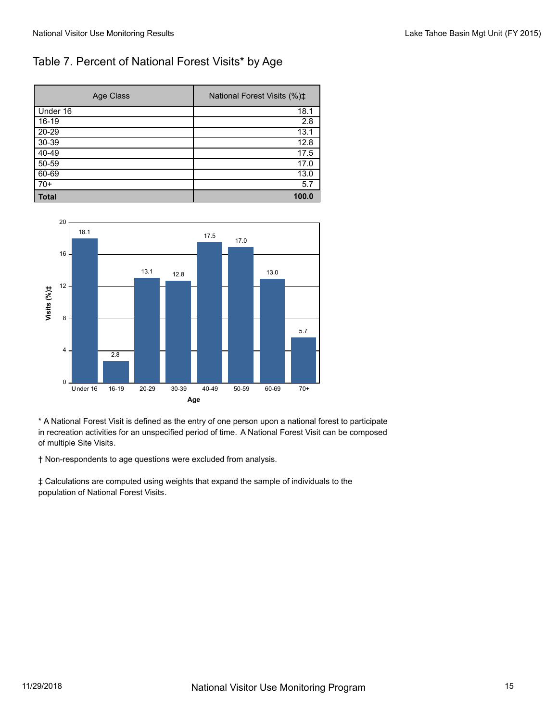#### Table 7. Percent of National Forest Visits\* by Age

| Age Class    | National Forest Visits (%) <sup>±</sup> |
|--------------|-----------------------------------------|
| Under 16     | 18.1                                    |
| $16-19$      | 2.8                                     |
| $20 - 29$    | 13.1                                    |
| $30 - 39$    | 12.8                                    |
| $40 - 49$    | 17.5                                    |
| $50 - 59$    | 17.0                                    |
| 60-69        | 13.0                                    |
| $70+$        | 5.7                                     |
| <b>Total</b> | 100.0                                   |



\* A National Forest Visit is defined as the entry of one person upon a national forest to participate in recreation activities for an unspecified period of time. A National Forest Visit can be composed of multiple Site Visits.

† Non-respondents to age questions were excluded from analysis.

‡ Calculations are computed using weights that expand the sample of individuals to the population of National Forest Visits.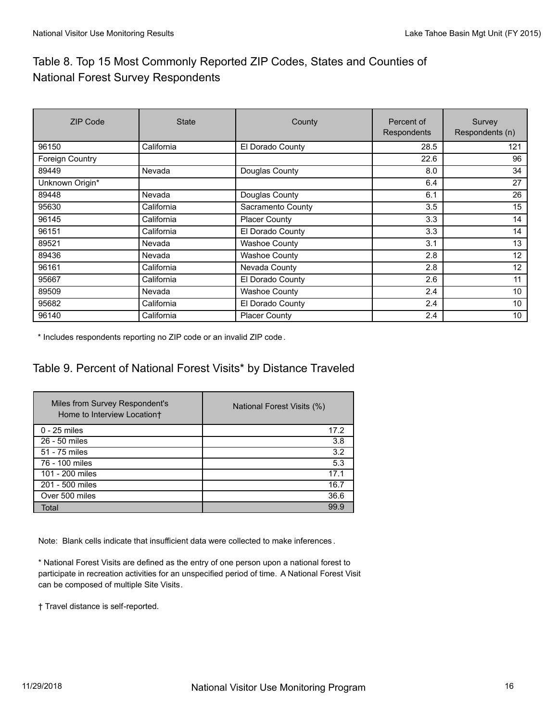## Table 8. Top 15 Most Commonly Reported ZIP Codes, States and Counties of National Forest Survey Respondents

| <b>ZIP Code</b> | <b>State</b> | County               | Percent of<br>Respondents | Survey<br>Respondents (n) |
|-----------------|--------------|----------------------|---------------------------|---------------------------|
| 96150           | California   | El Dorado County     | 28.5                      | 121                       |
| Foreign Country |              |                      | 22.6                      | 96                        |
| 89449           | Nevada       | Douglas County       | 8.0                       | 34                        |
| Unknown Origin* |              |                      | 6.4                       | 27                        |
| 89448           | Nevada       | Douglas County       | 6.1                       | 26                        |
| 95630           | California   | Sacramento County    | 3.5                       | 15                        |
| 96145           | California   | <b>Placer County</b> | 3.3                       | 14                        |
| 96151           | California   | El Dorado County     | 3.3                       | 14                        |
| 89521           | Nevada       | <b>Washoe County</b> | 3.1                       | 13                        |
| 89436           | Nevada       | <b>Washoe County</b> | 2.8                       | 12                        |
| 96161           | California   | Nevada County        | 2.8                       | 12                        |
| 95667           | California   | El Dorado County     | 2.6                       | 11                        |
| 89509           | Nevada       | <b>Washoe County</b> | 2.4                       | 10                        |
| 95682           | California   | El Dorado County     | 2.4                       | 10                        |
| 96140           | California   | <b>Placer County</b> | 2.4                       | 10 <sup>°</sup>           |

\* Includes respondents reporting no ZIP code or an invalid ZIP code.

#### Table 9. Percent of National Forest Visits\* by Distance Traveled

| Miles from Survey Respondent's<br>Home to Interview Location+ | National Forest Visits (%) |
|---------------------------------------------------------------|----------------------------|
| $0 - 25$ miles                                                | 17.2                       |
| 26 - 50 miles                                                 | 3.8                        |
| 51 - 75 miles                                                 | 3.2                        |
| 76 - 100 miles                                                | 5.3                        |
| 101 - 200 miles                                               | 17.1                       |
| 201 - 500 miles                                               | 16.7                       |
| Over 500 miles                                                | 36.6                       |
| Total                                                         | 99.9                       |

Note: Blank cells indicate that insufficient data were collected to make inferences .

\* National Forest Visits are defined as the entry of one person upon a national forest to participate in recreation activities for an unspecified period of time. A National Forest Visit can be composed of multiple Site Visits.

† Travel distance is self-reported.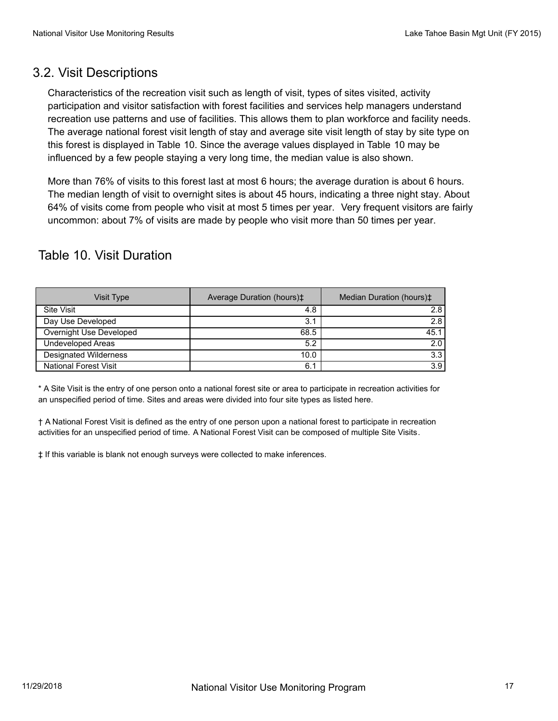#### 3.2. Visit Descriptions

Characteristics of the recreation visit such as length of visit, types of sites visited, activity participation and visitor satisfaction with forest facilities and services help managers understand recreation use patterns and use of facilities. This allows them to plan workforce and facility needs. The average national forest visit length of stay and average site visit length of stay by site type on this forest is displayed in Table 10. Since the average values displayed in Table 10 may be influenced by a few people staying a very long time, the median value is also shown.

More than 76% of visits to this forest last at most 6 hours; the average duration is about 6 hours. The median length of visit to overnight sites is about 45 hours, indicating a three night stay. About 64% of visits come from people who visit at most 5 times per year. Very frequent visitors are fairly uncommon: about 7% of visits are made by people who visit more than 50 times per year.

## Table 10. Visit Duration

| Visit Type                   | Average Duration (hours) <sup><math>\pm</math></sup> | Median Duration (hours) <sup>±</sup> |
|------------------------------|------------------------------------------------------|--------------------------------------|
| Site Visit                   | 4.8                                                  | 2.8                                  |
| Day Use Developed            | 3.1                                                  | 2.8                                  |
| Overnight Use Developed      | 68.5                                                 | 45.1                                 |
| Undeveloped Areas            | 5.2                                                  | 2.0                                  |
| Designated Wilderness        | 10.0                                                 | 3.3                                  |
| <b>National Forest Visit</b> | 6.1                                                  | 3.9                                  |

\* A Site Visit is the entry of one person onto a national forest site or area to participate in recreation activities for an unspecified period of time. Sites and areas were divided into four site types as listed here.

† A National Forest Visit is defined as the entry of one person upon a national forest to participate in recreation activities for an unspecified period of time. A National Forest Visit can be composed of multiple Site Visits.

‡ If this variable is blank not enough surveys were collected to make inferences.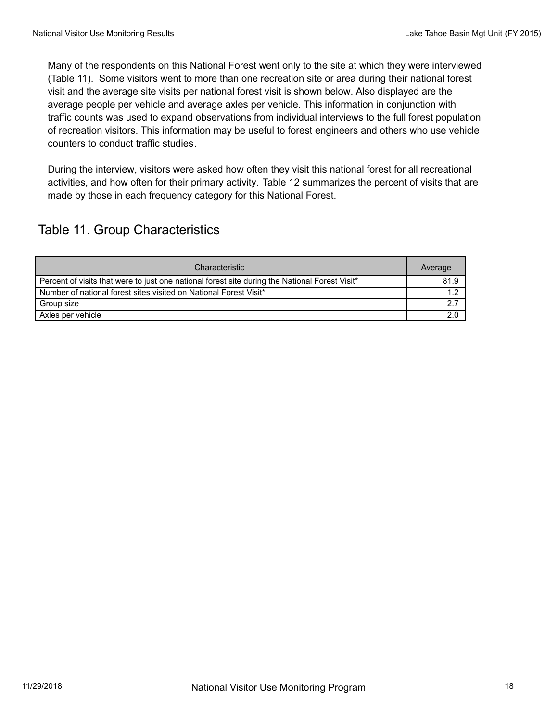Many of the respondents on this National Forest went only to the site at which they were interviewed (Table 11). Some visitors went to more than one recreation site or area during their national forest visit and the average site visits per national forest visit is shown below. Also displayed are the average people per vehicle and average axles per vehicle. This information in conjunction with traffic counts was used to expand observations from individual interviews to the full forest population of recreation visitors. This information may be useful to forest engineers and others who use vehicle counters to conduct traffic studies.

During the interview, visitors were asked how often they visit this national forest for all recreational activities, and how often for their primary activity. Table 12 summarizes the percent of visits that are made by those in each frequency category for this National Forest.

## Table 11. Group Characteristics

| Characteristic                                                                                 | Average       |
|------------------------------------------------------------------------------------------------|---------------|
| Percent of visits that were to just one national forest site during the National Forest Visit* | 81.9          |
| Number of national forest sites visited on National Forest Visit*                              | 1 າ           |
| Group size                                                                                     | $\mathcal{P}$ |
| Axles per vehicle                                                                              | 2.0           |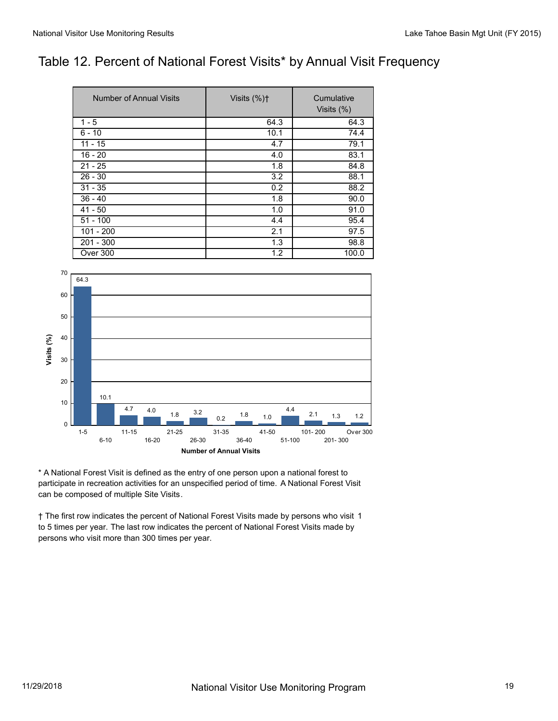## Table 12. Percent of National Forest Visits\* by Annual Visit Frequency

| Number of Annual Visits | Visits $(%)$ <sup><math>\dagger</math></sup> | Cumulative<br>Visits (%) |
|-------------------------|----------------------------------------------|--------------------------|
| $1 - 5$                 | 64.3                                         | 64.3                     |
| $6 - 10$                | 10.1                                         | 74.4                     |
| $11 - 15$               | 4.7                                          | 79.1                     |
| $16 - 20$               | 4.0                                          | 83.1                     |
| $21 - 25$               | 1.8                                          | 84.8                     |
| $26 - 30$               | 3.2                                          | 88.1                     |
| $31 - 35$               | 0.2                                          | 88.2                     |
| $36 - 40$               | 1.8                                          | 90.0                     |
| $41 - 50$               | 1.0                                          | 91.0                     |
| $51 - 100$              | 4.4                                          | 95.4                     |
| $101 - 200$             | 2.1                                          | 97.5                     |
| $201 - 300$             | 1.3                                          | 98.8                     |
| Over 300                | 1.2                                          | 100.0                    |



\* A National Forest Visit is defined as the entry of one person upon a national forest to participate in recreation activities for an unspecified period of time. A National Forest Visit can be composed of multiple Site Visits.

† The first row indicates the percent of National Forest Visits made by persons who visit 1 to 5 times per year. The last row indicates the percent of National Forest Visits made by persons who visit more than 300 times per year.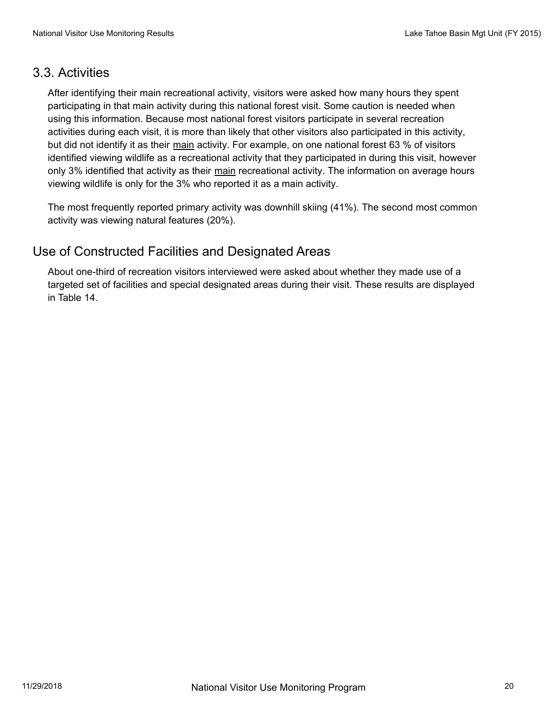#### 3.3. Activities

After identifying their main recreational activity, visitors were asked how many hours they spent participating in that main activity during this national forest visit. Some caution is needed when using this information. Because most national forest visitors participate in several recreation activities during each visit, it is more than likely that other visitors also participated in this activity, but did not identify it as their main activity. For example, on one national forest 63 % of visitors identified viewing wildlife as a recreational activity that they participated in during this visit, however only 3% identified that activity as their main recreational activity. The information on average hours viewing wildlife is only for the 3% who reported it as a main activity.

The most frequently reported primary activity was downhill skiing (41%). The second most common activity was viewing natural features (20%).

## Use of Constructed Facilities and Designated Areas

About one-third of recreation visitors interviewed were asked about whether they made use of a targeted set of facilities and special designated areas during their visit. These results are displayed in Table 14.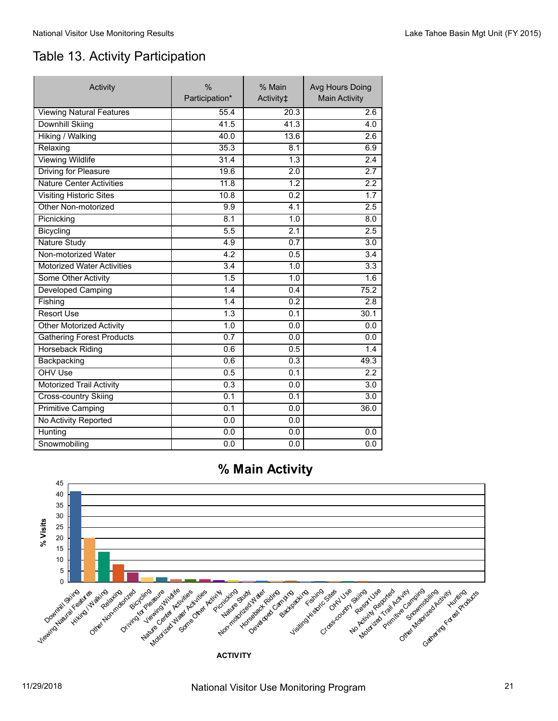# Table 13. Activity Participation

| Activity                          | $\frac{0}{0}$<br>Participation* | % Main<br>Activity <sup>‡</sup> |                  |
|-----------------------------------|---------------------------------|---------------------------------|------------------|
| <b>Viewing Natural Features</b>   | 55.4                            | 20.3                            | 2.6              |
| <b>Downhill Skiing</b>            | 41.5                            | 41.3                            | 4.0              |
| <b>Hiking / Walking</b>           | 40.0                            | 13.6                            | 2.6              |
| Relaxing                          | 35.3                            | 8.1                             | 6.9              |
| <b>Viewing Wildlife</b>           | 31.4                            | 1.3                             | 2.4              |
| <b>Driving for Pleasure</b>       | 19.6                            | $\overline{2.0}$                | $\overline{2.7}$ |
| <b>Nature Center Activities</b>   | 11.8                            | 1.2                             | 2.2              |
| <b>Visiting Historic Sites</b>    | 10.8                            | 0.2                             | $\overline{1.7}$ |
| Other Non-motorized               | 9.9                             | 4.1                             | 2.5              |
| Picnicking                        | 8.1                             | 1.0                             | 8.0              |
| Bicycling                         | 5.5                             | $\overline{2.1}$                | 2.5              |
| <b>Nature Study</b>               | 4.9                             | 0.7                             | 3.0              |
| Non-motorized Water               | $\overline{4.2}$                | 0.5                             | 3.4              |
| <b>Motorized Water Activities</b> | 3.4                             | 1.0                             | 3.3              |
| Some Other Activity               | 1.5                             | 1.0                             | 1.6              |
| Developed Camping                 | 1.4                             | 0.4                             | 75.2             |
| Fishing                           | 1.4                             | 0.2                             | 2.8              |
| <b>Resort Use</b>                 | $\overline{1.3}$                | 0.1                             | 30.1             |
| <b>Other Motorized Activity</b>   | 1.0                             | 0.0                             | 0.0              |
| <b>Gathering Forest Products</b>  | 0.7                             | 0.0                             | 0.0              |
| <b>Horseback Riding</b>           | 0.6                             | 0.5                             | 1.4              |
| Backpacking                       | 0.6                             | 0.3                             | 49.3             |
| OHV Use                           | 0.5                             | $\overline{0.1}$                | 2.2              |
| <b>Motorized Trail Activity</b>   | 0.3                             | 0.0                             | 3.0              |
| <b>Cross-country Skiing</b>       | 0.1                             | 0.1                             | $\overline{3.0}$ |
| <b>Primitive Camping</b>          | 0.1                             | 0.0                             | 36.0             |
| No Activity Reported              | 0.0                             | 0.0                             |                  |
| Hunting                           | 0.0                             | 0.0                             | 0.0              |
| Snowmobiling                      | 0.0                             | 0.0                             | 0.0              |



**ACTIVITY**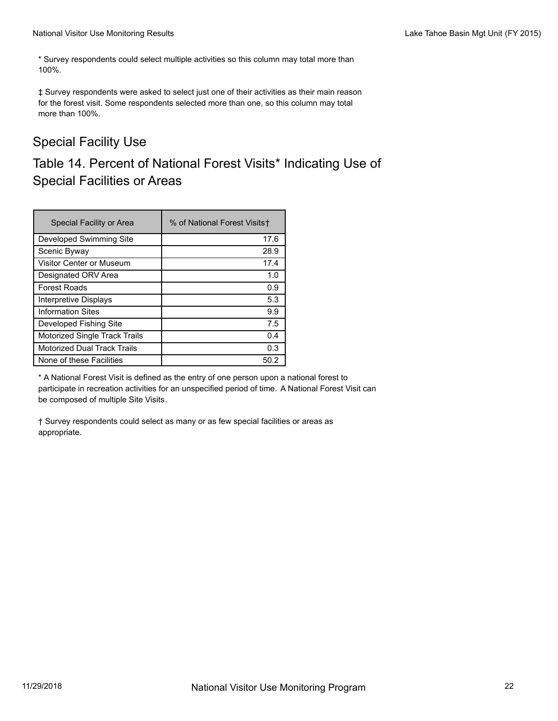\* Survey respondents could select multiple activities so this column may total more than 100%.

‡ Survey respondents were asked to select just one of their activities as their main reason for the forest visit. Some respondents selected more than one, so this column may total more than 100%.

## Special Facility Use

## Table 14. Percent of National Forest Visits\* Indicating Use of Special Facilities or Areas

| Special Facility or Area             | % of National Forest Visits+ |
|--------------------------------------|------------------------------|
| Developed Swimming Site              | 17.6                         |
| Scenic Byway                         | 28.9                         |
| Visitor Center or Museum             | 17.4                         |
| Designated ORV Area                  | 1.0                          |
| <b>Forest Roads</b>                  | 0.9                          |
| Interpretive Displays                | 5.3                          |
| <b>Information Sites</b>             | 9.9                          |
| Developed Fishing Site               | 7.5                          |
| <b>Motorized Single Track Trails</b> | 0.4                          |
| <b>Motorized Dual Track Trails</b>   | 0.3                          |
| None of these Facilities             | 50.2                         |

\* A National Forest Visit is defined as the entry of one person upon a national forest to participate in recreation activities for an unspecified period of time. A National Forest Visit can be composed of multiple Site Visits.

† Survey respondents could select as many or as few special facilities or areas as appropriate.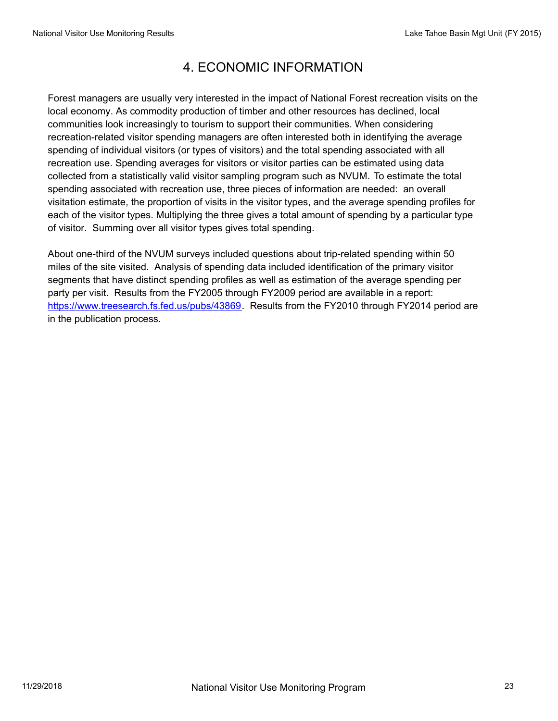## 4. ECONOMIC INFORMATION

Forest managers are usually very interested in the impact of National Forest recreation visits on the local economy. As commodity production of timber and other resources has declined, local communities look increasingly to tourism to support their communities. When considering recreation-related visitor spending managers are often interested both in identifying the average spending of individual visitors (or types of visitors) and the total spending associated with all recreation use. Spending averages for visitors or visitor parties can be estimated using data collected from a statistically valid visitor sampling program such as NVUM. To estimate the total spending associated with recreation use, three pieces of information are needed: an overall visitation estimate, the proportion of visits in the visitor types, and the average spending profiles for each of the visitor types. Multiplying the three gives a total amount of spending by a particular type of visitor. Summing over all visitor types gives total spending.

About one-third of the NVUM surveys included questions about trip-related spending within 50 miles of the site visited. Analysis of spending data included identification of the primary visitor segments that have distinct spending profiles as well as estimation of the average spending per party per visit. Results from the FY2005 through FY2009 period are available in a report: https://www.treesearch.fs.fed.us/pubs/43869. Results from the FY2010 through FY2014 period are in the publication process.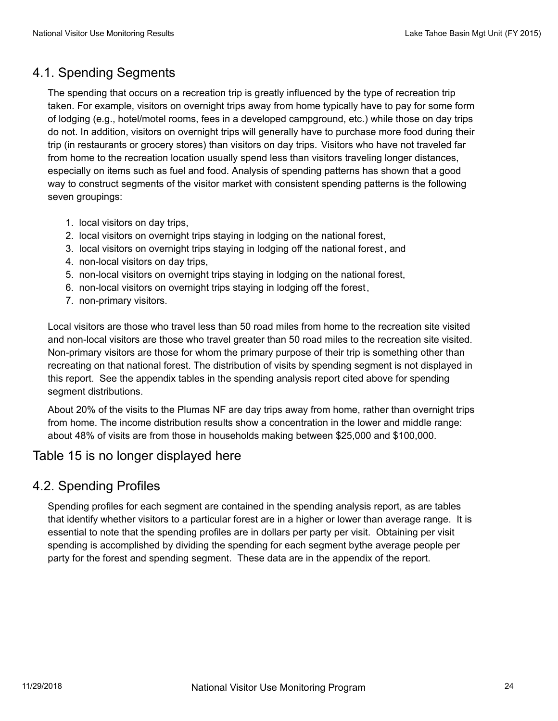## 4.1. Spending Segments

The spending that occurs on a recreation trip is greatly influenced by the type of recreation trip taken. For example, visitors on overnight trips away from home typically have to pay for some form of lodging (e.g., hotel/motel rooms, fees in a developed campground, etc.) while those on day trips do not. In addition, visitors on overnight trips will generally have to purchase more food during their trip (in restaurants or grocery stores) than visitors on day trips. Visitors who have not traveled far from home to the recreation location usually spend less than visitors traveling longer distances, especially on items such as fuel and food. Analysis of spending patterns has shown that a good way to construct segments of the visitor market with consistent spending patterns is the following seven groupings:

- 1. local visitors on day trips,
- 2. local visitors on overnight trips staying in lodging on the national forest,
- 3. local visitors on overnight trips staying in lodging off the national forest, and
- 4. non-local visitors on day trips,
- 5. non-local visitors on overnight trips staying in lodging on the national forest,
- 6. non-local visitors on overnight trips staying in lodging off the forest,
- 7. non-primary visitors.

Local visitors are those who travel less than 50 road miles from home to the recreation site visited and non-local visitors are those who travel greater than 50 road miles to the recreation site visited. Non-primary visitors are those for whom the primary purpose of their trip is something other than recreating on that national forest. The distribution of visits by spending segment is not displayed in this report. See the appendix tables in the spending analysis report cited above for spending segment distributions.

About 20% of the visits to the Plumas NF are day trips away from home, rather than overnight trips from home. The income distribution results show a concentration in the lower and middle range: about 48% of visits are from those in households making between \$25,000 and \$100,000.

#### Table 15 is no longer displayed here

#### 4.2. Spending Profiles

Spending profiles for each segment are contained in the spending analysis report, as are tables that identify whether visitors to a particular forest are in a higher or lower than average range. It is essential to note that the spending profiles are in dollars per party per visit. Obtaining per visit spending is accomplished by dividing the spending for each segment bythe average people per party for the forest and spending segment. These data are in the appendix of the report.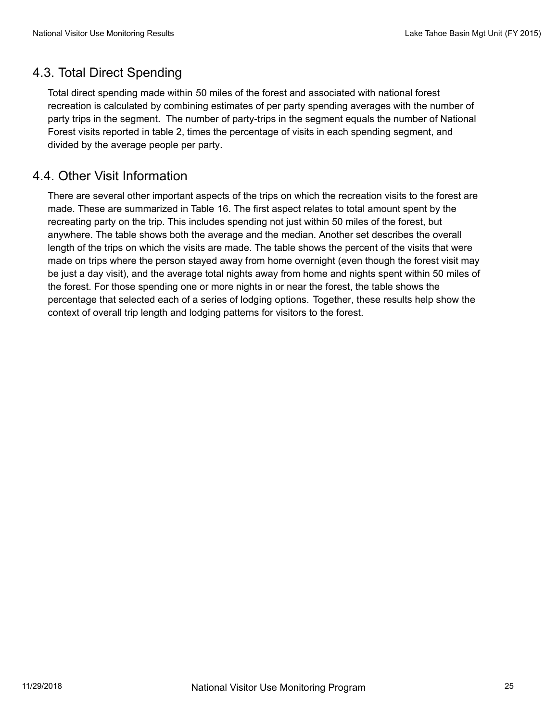### 4.3. Total Direct Spending

Total direct spending made within 50 miles of the forest and associated with national forest recreation is calculated by combining estimates of per party spending averages with the number of party trips in the segment. The number of party-trips in the segment equals the number of National Forest visits reported in table 2, times the percentage of visits in each spending segment, and divided by the average people per party.

#### 4.4. Other Visit Information

There are several other important aspects of the trips on which the recreation visits to the forest are made. These are summarized in Table 16. The first aspect relates to total amount spent by the recreating party on the trip. This includes spending not just within 50 miles of the forest, but anywhere. The table shows both the average and the median. Another set describes the overall length of the trips on which the visits are made. The table shows the percent of the visits that were made on trips where the person stayed away from home overnight (even though the forest visit may be just a day visit), and the average total nights away from home and nights spent within 50 miles of the forest. For those spending one or more nights in or near the forest, the table shows the percentage that selected each of a series of lodging options. Together, these results help show the context of overall trip length and lodging patterns for visitors to the forest.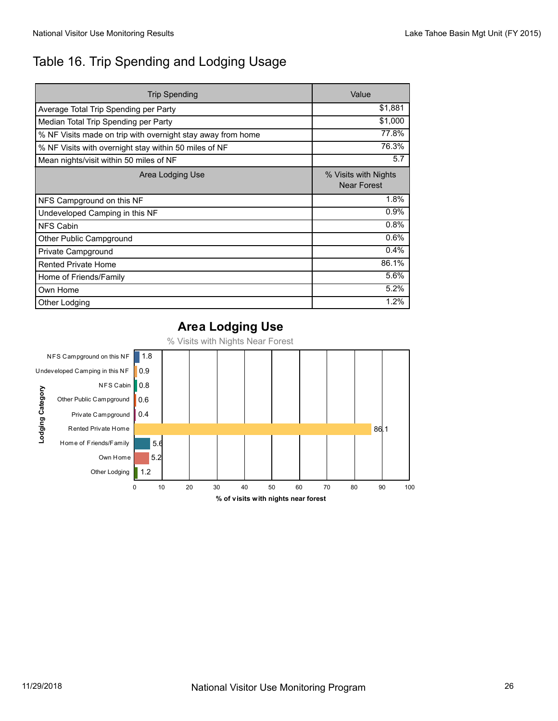## Table 16. Trip Spending and Lodging Usage

| Trip Spending                                               | Value                                      |
|-------------------------------------------------------------|--------------------------------------------|
| Average Total Trip Spending per Party                       | \$1,881                                    |
| Median Total Trip Spending per Party                        | \$1,000                                    |
| % NF Visits made on trip with overnight stay away from home | 77.8%                                      |
| % NF Visits with overnight stay within 50 miles of NF       | 76.3%                                      |
| Mean nights/visit within 50 miles of NF                     | 5.7                                        |
| Area Lodging Use                                            | % Visits with Nights<br><b>Near Forest</b> |
| NFS Campground on this NF                                   | 1.8%                                       |
| Undeveloped Camping in this NF                              | 0.9%                                       |
| <b>NFS Cabin</b>                                            | 0.8%                                       |
| Other Public Campground                                     | 0.6%                                       |
| Private Campground                                          | 0.4%                                       |
| <b>Rented Private Home</b>                                  | 86.1%                                      |
| Home of Friends/Family                                      | 5.6%                                       |
| Own Home                                                    | 5.2%                                       |
| Other Lodging                                               | 1.2%                                       |

#### **Area Lodging Use**

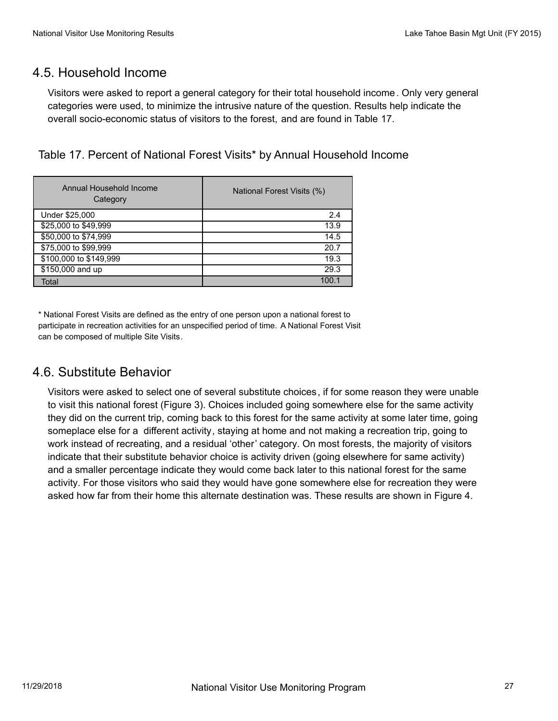#### 4.5. Household Income

Visitors were asked to report a general category for their total household income. Only very general categories were used, to minimize the intrusive nature of the question. Results help indicate the overall socio-economic status of visitors to the forest, and are found in Table 17.

Table 17. Percent of National Forest Visits\* by Annual Household Income

| Annual Household Income<br>Category | National Forest Visits (%) |  |
|-------------------------------------|----------------------------|--|
| Under \$25,000                      | 2.4                        |  |
| \$25,000 to \$49,999                | 13.9                       |  |
| \$50,000 to \$74,999                | 14.5                       |  |
| \$75,000 to \$99,999                | 20.7                       |  |
| \$100,000 to \$149,999              | 19.3                       |  |
| \$150,000 and up                    | 29.3                       |  |
| Total                               | 100 $\cdot$                |  |

\* National Forest Visits are defined as the entry of one person upon a national forest to participate in recreation activities for an unspecified period of time. A National Forest Visit can be composed of multiple Site Visits.

#### 4.6. Substitute Behavior

Visitors were asked to select one of several substitute choices, if for some reason they were unable to visit this national forest (Figure 3). Choices included going somewhere else for the same activity they did on the current trip, coming back to this forest for the same activity at some later time, going someplace else for a different activity, staying at home and not making a recreation trip, going to work instead of recreating, and a residual 'other' category. On most forests, the majority of visitors indicate that their substitute behavior choice is activity driven (going elsewhere for same activity) and a smaller percentage indicate they would come back later to this national forest for the same activity. For those visitors who said they would have gone somewhere else for recreation they were asked how far from their home this alternate destination was. These results are shown in Figure 4.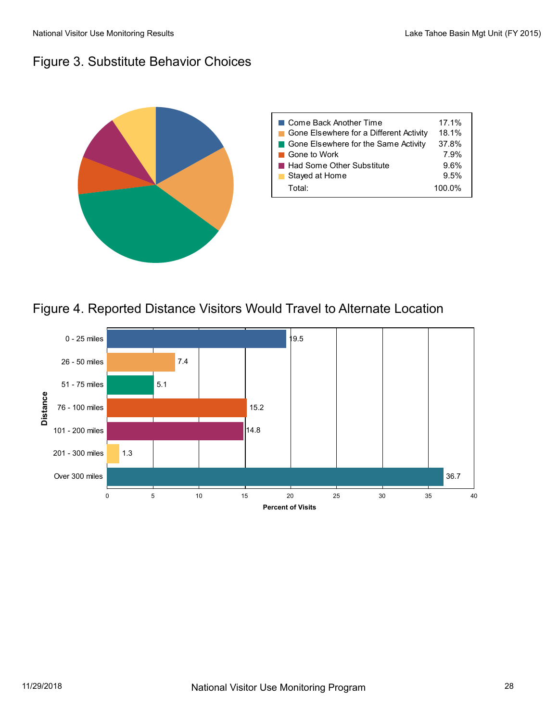## Figure 3. Substitute Behavior Choices



## Figure 4. Reported Distance Visitors Would Travel to Alternate Location

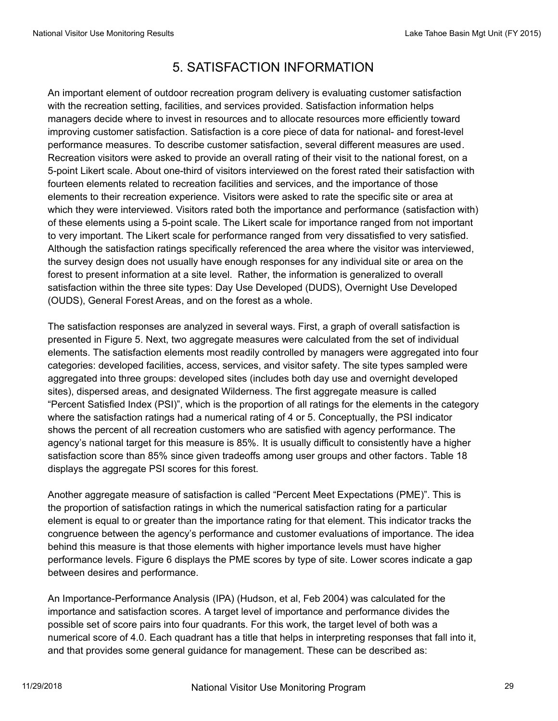# 5. SATISFACTION INFORMATION

An important element of outdoor recreation program delivery is evaluating customer satisfaction with the recreation setting, facilities, and services provided. Satisfaction information helps managers decide where to invest in resources and to allocate resources more efficiently toward improving customer satisfaction. Satisfaction is a core piece of data for national- and forest-level performance measures. To describe customer satisfaction, several different measures are used. Recreation visitors were asked to provide an overall rating of their visit to the national forest, on a 5-point Likert scale. About one-third of visitors interviewed on the forest rated their satisfaction with fourteen elements related to recreation facilities and services, and the importance of those elements to their recreation experience. Visitors were asked to rate the specific site or area at which they were interviewed. Visitors rated both the importance and performance (satisfaction with) of these elements using a 5-point scale. The Likert scale for importance ranged from not important to very important. The Likert scale for performance ranged from very dissatisfied to very satisfied. Although the satisfaction ratings specifically referenced the area where the visitor was interviewed, the survey design does not usually have enough responses for any individual site or area on the forest to present information at a site level. Rather, the information is generalized to overall satisfaction within the three site types: Day Use Developed (DUDS), Overnight Use Developed (OUDS), General Forest Areas, and on the forest as a whole.

The satisfaction responses are analyzed in several ways. First, a graph of overall satisfaction is presented in Figure 5. Next, two aggregate measures were calculated from the set of individual elements. The satisfaction elements most readily controlled by managers were aggregated into four categories: developed facilities, access, services, and visitor safety. The site types sampled were aggregated into three groups: developed sites (includes both day use and overnight developed sites), dispersed areas, and designated Wilderness. The first aggregate measure is called "Percent Satisfied Index (PSI)", which is the proportion of all ratings for the elements in the category where the satisfaction ratings had a numerical rating of 4 or 5. Conceptually, the PSI indicator shows the percent of all recreation customers who are satisfied with agency performance. The agency's national target for this measure is 85%. It is usually difficult to consistently have a higher satisfaction score than 85% since given tradeoffs among user groups and other factors. Table 18 displays the aggregate PSI scores for this forest.

Another aggregate measure of satisfaction is called "Percent Meet Expectations (PME)". This is the proportion of satisfaction ratings in which the numerical satisfaction rating for a particular element is equal to or greater than the importance rating for that element. This indicator tracks the congruence between the agency's performance and customer evaluations of importance. The idea behind this measure is that those elements with higher importance levels must have higher performance levels. Figure 6 displays the PME scores by type of site. Lower scores indicate a gap between desires and performance.

An Importance-Performance Analysis (IPA) (Hudson, et al, Feb 2004) was calculated for the importance and satisfaction scores. A target level of importance and performance divides the possible set of score pairs into four quadrants. For this work, the target level of both was a numerical score of 4.0. Each quadrant has a title that helps in interpreting responses that fall into it, and that provides some general guidance for management. These can be described as: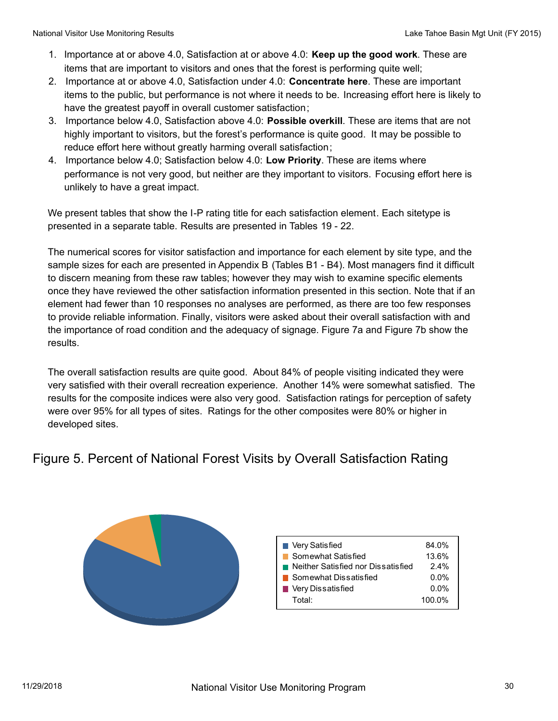- 1. Importance at or above 4.0, Satisfaction at or above 4.0: **Keep up the good work**. These are items that are important to visitors and ones that the forest is performing quite well;
- 2. Importance at or above 4.0, Satisfaction under 4.0: **Concentrate here**. These are important items to the public, but performance is not where it needs to be. Increasing effort here is likely to have the greatest payoff in overall customer satisfaction;
- 3. Importance below 4.0, Satisfaction above 4.0: **Possible overkill**. These are items that are not highly important to visitors, but the forest's performance is quite good. It may be possible to reduce effort here without greatly harming overall satisfaction;
- 4. Importance below 4.0; Satisfaction below 4.0: **Low Priority**. These are items where performance is not very good, but neither are they important to visitors. Focusing effort here is unlikely to have a great impact.

We present tables that show the I-P rating title for each satisfaction element. Each sitetype is presented in a separate table. Results are presented in Tables 19 - 22.

The numerical scores for visitor satisfaction and importance for each element by site type, and the sample sizes for each are presented in Appendix B (Tables B1 - B4). Most managers find it difficult to discern meaning from these raw tables; however they may wish to examine specific elements once they have reviewed the other satisfaction information presented in this section. Note that if an element had fewer than 10 responses no analyses are performed, as there are too few responses to provide reliable information. Finally, visitors were asked about their overall satisfaction with and the importance of road condition and the adequacy of signage. Figure 7a and Figure 7b show the results.

The overall satisfaction results are quite good. About 84% of people visiting indicated they were very satisfied with their overall recreation experience. Another 14% were somewhat satisfied. The results for the composite indices were also very good. Satisfaction ratings for perception of safety were over 95% for all types of sites. Ratings for the other composites were 80% or higher in developed sites.

## Figure 5. Percent of National Forest Visits by Overall Satisfaction Rating



| 84.0%   |
|---------|
| 13.6%   |
| $2.4\%$ |
| $0.0\%$ |
| $0.0\%$ |
| 100.0%  |
|         |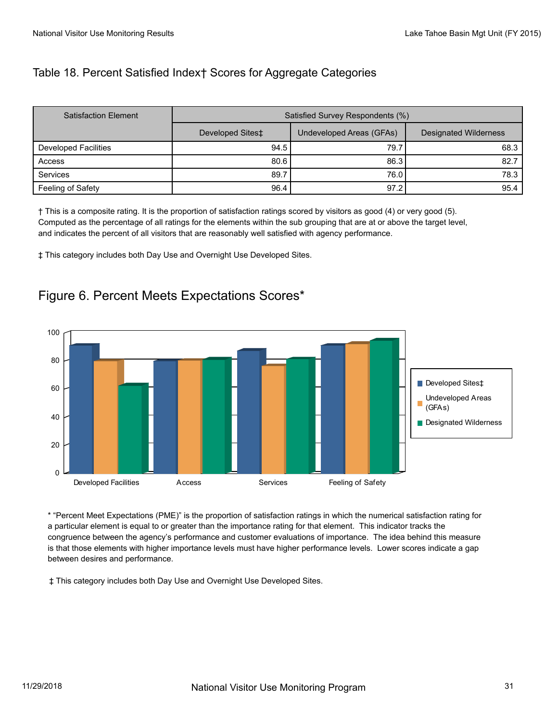#### Table 18. Percent Satisfied Index† Scores for Aggregate Categories

| <b>Satisfaction Element</b> | Satisfied Survey Respondents (%) |                          |                              |  |
|-----------------------------|----------------------------------|--------------------------|------------------------------|--|
|                             | Developed Sites‡                 | Undeveloped Areas (GFAs) | <b>Designated Wilderness</b> |  |
| Developed Facilities        | 94.5                             | 79.7                     | 68.3                         |  |
| Access                      | 80.6                             | 86.3                     | 82.7                         |  |
| <b>Services</b>             | 89.7                             | 76.0                     | 78.3                         |  |
| Feeling of Safety           | 96.4                             | 97.2                     | 95.4                         |  |

† This is a composite rating. It is the proportion of satisfaction ratings scored by visitors as good (4) or very good (5). Computed as the percentage of all ratings for the elements within the sub grouping that are at or above the target level, and indicates the percent of all visitors that are reasonably well satisfied with agency performance.

‡ This category includes both Day Use and Overnight Use Developed Sites.

# Figure 6. Percent Meets Expectations Scores\*



\* "Percent Meet Expectations (PME)" is the proportion of satisfaction ratings in which the numerical satisfaction rating for a particular element is equal to or greater than the importance rating for that element. This indicator tracks the congruence between the agency's performance and customer evaluations of importance. The idea behind this measure is that those elements with higher importance levels must have higher performance levels. Lower scores indicate a gap between desires and performance.

‡ This category includes both Day Use and Overnight Use Developed Sites.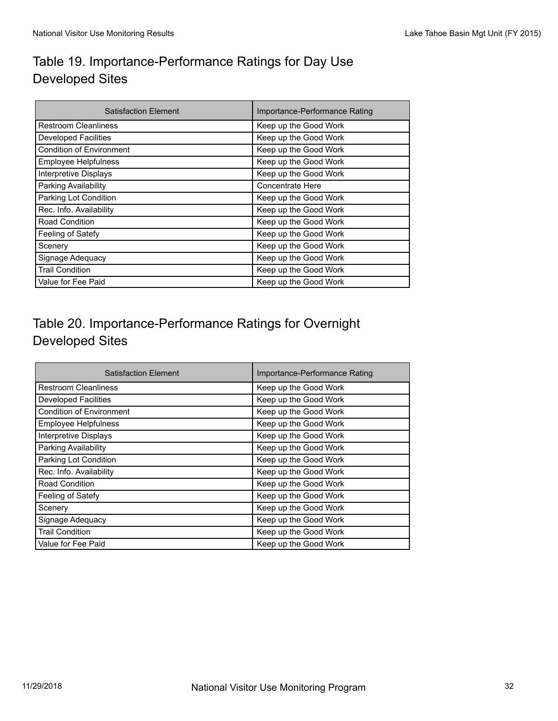## Table 19. Importance-Performance Ratings for Day Use Developed Sites

| <b>Satisfaction Element</b>     | Importance-Performance Rating |  |
|---------------------------------|-------------------------------|--|
| <b>Restroom Cleanliness</b>     | Keep up the Good Work         |  |
| <b>Developed Facilities</b>     | Keep up the Good Work         |  |
| <b>Condition of Environment</b> | Keep up the Good Work         |  |
| Employee Helpfulness            | Keep up the Good Work         |  |
| <b>Interpretive Displays</b>    | Keep up the Good Work         |  |
| Parking Availability            | <b>Concentrate Here</b>       |  |
| Parking Lot Condition           | Keep up the Good Work         |  |
| Rec. Info. Availability         | Keep up the Good Work         |  |
| Road Condition                  | Keep up the Good Work         |  |
| Feeling of Satefy               | Keep up the Good Work         |  |
| Scenery                         | Keep up the Good Work         |  |
| Signage Adequacy                | Keep up the Good Work         |  |
| <b>Trail Condition</b>          | Keep up the Good Work         |  |
| Value for Fee Paid              | Keep up the Good Work         |  |

## Table 20. Importance-Performance Ratings for Overnight Developed Sites

| <b>Satisfaction Element</b>     | Importance-Performance Rating |  |
|---------------------------------|-------------------------------|--|
| <b>Restroom Cleanliness</b>     | Keep up the Good Work         |  |
| <b>Developed Facilities</b>     | Keep up the Good Work         |  |
| <b>Condition of Environment</b> | Keep up the Good Work         |  |
| <b>Employee Helpfulness</b>     | Keep up the Good Work         |  |
| Interpretive Displays           | Keep up the Good Work         |  |
| Parking Availability            | Keep up the Good Work         |  |
| Parking Lot Condition           | Keep up the Good Work         |  |
| Rec. Info. Availability         | Keep up the Good Work         |  |
| Road Condition                  | Keep up the Good Work         |  |
| Feeling of Satefy               | Keep up the Good Work         |  |
| Scenery                         | Keep up the Good Work         |  |
| Signage Adequacy                | Keep up the Good Work         |  |
| <b>Trail Condition</b>          | Keep up the Good Work         |  |
| Value for Fee Paid              | Keep up the Good Work         |  |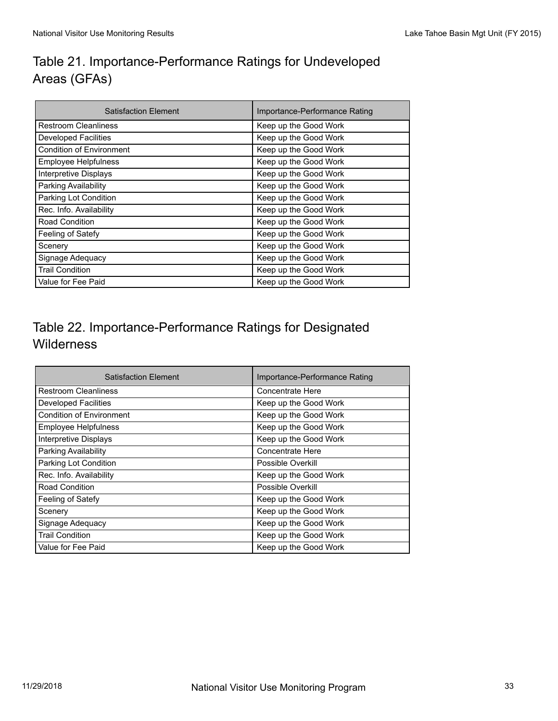# Table 21. Importance-Performance Ratings for Undeveloped Areas (GFAs)

| <b>Satisfaction Element</b>     | Importance-Performance Rating |  |
|---------------------------------|-------------------------------|--|
| <b>Restroom Cleanliness</b>     | Keep up the Good Work         |  |
| <b>Developed Facilities</b>     | Keep up the Good Work         |  |
| <b>Condition of Environment</b> | Keep up the Good Work         |  |
| <b>Employee Helpfulness</b>     | Keep up the Good Work         |  |
| Interpretive Displays           | Keep up the Good Work         |  |
| Parking Availability            | Keep up the Good Work         |  |
| Parking Lot Condition           | Keep up the Good Work         |  |
| Rec. Info. Availability         | Keep up the Good Work         |  |
| Road Condition                  | Keep up the Good Work         |  |
| Feeling of Satefy               | Keep up the Good Work         |  |
| Scenery                         | Keep up the Good Work         |  |
| Signage Adequacy                | Keep up the Good Work         |  |
| <b>Trail Condition</b>          | Keep up the Good Work         |  |
| Value for Fee Paid              | Keep up the Good Work         |  |

## Table 22. Importance-Performance Ratings for Designated **Wilderness**

| <b>Satisfaction Element</b>     | Importance-Performance Rating |  |
|---------------------------------|-------------------------------|--|
| <b>Restroom Cleanliness</b>     | Concentrate Here              |  |
| <b>Developed Facilities</b>     | Keep up the Good Work         |  |
| <b>Condition of Environment</b> | Keep up the Good Work         |  |
| <b>Employee Helpfulness</b>     | Keep up the Good Work         |  |
| Interpretive Displays           | Keep up the Good Work         |  |
| Parking Availability            | Concentrate Here              |  |
| Parking Lot Condition           | Possible Overkill             |  |
| Rec. Info. Availability         | Keep up the Good Work         |  |
| <b>Road Condition</b>           | Possible Overkill             |  |
| Feeling of Satefy               | Keep up the Good Work         |  |
| Scenery                         | Keep up the Good Work         |  |
| Signage Adequacy                | Keep up the Good Work         |  |
| <b>Trail Condition</b>          | Keep up the Good Work         |  |
| Value for Fee Paid              | Keep up the Good Work         |  |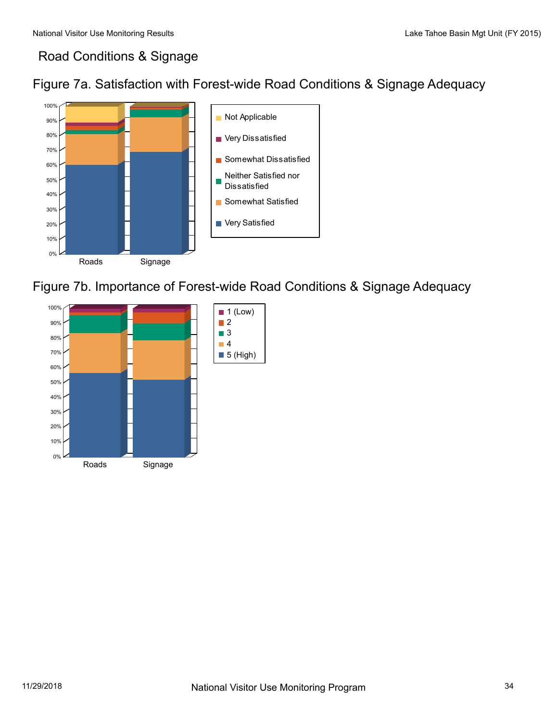## Road Conditions & Signage





Figure 7b. Importance of Forest-wide Road Conditions & Signage Adequacy

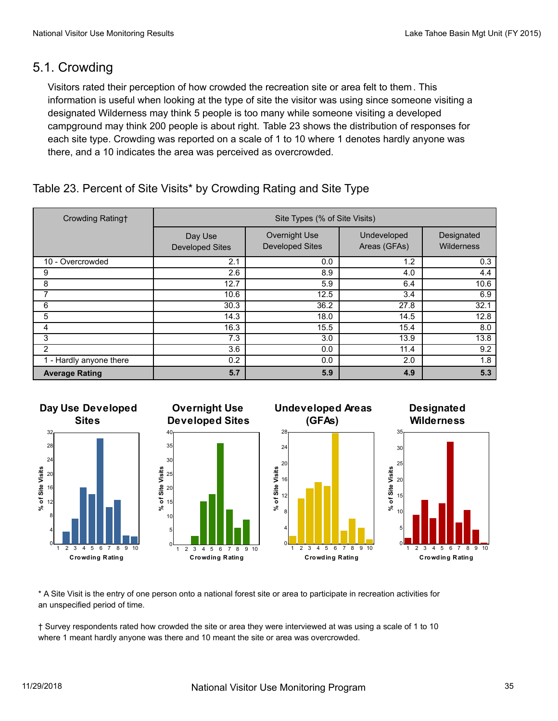#### 5.1. Crowding

Visitors rated their perception of how crowded the recreation site or area felt to them. This information is useful when looking at the type of site the visitor was using since someone visiting a designated Wilderness may think 5 people is too many while someone visiting a developed campground may think 200 people is about right. Table 23 shows the distribution of responses for each site type. Crowding was reported on a scale of 1 to 10 where 1 denotes hardly anyone was there, and a 10 indicates the area was perceived as overcrowded.

#### Table 23. Percent of Site Visits\* by Crowding Rating and Site Type

| Crowding Rating+        | Site Types (% of Site Visits)     |                                         |                             |                          |
|-------------------------|-----------------------------------|-----------------------------------------|-----------------------------|--------------------------|
|                         | Day Use<br><b>Developed Sites</b> | Overnight Use<br><b>Developed Sites</b> | Undeveloped<br>Areas (GFAs) | Designated<br>Wilderness |
| 10 - Overcrowded        | 2.1                               | 0.0                                     | 1.2                         | 0.3                      |
| 9                       | 2.6                               | 8.9                                     | 4.0                         | 4.4                      |
| 8                       | 12.7                              | 5.9                                     | 6.4                         | 10.6                     |
|                         | 10.6                              | 12.5                                    | 3.4                         | 6.9                      |
| 6                       | 30.3                              | 36.2                                    | 27.8                        | 32.1                     |
| 5                       | 14.3                              | 18.0                                    | 14.5                        | 12.8                     |
| 4                       | 16.3                              | 15.5                                    | 15.4                        | 8.0                      |
| 3                       | 7.3                               | 3.0                                     | 13.9                        | 13.8                     |
| $\overline{2}$          | 3.6                               | 0.0                                     | 11.4                        | 9.2                      |
| 1 - Hardly anyone there | 0.2                               | 0.0                                     | 2.0                         | 1.8                      |
| <b>Average Rating</b>   | 5.7                               | 5.9                                     | 4.9                         | 5.3                      |



\* A Site Visit is the entry of one person onto a national forest site or area to participate in recreation activities for an unspecified period of time.

† Survey respondents rated how crowded the site or area they were interviewed at was using a scale of 1 to 10 where 1 meant hardly anyone was there and 10 meant the site or area was overcrowded.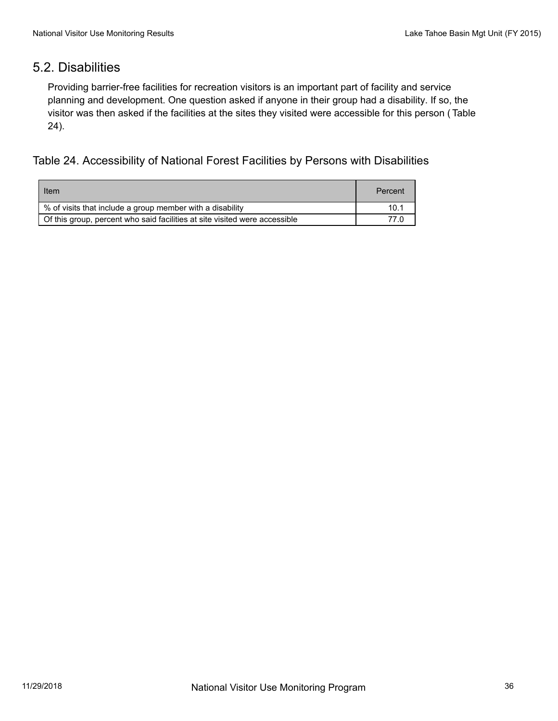#### 5.2. Disabilities

Providing barrier-free facilities for recreation visitors is an important part of facility and service planning and development. One question asked if anyone in their group had a disability. If so, the visitor was then asked if the facilities at the sites they visited were accessible for this person ( Table 24).

Table 24. Accessibility of National Forest Facilities by Persons with Disabilities

| Item                                                                       | Percent |
|----------------------------------------------------------------------------|---------|
| % of visits that include a group member with a disability                  | 10.1    |
| Of this group, percent who said facilities at site visited were accessible | 77 N    |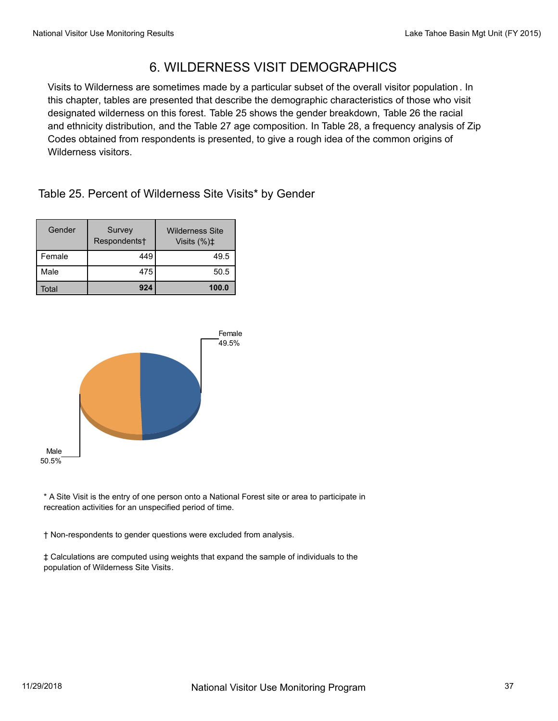## 6. WILDERNESS VISIT DEMOGRAPHICS

Visits to Wilderness are sometimes made by a particular subset of the overall visitor population . In this chapter, tables are presented that describe the demographic characteristics of those who visit designated wilderness on this forest. Table 25 shows the gender breakdown, Table 26 the racial and ethnicity distribution, and the Table 27 age composition. In Table 28, a frequency analysis of Zip Codes obtained from respondents is presented, to give a rough idea of the common origins of Wilderness visitors.

Table 25. Percent of Wilderness Site Visits\* by Gender

| Gender | Survey<br>Respondents† | <b>Wilderness Site</b><br>Visits $(\%)\ddagger$ |
|--------|------------------------|-------------------------------------------------|
| Female | 449                    | 49.5                                            |
| Male   | 475                    | 50.5                                            |
| Гоtаl  | 924                    | 100.0                                           |



\* A Site Visit is the entry of one person onto a National Forest site or area to participate in recreation activities for an unspecified period of time.

† Non-respondents to gender questions were excluded from analysis.

‡ Calculations are computed using weights that expand the sample of individuals to the population of Wilderness Site Visits.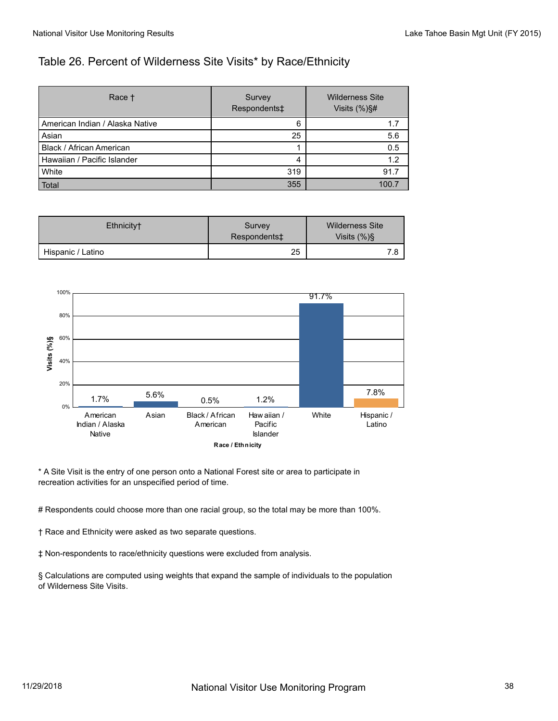#### Table 26. Percent of Wilderness Site Visits\* by Race/Ethnicity

| Race <sup>+</sup>               | Survey<br>Respondents‡ | <b>Wilderness Site</b><br>Visits $(\%)\$ # |
|---------------------------------|------------------------|--------------------------------------------|
| American Indian / Alaska Native | 6                      | 1.7                                        |
| Asian                           | 25                     | 5.6                                        |
| Black / African American        |                        | 0.5                                        |
| Hawaiian / Pacific Islander     | 4                      | 1.2                                        |
| White                           | 319                    | 91.7                                       |
| Total                           | 355                    | 100.7                                      |

| Ethnicity <sup>+</sup> | Survey<br>Respondents <sup>+</sup> | Wilderness Site<br>Visits $(\%)\$ |
|------------------------|------------------------------------|-----------------------------------|
| Hispanic / Latino      | 25                                 | 7 R                               |



\* A Site Visit is the entry of one person onto a National Forest site or area to participate in recreation activities for an unspecified period of time.

# Respondents could choose more than one racial group, so the total may be more than 100%.

† Race and Ethnicity were asked as two separate questions.

‡ Non-respondents to race/ethnicity questions were excluded from analysis.

§ Calculations are computed using weights that expand the sample of individuals to the population of Wilderness Site Visits.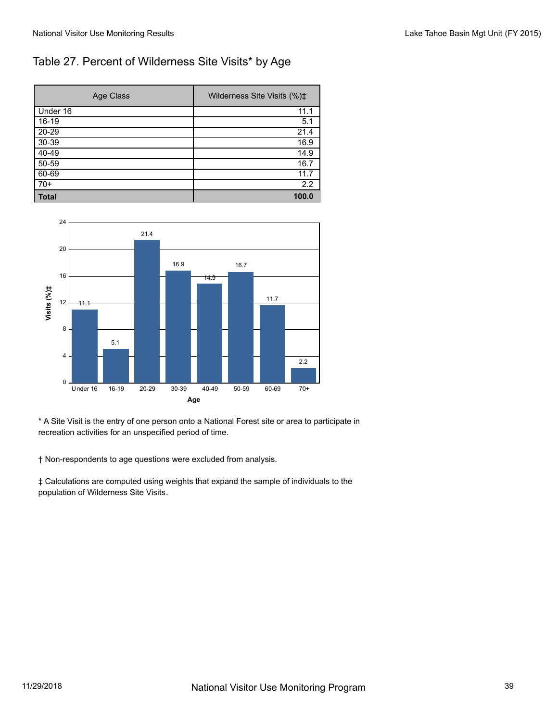#### Table 27. Percent of Wilderness Site Visits\* by Age

| Age Class    | Wilderness Site Visits (%)‡ |
|--------------|-----------------------------|
| Under 16     | 11.1                        |
| $16-19$      | 5.1                         |
| $20 - 29$    | 21.4                        |
| $30 - 39$    | 16.9                        |
| $40-49$      | 14.9                        |
| $50 - 59$    | 16.7                        |
| 60-69        | 11.7                        |
| $70+$        | 2.2                         |
| <b>Total</b> | 100.0                       |



\* A Site Visit is the entry of one person onto a National Forest site or area to participate in recreation activities for an unspecified period of time.

† Non-respondents to age questions were excluded from analysis.

‡ Calculations are computed using weights that expand the sample of individuals to the population of Wilderness Site Visits.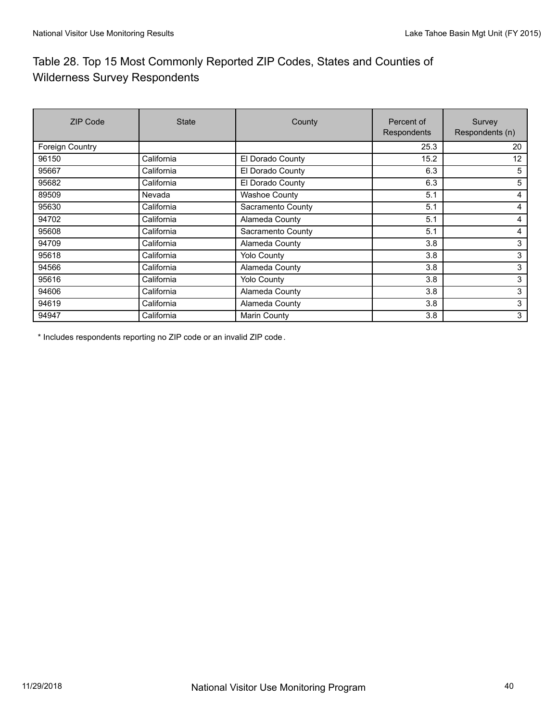## Table 28. Top 15 Most Commonly Reported ZIP Codes, States and Counties of Wilderness Survey Respondents

| <b>ZIP Code</b> | <b>State</b> | County               | Percent of<br>Respondents | Survey<br>Respondents (n) |
|-----------------|--------------|----------------------|---------------------------|---------------------------|
| Foreign Country |              |                      | 25.3                      | 20                        |
| 96150           | California   | El Dorado County     | 15.2                      | 12                        |
| 95667           | California   | El Dorado County     | 6.3                       | 5                         |
| 95682           | California   | El Dorado County     | 6.3                       | 5                         |
| 89509           | Nevada       | <b>Washoe County</b> | 5.1                       | 4                         |
| 95630           | California   | Sacramento County    | 5.1                       | 4                         |
| 94702           | California   | Alameda County       | 5.1                       | 4                         |
| 95608           | California   | Sacramento County    | 5.1                       | 4                         |
| 94709           | California   | Alameda County       | 3.8                       | 3                         |
| 95618           | California   | <b>Yolo County</b>   | 3.8                       | 3                         |
| 94566           | California   | Alameda County       | 3.8                       | 3                         |
| 95616           | California   | <b>Yolo County</b>   | 3.8                       | 3                         |
| 94606           | California   | Alameda County       | 3.8                       | 3                         |
| 94619           | California   | Alameda County       | 3.8                       | 3                         |
| 94947           | California   | <b>Marin County</b>  | 3.8                       | 3                         |

\* Includes respondents reporting no ZIP code or an invalid ZIP code.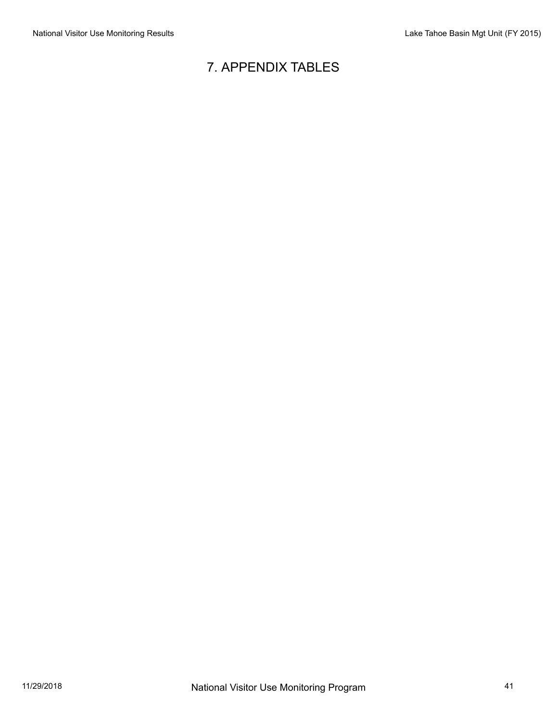# 7. APPENDIX TABLES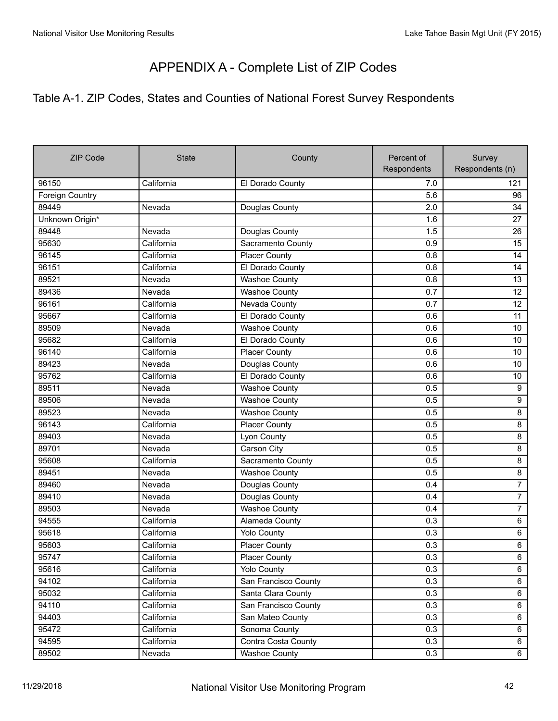## APPENDIX A - Complete List of ZIP Codes

## Table A-1. ZIP Codes, States and Counties of National Forest Survey Respondents

| <b>ZIP Code</b> | <b>State</b> | County               | Percent of  | Survey<br>Respondents (n) |
|-----------------|--------------|----------------------|-------------|---------------------------|
|                 |              |                      | Respondents |                           |
| 96150           | California   | El Dorado County     | 7.0         | 121                       |
| Foreign Country |              |                      | 5.6         | 96                        |
| 89449           | Nevada       | Douglas County       | 2.0         | 34                        |
| Unknown Origin* |              |                      | 1.6         | 27                        |
| 89448           | Nevada       | Douglas County       | 1.5         | 26                        |
| 95630           | California   | Sacramento County    | 0.9         | 15                        |
| 96145           | California   | <b>Placer County</b> | 0.8         | 14                        |
| 96151           | California   | El Dorado County     | 0.8         | 14                        |
| 89521           | Nevada       | Washoe County        | 0.8         | 13                        |
| 89436           | Nevada       | <b>Washoe County</b> | 0.7         | 12                        |
| 96161           | California   | Nevada County        | 0.7         | 12                        |
| 95667           | California   | El Dorado County     | 0.6         | 11                        |
| 89509           | Nevada       | <b>Washoe County</b> | 0.6         | 10                        |
| 95682           | California   | El Dorado County     | 0.6         | 10                        |
| 96140           | California   | <b>Placer County</b> | 0.6         | 10                        |
| 89423           | Nevada       | Douglas County       | 0.6         | 10                        |
| 95762           | California   | El Dorado County     | 0.6         | 10                        |
| 89511           | Nevada       | <b>Washoe County</b> | 0.5         | 9                         |
| 89506           | Nevada       | <b>Washoe County</b> | 0.5         | $\overline{9}$            |
| 89523           | Nevada       | <b>Washoe County</b> | 0.5         | 8                         |
| 96143           | California   | <b>Placer County</b> | 0.5         | 8                         |
| 89403           | Nevada       | Lyon County          | 0.5         | $\overline{8}$            |
| 89701           | Nevada       | Carson City          | 0.5         | 8                         |
| 95608           | California   | Sacramento County    | 0.5         | 8                         |
| 89451           | Nevada       | <b>Washoe County</b> | 0.5         | 8                         |
| 89460           | Nevada       | Douglas County       | 0.4         | $\overline{7}$            |
| 89410           | Nevada       | Douglas County       | 0.4         | $\overline{7}$            |
| 89503           | Nevada       | <b>Washoe County</b> | 0.4         | $\overline{7}$            |
| 94555           | California   | Alameda County       | 0.3         | 6                         |
| 95618           | California   | <b>Yolo County</b>   | 0.3         | 6                         |
| 95603           | California   | <b>Placer County</b> | 0.3         | 6                         |
| 95747           | California   | <b>Placer County</b> | 0.3         | 6                         |
| 95616           | California   | <b>Yolo County</b>   | 0.3         | $\overline{6}$            |
| 94102           | California   | San Francisco County | 0.3         | 6                         |
| 95032           | California   | Santa Clara County   | 0.3         | 6                         |
| 94110           | California   | San Francisco County | 0.3         | 6                         |
| 94403           | California   | San Mateo County     | 0.3         | 6                         |
| 95472           | California   | Sonoma County        | 0.3         | 6                         |
| 94595           | California   | Contra Costa County  | 0.3         | 6                         |
| 89502           | Nevada       | <b>Washoe County</b> | 0.3         | 6                         |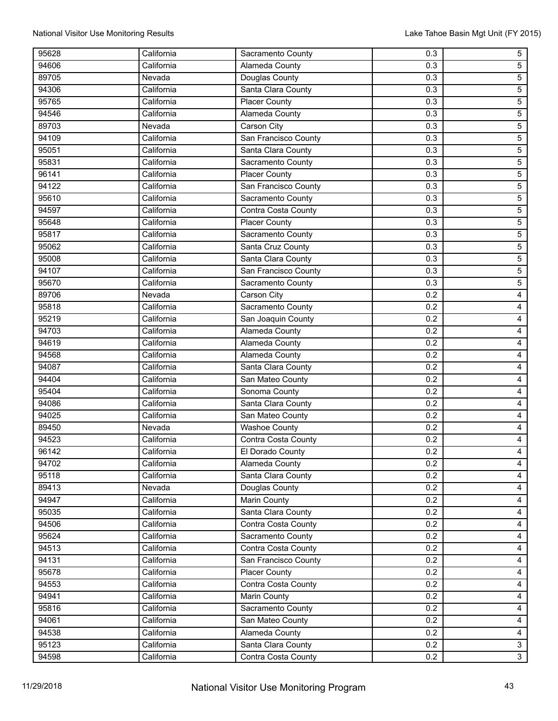| 95628 | California | Sacramento County    | 0.3 | $\overline{5}$          |
|-------|------------|----------------------|-----|-------------------------|
| 94606 | California | Alameda County       | 0.3 | $\overline{5}$          |
| 89705 | Nevada     | Douglas County       | 0.3 | $\overline{5}$          |
| 94306 | California | Santa Clara County   | 0.3 | $\overline{5}$          |
| 95765 | California | <b>Placer County</b> | 0.3 | $\sqrt{5}$              |
| 94546 | California | Alameda County       | 0.3 | $\overline{5}$          |
| 89703 | Nevada     | Carson City          | 0.3 | $\overline{5}$          |
| 94109 | California | San Francisco County | 0.3 | $\overline{5}$          |
| 95051 | California | Santa Clara County   | 0.3 | $\overline{5}$          |
| 95831 | California | Sacramento County    | 0.3 | $\overline{5}$          |
| 96141 | California | <b>Placer County</b> | 0.3 | $\overline{5}$          |
| 94122 | California | San Francisco County | 0.3 | $\overline{5}$          |
| 95610 | California | Sacramento County    | 0.3 | $\overline{5}$          |
| 94597 | California | Contra Costa County  | 0.3 | $\sqrt{5}$              |
| 95648 | California | <b>Placer County</b> | 0.3 | $\overline{5}$          |
| 95817 | California | Sacramento County    | 0.3 | $\overline{5}$          |
| 95062 | California | Santa Cruz County    | 0.3 | $\overline{5}$          |
| 95008 | California | Santa Clara County   | 0.3 | $\overline{5}$          |
| 94107 | California | San Francisco County | 0.3 | $\overline{5}$          |
| 95670 | California | Sacramento County    | 0.3 | $\overline{5}$          |
| 89706 | Nevada     | Carson City          | 0.2 | $\overline{4}$          |
| 95818 | California | Sacramento County    | 0.2 | $\overline{4}$          |
| 95219 | California | San Joaquin County   | 0.2 | $\overline{\mathbf{4}}$ |
| 94703 | California | Alameda County       | 0.2 | $\overline{\mathbf{4}}$ |
| 94619 | California | Alameda County       | 0.2 | $\overline{4}$          |
| 94568 | California | Alameda County       | 0.2 | $\overline{\mathbf{4}}$ |
| 94087 | California | Santa Clara County   | 0.2 | $\overline{4}$          |
| 94404 | California | San Mateo County     | 0.2 | $\overline{4}$          |
| 95404 | California | Sonoma County        | 0.2 | $\overline{\mathbf{4}}$ |
| 94086 | California | Santa Clara County   | 0.2 | $\overline{4}$          |
| 94025 | California | San Mateo County     | 0.2 | $\overline{4}$          |
| 89450 | Nevada     | <b>Washoe County</b> | 0.2 | $\overline{4}$          |
| 94523 | California | Contra Costa County  | 0.2 | $\overline{4}$          |
| 96142 | California | El Dorado County     | 0.2 | 4                       |
| 94702 | California | Alameda County       | 0.2 | $\overline{4}$          |
| 95118 | California | Santa Clara County   | 0.2 | $\overline{4}$          |
| 89413 | Nevada     | Douglas County       | 0.2 | $\overline{4}$          |
| 94947 | California | Marin County         | 0.2 | $\overline{4}$          |
| 95035 | California | Santa Clara County   | 0.2 | $\overline{4}$          |
| 94506 | California | Contra Costa County  | 0.2 | $\overline{4}$          |
| 95624 | California | Sacramento County    | 0.2 | $\overline{4}$          |
| 94513 | California | Contra Costa County  | 0.2 | $\overline{4}$          |
| 94131 | California | San Francisco County | 0.2 | $\overline{4}$          |
| 95678 | California | <b>Placer County</b> | 0.2 | $\overline{4}$          |
| 94553 | California | Contra Costa County  | 0.2 | $\overline{4}$          |
| 94941 | California | Marin County         | 0.2 | $\overline{4}$          |
| 95816 | California | Sacramento County    | 0.2 | $\overline{4}$          |
| 94061 | California | San Mateo County     | 0.2 | $\overline{4}$          |
| 94538 | California | Alameda County       | 0.2 | $\overline{4}$          |
| 95123 | California | Santa Clara County   | 0.2 | $\overline{3}$          |
| 94598 | California | Contra Costa County  | 0.2 | $\overline{3}$          |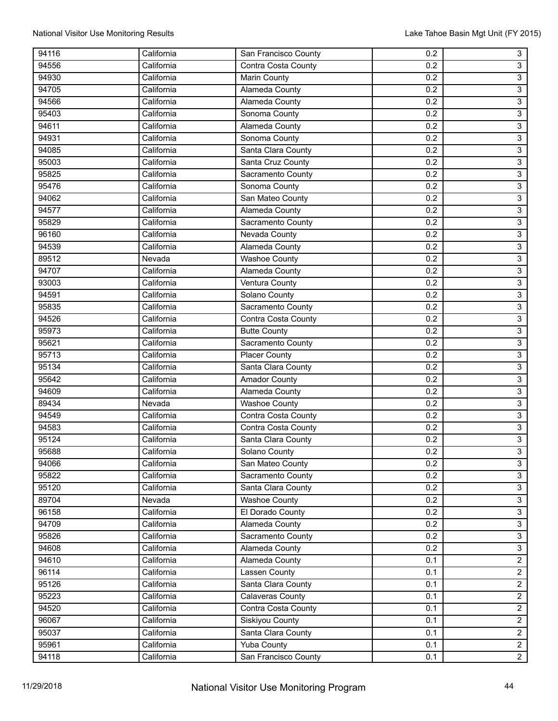| 94116 | California | San Francisco County                        | 0.2 | $\overline{3}$                   |
|-------|------------|---------------------------------------------|-----|----------------------------------|
| 94556 | California | Contra Costa County                         | 0.2 | $\overline{3}$                   |
| 94930 | California | Marin County                                | 0.2 | $\overline{3}$                   |
| 94705 | California | <b>Alameda County</b>                       | 0.2 | $\overline{3}$                   |
| 94566 | California | Alameda County                              | 0.2 | $\mathsf 3$                      |
| 95403 | California | Sonoma County                               | 0.2 | $\overline{3}$                   |
| 94611 | California | Alameda County                              | 0.2 | $\overline{3}$                   |
| 94931 | California | Sonoma County                               | 0.2 | $\overline{3}$                   |
| 94085 | California | Santa Clara County                          | 0.2 | $\overline{3}$                   |
| 95003 | California | Santa Cruz County                           | 0.2 | $\overline{3}$                   |
| 95825 | California | Sacramento County                           | 0.2 | $\overline{3}$                   |
| 95476 | California | Sonoma County                               | 0.2 | $\overline{3}$                   |
| 94062 | California | San Mateo County                            | 0.2 | $\overline{3}$                   |
| 94577 | California | Alameda County                              | 0.2 | $\overline{3}$                   |
| 95829 | California | Sacramento County                           | 0.2 | $\overline{3}$                   |
| 96160 | California | Nevada County                               | 0.2 | $\overline{3}$                   |
| 94539 | California | Alameda County                              | 0.2 | $\overline{3}$                   |
| 89512 | Nevada     | Washoe County                               | 0.2 | $\overline{3}$                   |
| 94707 | California | Alameda County                              | 0.2 | $\overline{3}$                   |
| 93003 | California | Ventura County                              | 0.2 | $\overline{3}$                   |
| 94591 | California | Solano County                               | 0.2 | $\overline{3}$                   |
| 95835 | California | Sacramento County                           | 0.2 | $\overline{3}$                   |
| 94526 | California | Contra Costa County                         | 0.2 | $\overline{3}$                   |
| 95973 | California | <b>Butte County</b>                         | 0.2 | $\overline{3}$                   |
| 95621 | California | Sacramento County                           | 0.2 | $\overline{3}$                   |
| 95713 | California | <b>Placer County</b>                        | 0.2 | $\overline{3}$                   |
| 95134 | California | Santa Clara County                          | 0.2 | $\overline{\overline{3}}$        |
| 95642 | California | <b>Amador County</b>                        | 0.2 | $\overline{3}$                   |
| 94609 | California | Alameda County                              | 0.2 | $\overline{3}$                   |
| 89434 | Nevada     |                                             | 0.2 | $\overline{3}$                   |
| 94549 | California | <b>Washoe County</b><br>Contra Costa County | 0.2 | $\overline{3}$                   |
|       |            |                                             |     |                                  |
| 94583 | California | Contra Costa County                         | 0.2 | $\overline{3}$                   |
| 95124 | California | Santa Clara County                          | 0.2 | $\overline{3}$<br>$\overline{3}$ |
| 95688 | California | Solano County                               | 0.2 |                                  |
| 94066 | California | San Mateo County                            | 0.2 | $\mathbf{3}$                     |
| 95822 | California | Sacramento County                           | 0.2 | $\overline{3}$                   |
| 95120 | California | Santa Clara County                          | 0.2 | $\overline{3}$                   |
| 89704 | Nevada     | <b>Washoe County</b>                        | 0.2 | $\overline{3}$                   |
| 96158 | California | El Dorado County                            | 0.2 | $\overline{3}$                   |
| 94709 | California | Alameda County                              | 0.2 | $\overline{3}$                   |
| 95826 | California | Sacramento County                           | 0.2 | $\overline{3}$                   |
| 94608 | California | Alameda County                              | 0.2 | $\overline{3}$                   |
| 94610 | California | Alameda County                              | 0.1 | $\overline{2}$                   |
| 96114 | California | Lassen County                               | 0.1 | $\overline{2}$                   |
| 95126 | California | Santa Clara County                          | 0.1 | $\overline{2}$                   |
| 95223 | California | <b>Calaveras County</b>                     | 0.1 | $\overline{2}$                   |
| 94520 | California | Contra Costa County                         | 0.1 | $\overline{2}$                   |
| 96067 | California | Siskiyou County                             | 0.1 | $\overline{2}$                   |
| 95037 | California | Santa Clara County                          | 0.1 | $\overline{2}$                   |
| 95961 | California | <b>Yuba County</b>                          | 0.1 | $\overline{2}$                   |
| 94118 | California | San Francisco County                        | 0.1 | $\overline{2}$                   |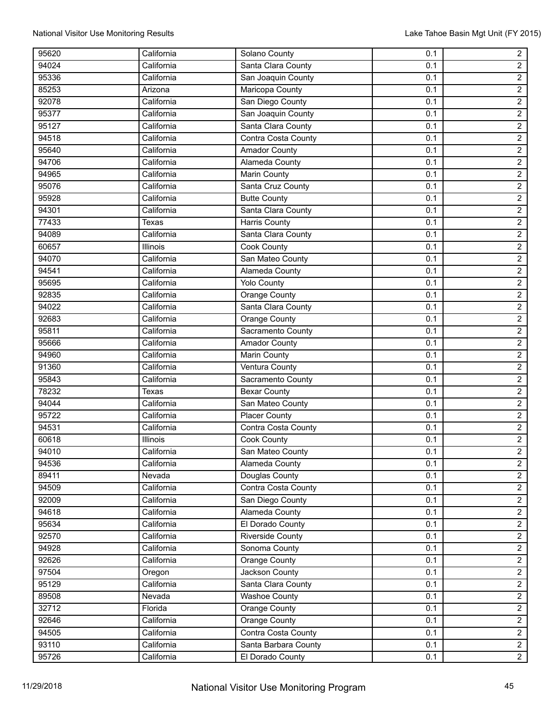| 95620 | California   | Solano County           | 0.1 | $\overline{a}$ |
|-------|--------------|-------------------------|-----|----------------|
| 94024 | California   | Santa Clara County      | 0.1 | $\overline{2}$ |
| 95336 | California   | San Joaquin County      | 0.1 | $\overline{2}$ |
| 85253 | Arizona      | Maricopa County         | 0.1 | $\overline{2}$ |
| 92078 | California   | San Diego County        | 0.1 | $\overline{2}$ |
| 95377 | California   | San Joaquin County      | 0.1 | $\overline{2}$ |
| 95127 | California   | Santa Clara County      | 0.1 | $\overline{2}$ |
| 94518 | California   | Contra Costa County     | 0.1 | $\overline{2}$ |
| 95640 | California   | <b>Amador County</b>    | 0.1 | $\overline{2}$ |
| 94706 | California   | <b>Alameda County</b>   | 0.1 | $\overline{2}$ |
| 94965 | California   | Marin County            | 0.1 | $\overline{2}$ |
| 95076 | California   | Santa Cruz County       | 0.1 | $\overline{2}$ |
| 95928 | California   | <b>Butte County</b>     | 0.1 | $\overline{2}$ |
| 94301 | California   | Santa Clara County      | 0.1 | $\overline{2}$ |
| 77433 | Texas        | <b>Harris County</b>    | 0.1 | $\overline{2}$ |
| 94089 | California   | Santa Clara County      | 0.1 | $\overline{2}$ |
| 60657 | Illinois     | Cook County             | 0.1 | $\overline{2}$ |
| 94070 | California   | San Mateo County        | 0.1 | $\overline{2}$ |
| 94541 | California   | Alameda County          | 0.1 | $\overline{2}$ |
| 95695 | California   | <b>Yolo County</b>      | 0.1 | $\overline{2}$ |
| 92835 | California   | Orange County           | 0.1 | $\overline{2}$ |
| 94022 | California   | Santa Clara County      | 0.1 | $\overline{2}$ |
| 92683 | California   | Orange County           | 0.1 | $\overline{2}$ |
| 95811 | California   | Sacramento County       | 0.1 | $\overline{2}$ |
| 95666 | California   | <b>Amador County</b>    | 0.1 | $\overline{2}$ |
| 94960 | California   | Marin County            | 0.1 | $\overline{2}$ |
| 91360 | California   | <b>Ventura County</b>   | 0.1 | $\overline{2}$ |
| 95843 | California   | Sacramento County       | 0.1 | $\overline{2}$ |
| 78232 | <b>Texas</b> | <b>Bexar County</b>     | 0.1 | $\overline{2}$ |
| 94044 | California   | San Mateo County        | 0.1 | $\overline{2}$ |
| 95722 | California   | <b>Placer County</b>    | 0.1 | $\overline{2}$ |
| 94531 | California   | Contra Costa County     | 0.1 | $\overline{2}$ |
| 60618 | Illinois     | <b>Cook County</b>      | 0.1 | $\overline{2}$ |
| 94010 | California   | San Mateo County        | 0.1 | $\overline{2}$ |
| 94536 | California   | Alameda County          | 0.1 | $\overline{2}$ |
| 89411 | Nevada       | Douglas County          | 0.1 | $\overline{2}$ |
| 94509 | California   | Contra Costa County     | 0.1 | $\overline{2}$ |
| 92009 | California   | San Diego County        | 0.1 | $\overline{2}$ |
| 94618 | California   | Alameda County          | 0.1 | $\overline{2}$ |
| 95634 | California   | El Dorado County        | 0.1 | $\overline{2}$ |
| 92570 | California   | <b>Riverside County</b> | 0.1 | $\overline{2}$ |
| 94928 | California   | Sonoma County           | 0.1 | $\overline{2}$ |
| 92626 | California   | Orange County           | 0.1 | $\overline{2}$ |
| 97504 | Oregon       | Jackson County          | 0.1 | $\overline{2}$ |
| 95129 | California   | Santa Clara County      | 0.1 | $\overline{2}$ |
| 89508 | Nevada       | <b>Washoe County</b>    | 0.1 | $\overline{2}$ |
| 32712 | Florida      | Orange County           | 0.1 | $\overline{2}$ |
| 92646 | California   | Orange County           | 0.1 | $\overline{2}$ |
| 94505 | California   | Contra Costa County     | 0.1 | $\overline{2}$ |
| 93110 | California   | Santa Barbara County    | 0.1 | $\overline{2}$ |
| 95726 | California   | El Dorado County        | 0.1 | $\overline{2}$ |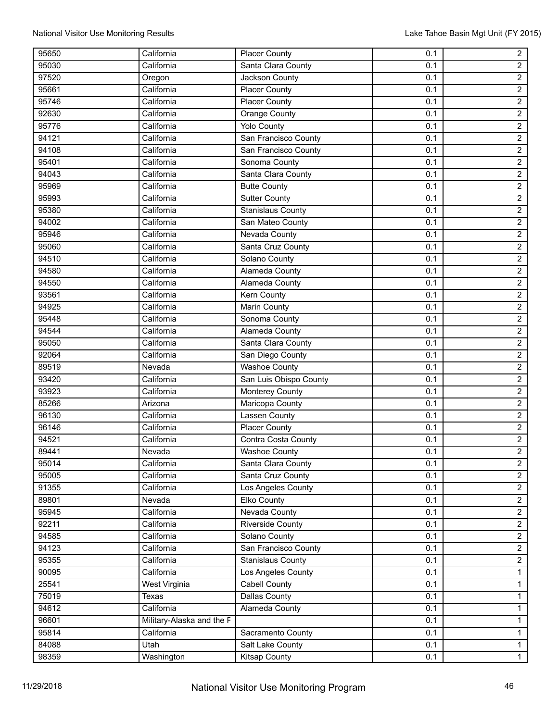| 95650 | California                | <b>Placer County</b>     | 0.1 | $\overline{2}$ |
|-------|---------------------------|--------------------------|-----|----------------|
| 95030 | California                | Santa Clara County       | 0.1 | $\overline{2}$ |
| 97520 | Oregon                    | Jackson County           | 0.1 | $\overline{2}$ |
| 95661 | California                | <b>Placer County</b>     | 0.1 | $\overline{2}$ |
| 95746 | California                | <b>Placer County</b>     | 0.1 | $\overline{2}$ |
| 92630 | California                | <b>Orange County</b>     | 0.1 | $\overline{2}$ |
| 95776 | California                | <b>Yolo County</b>       | 0.1 | $\overline{2}$ |
| 94121 | California                | San Francisco County     | 0.1 | $\overline{2}$ |
| 94108 | California                | San Francisco County     | 0.1 | $\overline{2}$ |
| 95401 | California                | Sonoma County            | 0.1 | $\overline{2}$ |
| 94043 | California                | Santa Clara County       | 0.1 | $\overline{2}$ |
| 95969 | California                | <b>Butte County</b>      | 0.1 | $\overline{2}$ |
| 95993 | California                | <b>Sutter County</b>     | 0.1 | $\overline{2}$ |
| 95380 | California                | <b>Stanislaus County</b> | 0.1 | $\overline{2}$ |
| 94002 | California                | San Mateo County         | 0.1 | $\overline{2}$ |
| 95946 | California                | <b>Nevada County</b>     | 0.1 | $\overline{2}$ |
| 95060 | California                | Santa Cruz County        | 0.1 | $\overline{2}$ |
| 94510 | California                | Solano County            | 0.1 | $\overline{2}$ |
| 94580 | California                | <b>Alameda County</b>    | 0.1 | $\overline{2}$ |
| 94550 | California                | Alameda County           | 0.1 | $\overline{2}$ |
| 93561 | California                | Kern County              | 0.1 | $\overline{2}$ |
| 94925 | California                | <b>Marin County</b>      | 0.1 | $\overline{2}$ |
| 95448 | California                | Sonoma County            | 0.1 | $\overline{2}$ |
| 94544 | California                | Alameda County           | 0.1 | $\overline{2}$ |
| 95050 | California                | Santa Clara County       | 0.1 | $\overline{2}$ |
| 92064 | California                | San Diego County         | 0.1 | $\overline{2}$ |
| 89519 | Nevada                    | <b>Washoe County</b>     | 0.1 | $\overline{2}$ |
| 93420 | California                | San Luis Obispo County   | 0.1 | $\overline{2}$ |
| 93923 | California                | Monterey County          | 0.1 | $\overline{2}$ |
| 85266 | Arizona                   | Maricopa County          | 0.1 | $\overline{2}$ |
| 96130 | California                | Lassen County            | 0.1 | $\overline{2}$ |
| 96146 | California                | <b>Placer County</b>     | 0.1 | $\overline{2}$ |
| 94521 | California                | Contra Costa County      | 0.1 | $\overline{2}$ |
| 89441 | Nevada                    | <b>Washoe County</b>     | 0.1 | $\overline{2}$ |
| 95014 | California                | Santa Clara County       | 0.1 | $\overline{2}$ |
| 95005 | California                | Santa Cruz County        | 0.1 | $\overline{2}$ |
| 91355 | California                | Los Angeles County       | 0.1 | $\overline{2}$ |
| 89801 | Nevada                    | Elko County              | 0.1 | $\overline{2}$ |
| 95945 | California                | Nevada County            | 0.1 | $\overline{2}$ |
| 92211 | California                | Riverside County         | 0.1 | $\overline{2}$ |
| 94585 | California                | Solano County            | 0.1 | $\overline{2}$ |
| 94123 | California                | San Francisco County     | 0.1 | $\overline{2}$ |
| 95355 | California                | <b>Stanislaus County</b> | 0.1 | $\overline{2}$ |
| 90095 | California                | Los Angeles County       | 0.1 | $\mathbf{1}$   |
| 25541 | West Virginia             | Cabell County            | 0.1 | $\mathbf{1}$   |
| 75019 | Texas                     | Dallas County            | 0.1 | $\overline{1}$ |
| 94612 | California                | Alameda County           | 0.1 | $\mathbf{1}$   |
| 96601 | Military-Alaska and the F |                          | 0.1 | $\mathbf{1}$   |
| 95814 | California                | Sacramento County        | 0.1 | $\overline{1}$ |
| 84088 | Utah                      | Salt Lake County         | 0.1 | $\mathbf{1}$   |
| 98359 | Washington                | <b>Kitsap County</b>     | 0.1 | $\overline{1}$ |
|       |                           |                          |     |                |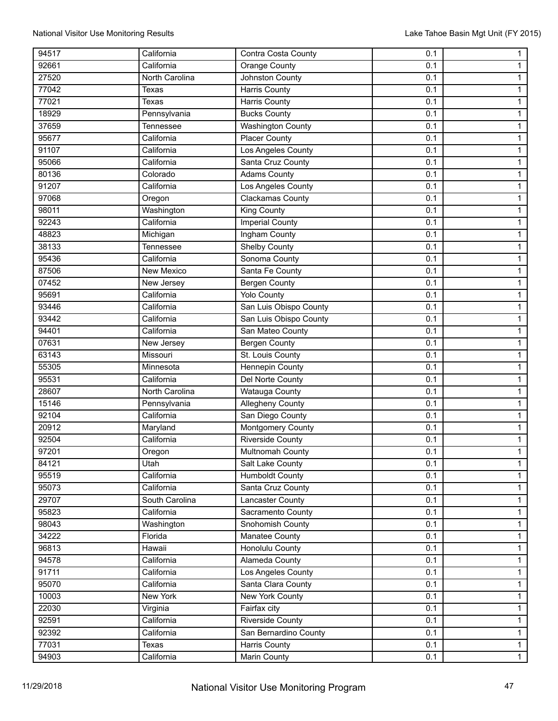| 94517          | California               | Contra Costa County                      | 0.1        | $\mathbf{1}$                   |
|----------------|--------------------------|------------------------------------------|------------|--------------------------------|
| 92661          | California               | Orange County                            | 0.1        | $\mathbf{1}$                   |
| 27520          | North Carolina           | Johnston County                          | 0.1        | $\mathbf{1}$                   |
| 77042          | <b>Texas</b>             | <b>Harris County</b>                     | 0.1        | $\mathbf{1}$                   |
| 77021          | Texas                    | <b>Harris County</b>                     | 0.1        | $\mathbf{1}$                   |
| 18929          | Pennsylvania             | <b>Bucks County</b>                      | 0.1        | $\mathbf{1}$                   |
| 37659          | Tennessee                | <b>Washington County</b>                 | 0.1        | $\mathbf{1}$                   |
| 95677          | California               | <b>Placer County</b>                     | 0.1        | $\mathbf{1}$                   |
| 91107          | California               | Los Angeles County                       | 0.1        | $\mathbf{1}$                   |
| 95066          | California               | Santa Cruz County                        | 0.1        | $\mathbf{1}$                   |
| 80136          | Colorado                 | <b>Adams County</b>                      | 0.1        | $\mathbf{1}$                   |
| 91207          | California               | Los Angeles County                       | 0.1        | $\mathbf{1}$                   |
| 97068          | Oregon                   | Clackamas County                         | 0.1        | $\mathbf{1}$                   |
| 98011          | Washington               | King County                              | 0.1        | $\mathbf{1}$                   |
| 92243          | California               | <b>Imperial County</b>                   | 0.1        | $\mathbf{1}$                   |
| 48823          | Michigan                 | Ingham County                            | 0.1        | $\mathbf{1}$                   |
| 38133          | Tennessee                | <b>Shelby County</b>                     | 0.1        | $\mathbf{1}$                   |
| 95436          | California               | Sonoma County                            | 0.1        | $\mathbf{1}$                   |
| 87506          | New Mexico               | Santa Fe County                          | 0.1        | $\mathbf{1}$                   |
| 07452          | New Jersey               | <b>Bergen County</b>                     | 0.1        | $\mathbf{1}$                   |
| 95691          | California               | <b>Yolo County</b>                       | 0.1        | $\mathbf{1}$                   |
| 93446          | California               | San Luis Obispo County                   | 0.1        | $\mathbf{1}$                   |
| 93442          | California               | San Luis Obispo County                   | 0.1        | $\mathbf{1}$                   |
| 94401          | California               | San Mateo County                         | 0.1        | $\mathbf{1}$                   |
| 07631          | New Jersey               | Bergen County                            | 0.1        | $\mathbf{1}$                   |
| 63143          | Missouri                 | St. Louis County                         | 0.1        | $\mathbf{1}$                   |
| 55305          | Minnesota                | Hennepin County                          | 0.1        | $\mathbf{1}$                   |
| 95531          | California               | Del Norte County                         | 0.1        | $\mathbf{1}$                   |
| 28607          | North Carolina           | Watauga County                           | 0.1        | $\mathbf{1}$                   |
| 15146          | Pennsylvania             | <b>Allegheny County</b>                  | 0.1        | $\mathbf{1}$                   |
| 92104          | California               | San Diego County                         | 0.1        | $\mathbf{1}$                   |
| 20912          | Maryland                 | Montgomery County                        | 0.1        | $\mathbf{1}$                   |
| 92504          | California               | <b>Riverside County</b>                  | 0.1        | $\mathbf{1}$                   |
| 97201          | Oregon                   | Multnomah County                         | 0.1        | 1                              |
| 84121          | Utah                     | Salt Lake County                         | 0.1        | $\mathbf{1}$                   |
| 95519          | California               | <b>Humboldt County</b>                   | 0.1        | $\mathbf{1}$                   |
| 95073          | California               | Santa Cruz County                        | 0.1        | $\mathbf{1}$                   |
| 29707          | South Carolina           | Lancaster County                         | 0.1        | $\mathbf{1}$                   |
| 95823          | California               | Sacramento County                        | 0.1        | $\overline{1}$                 |
| 98043          | Washington               | Snohomish County                         | 0.1        | $\overline{1}$                 |
| 34222          | Florida                  | Manatee County                           | 0.1        | $\mathbf{1}$                   |
| 96813          | Hawaii                   | <b>Honolulu County</b>                   | 0.1        | $\mathbf{1}$                   |
| 94578          | California               | Alameda County                           | 0.1        | $\mathbf{1}$                   |
|                |                          |                                          |            |                                |
| 91711<br>95070 | California<br>California | Los Angeles County<br>Santa Clara County | 0.1<br>0.1 | $\mathbf{1}$<br>$\overline{1}$ |
|                |                          |                                          |            |                                |
| 10003          | New York                 | New York County                          | 0.1        | $\mathbf{1}$                   |
| 22030          | Virginia                 | Fairfax city                             | 0.1        | $\mathbf{1}$                   |
| 92591          | California               | <b>Riverside County</b>                  | 0.1        | $\overline{1}$                 |
| 92392          | California               | San Bernardino County                    | 0.1        | $\mathbf{1}$                   |
| 77031          | Texas                    | Harris County                            | 0.1        | $\mathbf{1}$                   |
| 94903          | California               | Marin County                             | 0.1        | $\overline{1}$                 |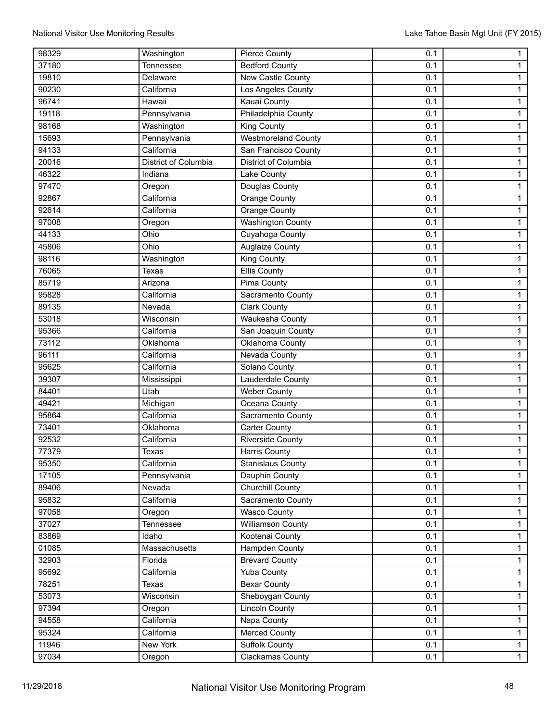| 98329 | Washington                  | Pierce County            | 0.1 | $\mathbf{1}$   |
|-------|-----------------------------|--------------------------|-----|----------------|
| 37180 | Tennessee                   | <b>Bedford County</b>    | 0.1 | $\mathbf{1}$   |
| 19810 | Delaware                    | <b>New Castle County</b> | 0.1 | $\mathbf{1}$   |
| 90230 | California                  | Los Angeles County       | 0.1 | $\mathbf{1}$   |
| 96741 | Hawaii                      | Kauai County             | 0.1 | $\mathbf{1}$   |
| 19118 | Pennsylvania                | Philadelphia County      | 0.1 | $\overline{1}$ |
| 98168 | Washington                  | <b>King County</b>       | 0.1 | $\mathbf{1}$   |
| 15693 | Pennsylvania                | Westmoreland County      | 0.1 | $\mathbf{1}$   |
| 94133 | California                  | San Francisco County     | 0.1 | $\mathbf{1}$   |
| 20016 | <b>District of Columbia</b> | District of Columbia     | 0.1 | $\mathbf{1}$   |
| 46322 | Indiana                     | Lake County              | 0.1 | $\mathbf{1}$   |
| 97470 | Oregon                      | Douglas County           | 0.1 | $\mathbf{1}$   |
| 92867 | California                  | Orange County            | 0.1 | $\mathbf{1}$   |
| 92614 | California                  | Orange County            | 0.1 | $\mathbf{1}$   |
| 97008 | Oregon                      | <b>Washington County</b> | 0.1 | $\mathbf{1}$   |
| 44133 | Ohio                        | Cuyahoga County          | 0.1 | $\mathbf{1}$   |
| 45806 | Ohio                        | Auglaize County          | 0.1 | 1              |
| 98116 | Washington                  | King County              | 0.1 | $\overline{1}$ |
| 76065 | Texas                       | <b>Ellis County</b>      | 0.1 | $\mathbf{1}$   |
| 85719 | Arizona                     | Pima County              | 0.1 | $\mathbf{1}$   |
| 95828 | California                  | Sacramento County        | 0.1 | $\mathbf{1}$   |
| 89135 | Nevada                      | <b>Clark County</b>      | 0.1 | 1              |
| 53018 | Wisconsin                   | Waukesha County          | 0.1 | $\mathbf{1}$   |
| 95366 | California                  | San Joaquin County       | 0.1 | $\mathbf{1}$   |
| 73112 | Oklahoma                    | Oklahoma County          | 0.1 | $\mathbf{1}$   |
| 96111 | California                  | Nevada County            | 0.1 | $\mathbf{1}$   |
| 95625 | California                  | Solano County            | 0.1 | $\mathbf{1}$   |
| 39307 | Mississippi                 | Lauderdale County        | 0.1 | $\mathbf{1}$   |
| 84401 | Utah                        | <b>Weber County</b>      | 0.1 | 1              |
| 49421 | Michigan                    | Oceana County            | 0.1 | $\overline{1}$ |
| 95864 | California                  | Sacramento County        | 0.1 | $\mathbf{1}$   |
| 73401 | Oklahoma                    | <b>Carter County</b>     | 0.1 | $\mathbf{1}$   |
| 92532 | California                  | <b>Riverside County</b>  | 0.1 | $\mathbf{1}$   |
| 77379 | Texas                       | <b>Harris County</b>     | 0.1 | $\mathbf{1}$   |
| 95350 | California                  | <b>Stanislaus County</b> | 0.1 | $\mathbf{1}$   |
| 17105 | Pennsylvania                | Dauphin County           | 0.1 | $\mathbf{1}$   |
| 89406 | Nevada                      | <b>Churchill County</b>  | 0.1 | $\mathbf{1}$   |
| 95832 | California                  | Sacramento County        | 0.1 | $\mathbf{1}$   |
| 97058 | Oregon                      | <b>Wasco County</b>      | 0.1 | $\overline{1}$ |
| 37027 | Tennessee                   | Williamson County        | 0.1 | $\mathbf{1}$   |
| 83869 | Idaho                       | Kootenai County          | 0.1 | $\mathbf{1}$   |
| 01085 | Massachusetts               | <b>Hampden County</b>    | 0.1 | $\mathbf{1}$   |
| 32903 | Florida                     | <b>Brevard County</b>    | 0.1 | $\mathbf{1}$   |
| 95692 | California                  | Yuba County              | 0.1 | $\mathbf{1}$   |
| 78251 | Texas                       | <b>Bexar County</b>      | 0.1 | $\overline{1}$ |
| 53073 | Wisconsin                   | Sheboygan County         | 0.1 | $\mathbf{1}$   |
| 97394 | Oregon                      | <b>Lincoln County</b>    | 0.1 | $\mathbf{1}$   |
| 94558 | California                  | Napa County              | 0.1 | $\mathbf{1}$   |
| 95324 | California                  | <b>Merced County</b>     | 0.1 | $\mathbf{1}$   |
| 11946 | New York                    | <b>Suffolk County</b>    | 0.1 | $\mathbf{1}$   |
| 97034 | Oregon                      | Clackamas County         | 0.1 | $\overline{1}$ |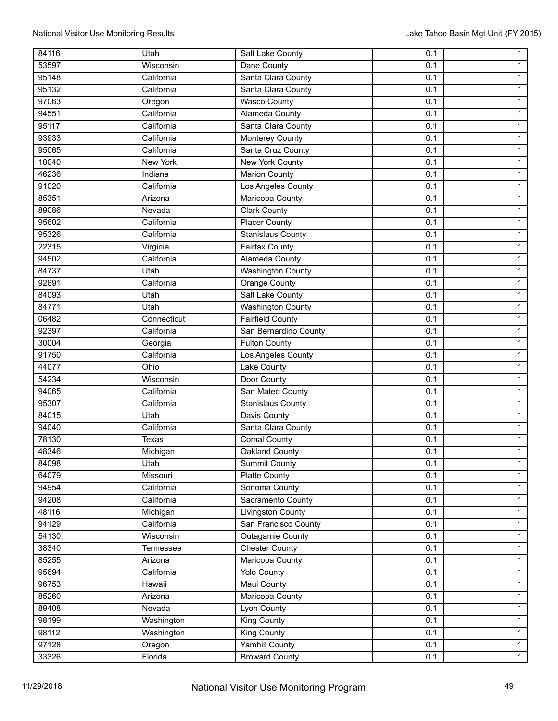| 84116 | Utah         | Salt Lake County         | 0.1 | $\mathbf{1}$   |
|-------|--------------|--------------------------|-----|----------------|
| 53597 | Wisconsin    | Dane County              | 0.1 | $\mathbf{1}$   |
| 95148 | California   | Santa Clara County       | 0.1 | $\mathbf{1}$   |
| 95132 | California   | Santa Clara County       | 0.1 | $\mathbf{1}$   |
| 97063 | Oregon       | <b>Wasco County</b>      | 0.1 | $\mathbf{1}$   |
| 94551 | California   | Alameda County           | 0.1 | $\overline{1}$ |
| 95117 | California   | Santa Clara County       | 0.1 | $\mathbf{1}$   |
| 93933 | California   | Monterey County          | 0.1 | $\mathbf{1}$   |
| 95065 | California   | Santa Cruz County        | 0.1 | $\mathbf{1}$   |
| 10040 | New York     | <b>New York County</b>   | 0.1 | $\mathbf{1}$   |
| 46236 | Indiana      | <b>Marion County</b>     | 0.1 | $\mathbf{1}$   |
| 91020 | California   | Los Angeles County       | 0.1 | $\mathbf{1}$   |
| 85351 | Arizona      | Maricopa County          | 0.1 | $\mathbf{1}$   |
| 89086 | Nevada       | <b>Clark County</b>      | 0.1 | $\mathbf{1}$   |
| 95602 | California   | <b>Placer County</b>     | 0.1 | $\mathbf{1}$   |
| 95326 | California   | <b>Stanislaus County</b> | 0.1 | $\mathbf{1}$   |
| 22315 | Virginia     | Fairfax County           | 0.1 | 1              |
| 94502 | California   | Alameda County           | 0.1 | $\overline{1}$ |
| 84737 | Utah         | <b>Washington County</b> | 0.1 | $\mathbf{1}$   |
| 92691 | California   | Orange County            | 0.1 | $\mathbf{1}$   |
| 84093 | Utah         | Salt Lake County         | 0.1 | $\mathbf{1}$   |
| 84771 | Utah         | <b>Washington County</b> | 0.1 | 1              |
| 06482 | Connecticut  | <b>Fairfield County</b>  | 0.1 | $\mathbf{1}$   |
| 92397 | California   | San Bernardino County    | 0.1 | $\mathbf{1}$   |
| 30004 | Georgia      | Fulton County            | 0.1 | $\mathbf{1}$   |
| 91750 | California   | Los Angeles County       | 0.1 | $\mathbf{1}$   |
| 44077 | Ohio         | Lake County              | 0.1 | $\mathbf{1}$   |
| 54234 | Wisconsin    | Door County              | 0.1 | $\mathbf{1}$   |
| 94065 | California   | San Mateo County         | 0.1 | $\mathbf{1}$   |
| 95307 | California   | <b>Stanislaus County</b> | 0.1 | $\overline{1}$ |
| 84015 | Utah         | Davis County             | 0.1 | $\mathbf{1}$   |
| 94040 | California   | Santa Clara County       | 0.1 | $\mathbf{1}$   |
| 78130 | <b>Texas</b> | <b>Comal County</b>      | 0.1 | $\mathbf{1}$   |
| 48346 | Michigan     | Oakland County           | 0.1 | $\mathbf{1}$   |
| 84098 | Utah         | <b>Summit County</b>     | 0.1 | $\mathbf{1}$   |
| 64079 | Missouri     | Platte County            | 0.1 | $\mathbf{1}$   |
| 94954 | California   | Sonoma County            | 0.1 | $\mathbf{1}$   |
| 94208 | California   | Sacramento County        | 0.1 | $\mathbf{1}$   |
| 48116 | Michigan     | <b>Livingston County</b> | 0.1 | $\overline{1}$ |
| 94129 | California   | San Francisco County     | 0.1 | $\mathbf{1}$   |
| 54130 | Wisconsin    | Outagamie County         | 0.1 | 1              |
| 38340 | Tennessee    | <b>Chester County</b>    | 0.1 | $\mathbf{1}$   |
| 85255 | Arizona      | Maricopa County          | 0.1 | $\mathbf{1}$   |
| 95694 | California   | <b>Yolo County</b>       | 0.1 | $\overline{1}$ |
| 96753 | Hawaii       | Maui County              | 0.1 | $\overline{1}$ |
| 85260 | Arizona      | Maricopa County          | 0.1 | $\mathbf{1}$   |
| 89408 | Nevada       | Lyon County              | 0.1 | $\mathbf{1}$   |
| 98199 | Washington   | <b>King County</b>       | 0.1 | $\mathbf{1}$   |
| 98112 | Washington   | King County              | 0.1 | $\mathbf{1}$   |
| 97128 | Oregon       | Yamhill County           | 0.1 | $\mathbf{1}$   |
| 33326 | Florida      | <b>Broward County</b>    | 0.1 | $\overline{1}$ |
|       |              |                          |     |                |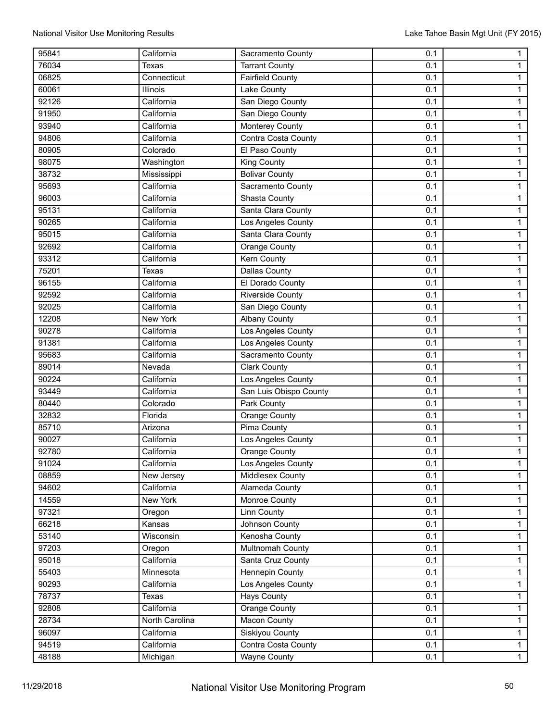| 95841 | California     | Sacramento County       | 0.1        | $\mathbf{1}$   |
|-------|----------------|-------------------------|------------|----------------|
| 76034 | <b>Texas</b>   | <b>Tarrant County</b>   | 0.1        | $\mathbf{1}$   |
| 06825 | Connecticut    | <b>Fairfield County</b> | 0.1        | $\mathbf{1}$   |
| 60061 | Illinois       | Lake County             | 0.1        | $\mathbf{1}$   |
| 92126 | California     | San Diego County        | 0.1        | 1              |
| 91950 | California     | San Diego County        | 0.1        | $\overline{1}$ |
| 93940 | California     | Monterey County         | 0.1        | 1              |
| 94806 | California     | Contra Costa County     | 0.1        | $\mathbf{1}$   |
| 80905 | Colorado       | El Paso County          | 0.1        | $\mathbf{1}$   |
| 98075 | Washington     | King County             | 0.1        | 1              |
| 38732 | Mississippi    | <b>Bolivar County</b>   | 0.1        | $\mathbf{1}$   |
| 95693 | California     | Sacramento County       | 0.1        | $\mathbf{1}$   |
| 96003 | California     | Shasta County           | 0.1        | $\mathbf{1}$   |
| 95131 | California     | Santa Clara County      | 0.1        | $\mathbf{1}$   |
| 90265 | California     | Los Angeles County      | 0.1        | $\mathbf{1}$   |
| 95015 | California     | Santa Clara County      | 0.1        | $\mathbf{1}$   |
| 92692 | California     | Orange County           | 0.1        | 1              |
| 93312 | California     | <b>Kern County</b>      | 0.1        | $\overline{1}$ |
| 75201 | Texas          | <b>Dallas County</b>    | 0.1        | $\mathbf{1}$   |
| 96155 | California     | El Dorado County        | 0.1        | $\mathbf{1}$   |
| 92592 | California     | <b>Riverside County</b> | 0.1        | $\mathbf{1}$   |
| 92025 | California     | San Diego County        | 0.1        | 1              |
| 12208 | New York       | <b>Albany County</b>    | 0.1        | $\mathbf{1}$   |
| 90278 | California     | Los Angeles County      | 0.1        | $\mathbf{1}$   |
| 91381 | California     | Los Angeles County      | 0.1        | $\mathbf{1}$   |
| 95683 | California     | Sacramento County       |            |                |
| 89014 | Nevada         | <b>Clark County</b>     | 0.1<br>0.1 | $\mathbf{1}$   |
| 90224 |                |                         |            | $\mathbf{1}$   |
|       | California     | Los Angeles County      | 0.1        | $\mathbf{1}$   |
| 93449 | California     | San Luis Obispo County  | 0.1        | 1              |
| 80440 | Colorado       | Park County             | 0.1        | $\overline{1}$ |
| 32832 | Florida        | Orange County           | 0.1        | $\mathbf{1}$   |
| 85710 | Arizona        | Pima County             | 0.1        | $\mathbf{1}$   |
| 90027 | California     | Los Angeles County      | 0.1        | $\mathbf{1}$   |
| 92780 | California     | Orange County           | 0.1        | $\mathbf{1}$   |
| 91024 | California     | Los Angeles County      | 0.1        | $\mathbf{1}$   |
| 08859 | New Jersey     | <b>Middlesex County</b> | 0.1        | $\mathbf{1}$   |
| 94602 | California     | Alameda County          | 0.1        | $\mathbf{1}$   |
| 14559 | New York       | Monroe County           | 0.1        | $\mathbf{1}$   |
| 97321 | Oregon         | <b>Linn County</b>      | 0.1        | $\overline{1}$ |
| 66218 | Kansas         | Johnson County          | 0.1        | $\mathbf{1}$   |
| 53140 | Wisconsin      | Kenosha County          | 0.1        | $\mathbf{1}$   |
| 97203 | Oregon         | Multnomah County        | 0.1        | $\overline{1}$ |
| 95018 | California     | Santa Cruz County       | 0.1        | $\mathbf{1}$   |
| 55403 | Minnesota      | Hennepin County         | 0.1        | $\mathbf{1}$   |
| 90293 | California     | Los Angeles County      | 0.1        | $\overline{1}$ |
| 78737 | Texas          | <b>Hays County</b>      | 0.1        | $\mathbf{1}$   |
| 92808 | California     | Orange County           | 0.1        | $\mathbf{1}$   |
| 28734 | North Carolina | <b>Macon County</b>     | 0.1        | $\mathbf{1}$   |
| 96097 | California     | Siskiyou County         | 0.1        | $\mathbf{1}$   |
| 94519 | California     | Contra Costa County     | 0.1        | $\mathbf{1}$   |
| 48188 | Michigan       | <b>Wayne County</b>     | 0.1        | $\overline{1}$ |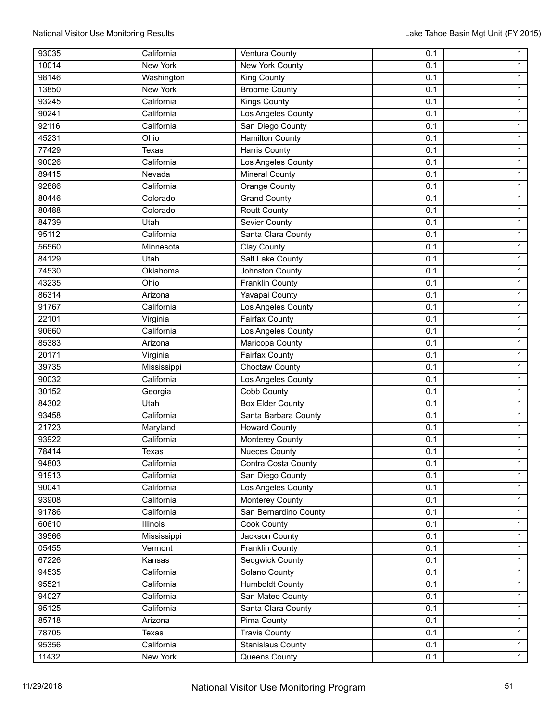| 93035 | California  | Ventura County           | 0.1 | $\mathbf{1}$   |
|-------|-------------|--------------------------|-----|----------------|
| 10014 | New York    | New York County          | 0.1 | $\mathbf{1}$   |
| 98146 | Washington  | King County              | 0.1 | $\mathbf{1}$   |
| 13850 | New York    | <b>Broome County</b>     | 0.1 | $\mathbf{1}$   |
| 93245 | California  | Kings County             | 0.1 | $\mathbf{1}$   |
| 90241 | California  | Los Angeles County       | 0.1 | $\overline{1}$ |
| 92116 | California  | San Diego County         | 0.1 | $\mathbf{1}$   |
| 45231 | Ohio        | Hamilton County          | 0.1 | $\mathbf{1}$   |
| 77429 | Texas       | <b>Harris County</b>     | 0.1 | $\mathbf{1}$   |
| 90026 | California  | Los Angeles County       | 0.1 | $\mathbf{1}$   |
| 89415 | Nevada      | <b>Mineral County</b>    | 0.1 | $\mathbf{1}$   |
| 92886 | California  | <b>Orange County</b>     | 0.1 | $\mathbf{1}$   |
| 80446 | Colorado    | <b>Grand County</b>      | 0.1 | $\mathbf{1}$   |
| 80488 | Colorado    | <b>Routt County</b>      | 0.1 | $\mathbf{1}$   |
| 84739 | Utah        | <b>Sevier County</b>     | 0.1 | $\mathbf{1}$   |
| 95112 | California  | Santa Clara County       | 0.1 | $\mathbf{1}$   |
| 56560 | Minnesota   | Clay County              | 0.1 | 1              |
| 84129 | Utah        | Salt Lake County         | 0.1 | $\overline{1}$ |
| 74530 | Oklahoma    | Johnston County          | 0.1 | $\mathbf{1}$   |
| 43235 | Ohio        | <b>Franklin County</b>   | 0.1 | $\mathbf{1}$   |
| 86314 | Arizona     | Yavapai County           | 0.1 | $\mathbf{1}$   |
| 91767 | California  | Los Angeles County       | 0.1 | 1              |
| 22101 | Virginia    | Fairfax County           | 0.1 | $\mathbf{1}$   |
| 90660 | California  | Los Angeles County       | 0.1 | $\mathbf{1}$   |
| 85383 | Arizona     | Maricopa County          | 0.1 | $\mathbf{1}$   |
| 20171 | Virginia    | Fairfax County           | 0.1 | $\mathbf{1}$   |
| 39735 | Mississippi | <b>Choctaw County</b>    | 0.1 | $\mathbf{1}$   |
| 90032 | California  | Los Angeles County       | 0.1 | $\mathbf{1}$   |
| 30152 | Georgia     | Cobb County              | 0.1 | $\mathbf{1}$   |
| 84302 | Utah        | <b>Box Elder County</b>  | 0.1 | $\overline{1}$ |
| 93458 | California  | Santa Barbara County     | 0.1 | $\mathbf{1}$   |
| 21723 | Maryland    | <b>Howard County</b>     | 0.1 | $\mathbf{1}$   |
| 93922 | California  | <b>Monterey County</b>   | 0.1 | $\mathbf{1}$   |
| 78414 | Texas       | <b>Nueces County</b>     | 0.1 | $\mathbf{1}$   |
| 94803 | California  | Contra Costa County      | 0.1 | $\mathbf{1}$   |
| 91913 | California  | San Diego County         | 0.1 | $\mathbf{1}$   |
| 90041 | California  | Los Angeles County       | 0.1 | $\mathbf{1}$   |
| 93908 | California  | Monterey County          | 0.1 | $\mathbf{1}$   |
| 91786 | California  | San Bernardino County    | 0.1 | $\overline{1}$ |
| 60610 | Illinois    | Cook County              | 0.1 | $\mathbf{1}$   |
| 39566 | Mississippi | Jackson County           | 0.1 | 1              |
| 05455 | Vermont     | <b>Franklin County</b>   | 0.1 | $\mathbf{1}$   |
| 67226 | Kansas      | Sedgwick County          | 0.1 | $\mathbf{1}$   |
| 94535 | California  | Solano County            | 0.1 | $\overline{1}$ |
| 95521 | California  | <b>Humboldt County</b>   | 0.1 | $\overline{1}$ |
| 94027 | California  | San Mateo County         | 0.1 | $\mathbf{1}$   |
| 95125 | California  | Santa Clara County       | 0.1 | $\mathbf{1}$   |
| 85718 | Arizona     | Pima County              | 0.1 | $\mathbf{1}$   |
| 78705 | Texas       | <b>Travis County</b>     | 0.1 | $\mathbf{1}$   |
| 95356 | California  | <b>Stanislaus County</b> | 0.1 | $\mathbf{1}$   |
| 11432 | New York    | Queens County            | 0.1 | $\overline{1}$ |
|       |             |                          |     |                |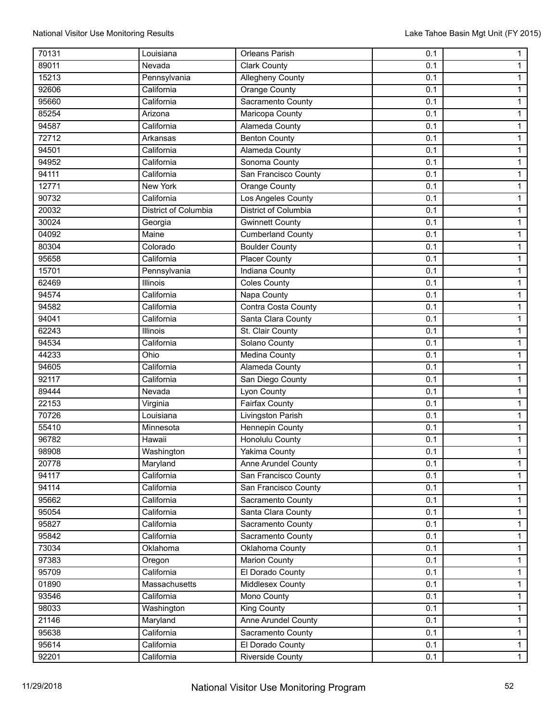| 70131          | Louisiana            | Orleans Parish           | 0.1        | $\mathbf{1}$   |
|----------------|----------------------|--------------------------|------------|----------------|
| 89011          | Nevada               | <b>Clark County</b>      | 0.1        | $\mathbf{1}$   |
| 15213          | Pennsylvania         | <b>Allegheny County</b>  | 0.1        | $\mathbf{1}$   |
| 92606          | California           | <b>Orange County</b>     | 0.1        | $\mathbf{1}$   |
| 95660          | California           | Sacramento County        | 0.1        | $\mathbf{1}$   |
| 85254          | Arizona              | Maricopa County          | 0.1        | $\mathbf{1}$   |
| 94587          | California           | <b>Alameda County</b>    | 0.1        | $\mathbf{1}$   |
| 72712          | Arkansas             | <b>Benton County</b>     | 0.1        | $\mathbf{1}$   |
| 94501          | California           | Alameda County           | 0.1        | $\mathbf{1}$   |
| 94952          | California           | Sonoma County            | 0.1        | $\mathbf{1}$   |
| 94111          | California           | San Francisco County     | 0.1        | $\mathbf{1}$   |
| 12771          | <b>New York</b>      | <b>Orange County</b>     | 0.1        | 1              |
| 90732          | California           | Los Angeles County       | 0.1        | $\mathbf{1}$   |
| 20032          | District of Columbia | District of Columbia     | 0.1        | $\mathbf{1}$   |
| 30024          | Georgia              | <b>Gwinnett County</b>   | 0.1        | $\mathbf{1}$   |
| 04092          | Maine                | <b>Cumberland County</b> | 0.1        | $\mathbf{1}$   |
| 80304          | Colorado             | <b>Boulder County</b>    | 0.1        | $\mathbf{1}$   |
| 95658          | California           | <b>Placer County</b>     | 0.1        | $\mathbf{1}$   |
| 15701          | Pennsylvania         | <b>Indiana County</b>    | 0.1        | $\mathbf{1}$   |
| 62469          | Illinois             | <b>Coles County</b>      | 0.1        | $\mathbf{1}$   |
| 94574          | California           | Napa County              | 0.1        | $\mathbf{1}$   |
| 94582          | California           | Contra Costa County      | 0.1        | $\mathbf{1}$   |
| 94041          | California           | Santa Clara County       | 0.1        | $\mathbf{1}$   |
| 62243          | Illinois             | St. Clair County         | 0.1        | 1              |
| 94534          | California           | Solano County            | 0.1        | $\mathbf{1}$   |
| 44233          | Ohio                 |                          |            |                |
| 94605          | California           | Medina County            | 0.1<br>0.1 | $\mathbf{1}$   |
| 92117          | California           | Alameda County           | 0.1        | $\mathbf{1}$   |
|                |                      | San Diego County         |            | $\mathbf{1}$   |
| 89444          | Nevada               | Lyon County              | 0.1        | $\mathbf{1}$   |
| 22153<br>70726 | Virginia             | <b>Fairfax County</b>    | 0.1        | $\mathbf{1}$   |
|                | Louisiana            | Livingston Parish        | 0.1        | $\mathbf{1}$   |
| 55410          | Minnesota            | Hennepin County          | 0.1        | $\mathbf{1}$   |
| 96782          | Hawaii               | <b>Honolulu County</b>   | 0.1        | $\mathbf{1}$   |
| 98908          | Washington           | <b>Yakima County</b>     | 0.1        | $\mathbf{1}$   |
| 20778          | Maryland             | Anne Arundel County      | 0.1        | $\mathbf{1}$   |
| 94117          | California           | San Francisco County     | 0.1        | $\mathbf{1}$   |
| 94114          | California           | San Francisco County     | 0.1        | $\overline{1}$ |
| 95662          | California           | Sacramento County        | 0.1        | $\mathbf{1}$   |
| 95054          | California           | Santa Clara County       | 0.1        | $\overline{1}$ |
| 95827          | California           | Sacramento County        | 0.1        | $\overline{1}$ |
| 95842          | California           | Sacramento County        | 0.1        | $\mathbf{1}$   |
| 73034          | Oklahoma             | Oklahoma County          | 0.1        | $\mathbf{1}$   |
| 97383          | Oregon               | <b>Marion County</b>     | 0.1        | $\mathbf{1}$   |
| 95709          | California           | El Dorado County         | 0.1        | $\mathbf{1}$   |
| 01890          | Massachusetts        | Middlesex County         | 0.1        | $\mathbf{1}$   |
| 93546          | California           | Mono County              | 0.1        | $\overline{1}$ |
| 98033          | Washington           | King County              | 0.1        | $\mathbf{1}$   |
| 21146          | Maryland             | Anne Arundel County      | 0.1        | $\mathbf{1}$   |
| 95638          | California           | Sacramento County        | 0.1        | $\overline{1}$ |
| 95614          | California           | El Dorado County         | 0.1        | $\mathbf{1}$   |
| 92201          | California           | Riverside County         | 0.1        | $\overline{1}$ |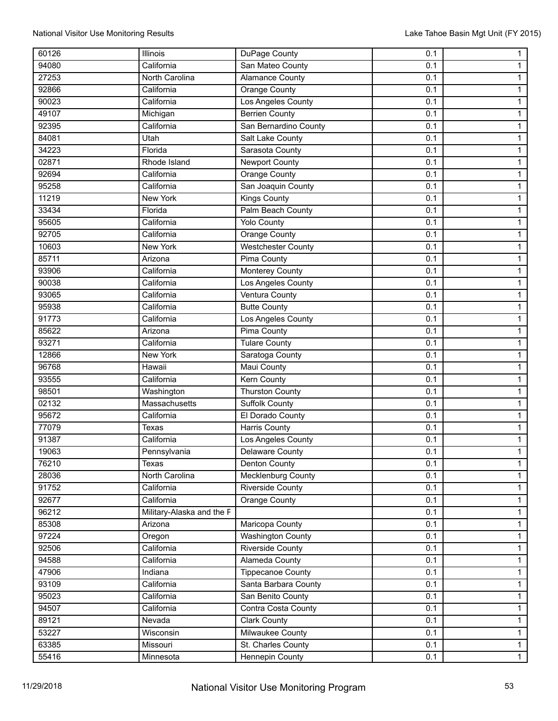| 60126 | Illinois                  | DuPage County             | 0.1 | $\mathbf{1}$   |
|-------|---------------------------|---------------------------|-----|----------------|
| 94080 | California                | San Mateo County          | 0.1 | $\mathbf{1}$   |
| 27253 | North Carolina            | Alamance County           | 0.1 | 1              |
| 92866 | California                | Orange County             | 0.1 | $\mathbf{1}$   |
| 90023 | California                | Los Angeles County        | 0.1 | $\mathbf{1}$   |
| 49107 | Michigan                  | <b>Berrien County</b>     | 0.1 | $\mathbf{1}$   |
| 92395 | California                | San Bernardino County     | 0.1 | $\mathbf{1}$   |
| 84081 | Utah                      | Salt Lake County          | 0.1 | $\mathbf{1}$   |
| 34223 | Florida                   | Sarasota County           | 0.1 | $\mathbf{1}$   |
| 02871 | Rhode Island              | <b>Newport County</b>     | 0.1 | $\mathbf{1}$   |
| 92694 | California                | Orange County             | 0.1 | $\mathbf{1}$   |
| 95258 | California                | San Joaquin County        | 0.1 | $\mathbf{1}$   |
| 11219 | <b>New York</b>           | <b>Kings County</b>       | 0.1 | $\mathbf{1}$   |
| 33434 | Florida                   | Palm Beach County         | 0.1 | $\mathbf{1}$   |
| 95605 | California                | <b>Yolo County</b>        | 0.1 | 1              |
| 92705 | California                | Orange County             | 0.1 | $\mathbf{1}$   |
| 10603 | New York                  | <b>Westchester County</b> | 0.1 | $\mathbf{1}$   |
| 85711 | Arizona                   | <b>Pima County</b>        | 0.1 | $\mathbf{1}$   |
| 93906 | California                | <b>Monterey County</b>    | 0.1 | $\mathbf{1}$   |
| 90038 | California                | Los Angeles County        | 0.1 | $\mathbf{1}$   |
| 93065 | California                | Ventura County            | 0.1 | $\mathbf{1}$   |
| 95938 | California                | <b>Butte County</b>       | 0.1 | $\mathbf{1}$   |
| 91773 | California                | Los Angeles County        | 0.1 | $\mathbf{1}$   |
| 85622 | Arizona                   | <b>Pima County</b>        | 0.1 | $\mathbf{1}$   |
| 93271 | California                | <b>Tulare County</b>      | 0.1 | $\mathbf{1}$   |
| 12866 | New York                  | Saratoga County           | 0.1 | $\mathbf{1}$   |
| 96768 | Hawaii                    | <b>Maui County</b>        | 0.1 | 1              |
| 93555 | California                | <b>Kern County</b>        | 0.1 | $\mathbf{1}$   |
| 98501 | Washington                | <b>Thurston County</b>    | 0.1 | $\mathbf{1}$   |
| 02132 | Massachusetts             | <b>Suffolk County</b>     | 0.1 | $\mathbf{1}$   |
| 95672 | California                | El Dorado County          | 0.1 | $\mathbf{1}$   |
| 77079 | Texas                     | <b>Harris County</b>      | 0.1 | $\mathbf{1}$   |
| 91387 | California                | Los Angeles County        | 0.1 | $\mathbf{1}$   |
| 19063 | Pennsylvania              | Delaware County           | 0.1 | $\mathbf{1}$   |
| 76210 | Texas                     | Denton County             | 0.1 | $\mathbf{1}$   |
| 28036 | North Carolina            | Mecklenburg County        | 0.1 | $\mathbf{1}$   |
| 91752 | California                | <b>Riverside County</b>   | 0.1 | $\mathbf{1}$   |
| 92677 | California                | Orange County             | 0.1 | $\mathbf{1}$   |
| 96212 | Military-Alaska and the F |                           | 0.1 | $\mathbf{1}$   |
| 85308 | Arizona                   | Maricopa County           | 0.1 | $\mathbf{1}$   |
| 97224 | Oregon                    | <b>Washington County</b>  | 0.1 | $\mathbf{1}$   |
| 92506 | California                | <b>Riverside County</b>   | 0.1 | $\mathbf{1}$   |
| 94588 | California                | Alameda County            | 0.1 | $\mathbf{1}$   |
| 47906 | Indiana                   | <b>Tippecanoe County</b>  | 0.1 | $\mathbf{1}$   |
| 93109 | California                | Santa Barbara County      | 0.1 | $\mathbf{1}$   |
| 95023 | California                | San Benito County         | 0.1 | $\mathbf{1}$   |
| 94507 | California                | Contra Costa County       | 0.1 | $\mathbf{1}$   |
| 89121 | Nevada                    | <b>Clark County</b>       | 0.1 | $\mathbf{1}$   |
| 53227 | Wisconsin                 | <b>Milwaukee County</b>   | 0.1 | $\overline{1}$ |
| 63385 | Missouri                  | St. Charles County        | 0.1 | $\mathbf{1}$   |
| 55416 | Minnesota                 | Hennepin County           | 0.1 | $\overline{1}$ |
|       |                           |                           |     |                |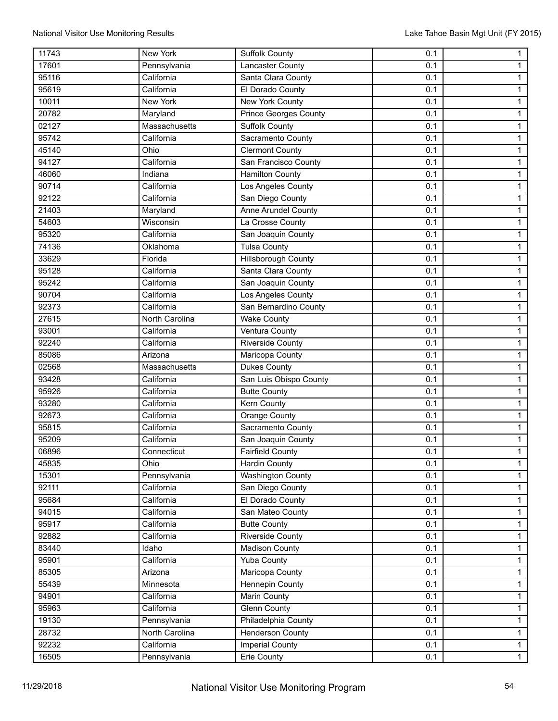| 11743 | <b>New York</b> | <b>Suffolk County</b>        | 0.1 | $\mathbf{1}$   |
|-------|-----------------|------------------------------|-----|----------------|
| 17601 | Pennsylvania    | Lancaster County             | 0.1 | $\mathbf{1}$   |
| 95116 | California      | Santa Clara County           | 0.1 | $\mathbf{1}$   |
| 95619 | California      | El Dorado County             | 0.1 | $\mathbf{1}$   |
| 10011 | New York        | <b>New York County</b>       | 0.1 | $\mathbf{1}$   |
| 20782 | Maryland        | <b>Prince Georges County</b> | 0.1 | $\mathbf{1}$   |
| 02127 | Massachusetts   | <b>Suffolk County</b>        | 0.1 | $\mathbf{1}$   |
| 95742 | California      | Sacramento County            | 0.1 | $\mathbf{1}$   |
| 45140 | Ohio            | <b>Clermont County</b>       | 0.1 | $\mathbf{1}$   |
| 94127 | California      | San Francisco County         | 0.1 | $\mathbf{1}$   |
| 46060 | Indiana         | <b>Hamilton County</b>       | 0.1 | $\mathbf{1}$   |
| 90714 | California      | Los Angeles County           | 0.1 | 1              |
| 92122 | California      | San Diego County             | 0.1 | $\mathbf{1}$   |
| 21403 | Maryland        | Anne Arundel County          | 0.1 | $\mathbf{1}$   |
| 54603 | Wisconsin       | La Crosse County             | 0.1 | $\mathbf{1}$   |
| 95320 | California      | San Joaquin County           | 0.1 | $\mathbf{1}$   |
| 74136 | Oklahoma        | <b>Tulsa County</b>          | 0.1 | $\mathbf{1}$   |
| 33629 | Florida         | <b>Hillsborough County</b>   | 0.1 | $\mathbf{1}$   |
| 95128 | California      | Santa Clara County           | 0.1 | $\mathbf{1}$   |
| 95242 | California      | San Joaquin County           | 0.1 | $\mathbf{1}$   |
| 90704 | California      | Los Angeles County           | 0.1 | $\mathbf{1}$   |
| 92373 | California      | San Bernardino County        | 0.1 | $\mathbf{1}$   |
| 27615 | North Carolina  | <b>Wake County</b>           | 0.1 | $\mathbf{1}$   |
| 93001 | California      | <b>Ventura County</b>        | 0.1 | 1              |
| 92240 | California      | <b>Riverside County</b>      | 0.1 | $\mathbf{1}$   |
| 85086 | Arizona         | Maricopa County              | 0.1 | $\mathbf{1}$   |
| 02568 | Massachusetts   | <b>Dukes County</b>          | 0.1 | $\mathbf{1}$   |
| 93428 | California      | San Luis Obispo County       | 0.1 | $\mathbf{1}$   |
| 95926 | California      | <b>Butte County</b>          | 0.1 | $\mathbf{1}$   |
| 93280 | California      | Kern County                  | 0.1 | $\mathbf{1}$   |
| 92673 | California      | <b>Orange County</b>         | 0.1 | $\mathbf{1}$   |
| 95815 | California      | Sacramento County            | 0.1 | $\mathbf{1}$   |
| 95209 | California      | San Joaquin County           | 0.1 | $\mathbf{1}$   |
| 06896 | Connecticut     | <b>Fairfield County</b>      | 0.1 | $\mathbf{1}$   |
| 45835 | Ohio            | <b>Hardin County</b>         | 0.1 | $\mathbf{1}$   |
| 15301 | Pennsylvania    | <b>Washington County</b>     | 0.1 | $\mathbf{1}$   |
| 92111 | California      | San Diego County             | 0.1 | $\mathbf{1}$   |
| 95684 | California      | El Dorado County             | 0.1 | $\mathbf{1}$   |
| 94015 | California      | San Mateo County             | 0.1 | $\overline{1}$ |
| 95917 | California      | <b>Butte County</b>          | 0.1 | $\overline{1}$ |
| 92882 | California      | Riverside County             | 0.1 | $\mathbf{1}$   |
| 83440 | Idaho           | <b>Madison County</b>        | 0.1 | $\mathbf{1}$   |
| 95901 | California      | <b>Yuba County</b>           | 0.1 | $\mathbf{1}$   |
| 85305 | Arizona         | Maricopa County              | 0.1 | $\mathbf{1}$   |
| 55439 | Minnesota       | <b>Hennepin County</b>       | 0.1 | $\mathbf{1}$   |
| 94901 | California      | Marin County                 | 0.1 | $\mathbf{1}$   |
| 95963 | California      | <b>Glenn County</b>          | 0.1 | $\mathbf{1}$   |
| 19130 | Pennsylvania    | Philadelphia County          | 0.1 | $\mathbf{1}$   |
| 28732 | North Carolina  | <b>Henderson County</b>      | 0.1 | $\overline{1}$ |
| 92232 | California      | Imperial County              | 0.1 | $\mathbf{1}$   |
| 16505 | Pennsylvania    | Erie County                  | 0.1 | $\overline{1}$ |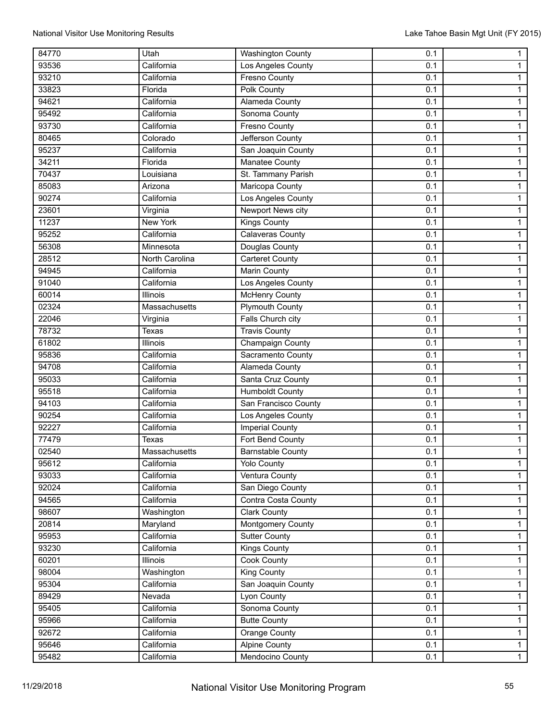| 84770 | Utah           | <b>Washington County</b> | 0.1 | $\mathbf{1}$   |
|-------|----------------|--------------------------|-----|----------------|
| 93536 | California     | Los Angeles County       | 0.1 | $\mathbf{1}$   |
| 93210 | California     | <b>Fresno County</b>     | 0.1 | 1              |
| 33823 | Florida        | <b>Polk County</b>       | 0.1 | $\mathbf{1}$   |
| 94621 | California     | Alameda County           | 0.1 | $\mathbf{1}$   |
| 95492 | California     | Sonoma County            | 0.1 | $\mathbf{1}$   |
| 93730 | California     | Fresno County            | 0.1 | $\mathbf{1}$   |
| 80465 | Colorado       | Jefferson County         | 0.1 | $\mathbf{1}$   |
| 95237 | California     | San Joaquin County       | 0.1 | $\mathbf{1}$   |
| 34211 | Florida        | <b>Manatee County</b>    | 0.1 | $\mathbf{1}$   |
| 70437 | Louisiana      | St. Tammany Parish       | 0.1 | $\mathbf{1}$   |
| 85083 | Arizona        | Maricopa County          | 0.1 | $\mathbf{1}$   |
| 90274 | California     | Los Angeles County       | 0.1 | $\mathbf{1}$   |
| 23601 | Virginia       | Newport News city        | 0.1 | $\mathbf{1}$   |
| 11237 | New York       | <b>Kings County</b>      | 0.1 | 1              |
| 95252 | California     | Calaveras County         | 0.1 | $\overline{1}$ |
| 56308 | Minnesota      | Douglas County           | 0.1 | $\mathbf{1}$   |
| 28512 | North Carolina | <b>Carteret County</b>   | 0.1 | $\mathbf{1}$   |
| 94945 | California     | <b>Marin County</b>      | 0.1 | $\mathbf{1}$   |
| 91040 | California     | Los Angeles County       | 0.1 | $\mathbf{1}$   |
| 60014 | Illinois       | <b>McHenry County</b>    | 0.1 | $\mathbf{1}$   |
| 02324 | Massachusetts  | <b>Plymouth County</b>   | 0.1 | $\mathbf{1}$   |
| 22046 | Virginia       | Falls Church city        | 0.1 | $\mathbf{1}$   |
| 78732 | Texas          | <b>Travis County</b>     | 0.1 | $\mathbf{1}$   |
| 61802 | Illinois       | Champaign County         | 0.1 | $\mathbf{1}$   |
| 95836 | California     | Sacramento County        | 0.1 | $\mathbf{1}$   |
| 94708 | California     | Alameda County           | 0.1 | 1              |
| 95033 | California     | Santa Cruz County        | 0.1 | $\mathbf{1}$   |
| 95518 | California     | <b>Humboldt County</b>   | 0.1 | $\mathbf{1}$   |
| 94103 | California     | San Francisco County     | 0.1 | $\mathbf{1}$   |
| 90254 | California     | Los Angeles County       | 0.1 | $\mathbf{1}$   |
| 92227 | California     | Imperial County          | 0.1 | $\mathbf{1}$   |
| 77479 | Texas          | Fort Bend County         | 0.1 | $\mathbf{1}$   |
| 02540 | Massachusetts  | <b>Barnstable County</b> | 0.1 | $\mathbf{1}$   |
| 95612 | California     | <b>Yolo County</b>       | 0.1 | $\mathbf{1}$   |
| 93033 | California     | Ventura County           | 0.1 | $\mathbf{1}$   |
| 92024 | California     | San Diego County         | 0.1 | $\mathbf{1}$   |
| 94565 | California     | Contra Costa County      | 0.1 | $\mathbf{1}$   |
| 98607 | Washington     | <b>Clark County</b>      | 0.1 | $\mathbf{1}$   |
| 20814 | Maryland       | Montgomery County        | 0.1 | $\overline{1}$ |
| 95953 | California     | <b>Sutter County</b>     | 0.1 | $\mathbf{1}$   |
| 93230 | California     | <b>Kings County</b>      | 0.1 | $\mathbf{1}$   |
| 60201 | Illinois       | Cook County              | 0.1 | $\mathbf{1}$   |
| 98004 | Washington     | <b>King County</b>       | 0.1 | $\mathbf{1}$   |
| 95304 | California     | San Joaquin County       | 0.1 | $\overline{1}$ |
| 89429 | Nevada         | Lyon County              | 0.1 | $\mathbf{1}$   |
| 95405 | California     | Sonoma County            | 0.1 | $\mathbf{1}$   |
| 95966 | California     | <b>Butte County</b>      | 0.1 | $\mathbf{1}$   |
| 92672 | California     | <b>Orange County</b>     | 0.1 | $\overline{1}$ |
| 95646 | California     | <b>Alpine County</b>     | 0.1 | $\mathbf{1}$   |
| 95482 | California     | Mendocino County         | 0.1 | $\overline{1}$ |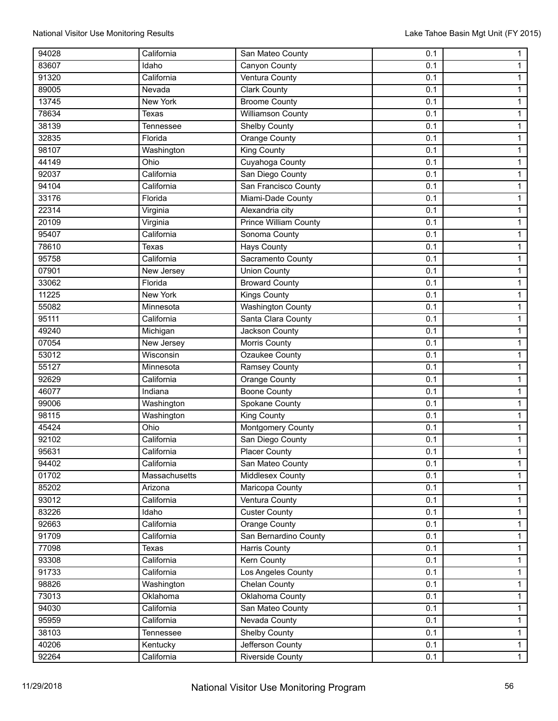| 94028 | California    | San Mateo County             | 0.1 | $\mathbf{1}$   |
|-------|---------------|------------------------------|-----|----------------|
| 83607 | Idaho         | Canyon County                | 0.1 | $\mathbf{1}$   |
| 91320 | California    | <b>Ventura County</b>        | 0.1 | $\mathbf{1}$   |
| 89005 | Nevada        | <b>Clark County</b>          | 0.1 | $\mathbf{1}$   |
| 13745 | New York      | <b>Broome County</b>         | 0.1 | $\mathbf{1}$   |
| 78634 | Texas         | Williamson County            | 0.1 | $\overline{1}$ |
| 38139 | Tennessee     | Shelby County                | 0.1 | $\mathbf{1}$   |
| 32835 | Florida       | Orange County                | 0.1 | $\mathbf{1}$   |
| 98107 | Washington    | <b>King County</b>           | 0.1 | $\mathbf{1}$   |
| 44149 | Ohio          | Cuyahoga County              | 0.1 | $\mathbf{1}$   |
| 92037 | California    | San Diego County             | 0.1 | $\mathbf{1}$   |
| 94104 | California    | San Francisco County         | 0.1 | $\mathbf{1}$   |
| 33176 | Florida       | Miami-Dade County            | 0.1 | $\mathbf{1}$   |
| 22314 | Virginia      | Alexandria city              | 0.1 | $\mathbf{1}$   |
| 20109 | Virginia      | <b>Prince William County</b> | 0.1 | $\overline{1}$ |
| 95407 | California    | Sonoma County                | 0.1 | $\mathbf{1}$   |
| 78610 | Texas         | <b>Hays County</b>           | 0.1 | 1              |
| 95758 | California    | Sacramento County            | 0.1 | $\overline{1}$ |
| 07901 | New Jersey    | <b>Union County</b>          | 0.1 | $\mathbf{1}$   |
| 33062 | Florida       | <b>Broward County</b>        | 0.1 | $\mathbf{1}$   |
| 11225 | New York      | <b>Kings County</b>          | 0.1 | $\mathbf{1}$   |
| 55082 | Minnesota     | <b>Washington County</b>     | 0.1 | 1              |
| 95111 | California    | Santa Clara County           | 0.1 | $\mathbf{1}$   |
| 49240 |               | Jackson County               | 0.1 | $\mathbf{1}$   |
| 07054 | Michigan      |                              | 0.1 |                |
|       | New Jersey    | Morris County                |     | $\mathbf{1}$   |
| 53012 | Wisconsin     | Ozaukee County               | 0.1 | $\mathbf{1}$   |
| 55127 | Minnesota     | Ramsey County                | 0.1 | $\mathbf{1}$   |
| 92629 | California    | Orange County                | 0.1 | $\mathbf{1}$   |
| 46077 | Indiana       | <b>Boone County</b>          | 0.1 | $\mathbf{1}$   |
| 99006 | Washington    | Spokane County               | 0.1 | $\overline{1}$ |
| 98115 | Washington    | King County                  | 0.1 | $\mathbf{1}$   |
| 45424 | Ohio          | Montgomery County            | 0.1 | $\mathbf{1}$   |
| 92102 | California    | San Diego County             | 0.1 | $\mathbf{1}$   |
| 95631 | California    | <b>Placer County</b>         | 0.1 | $\mathbf{1}$   |
| 94402 | California    | San Mateo County             | 0.1 | $\mathbf{1}$   |
| 01702 | Massachusetts | Middlesex County             | 0.1 | $\mathbf{1}$   |
| 85202 | Arizona       | Maricopa County              | 0.1 | $\mathbf{1}$   |
| 93012 | California    | Ventura County               | 0.1 | $\mathbf{1}$   |
| 83226 | Idaho         | <b>Custer County</b>         | 0.1 | $\overline{1}$ |
| 92663 | California    | Orange County                | 0.1 | $\mathbf{1}$   |
| 91709 | California    | San Bernardino County        | 0.1 | 1              |
| 77098 | Texas         | Harris County                | 0.1 | $\mathbf{1}$   |
| 93308 | California    | <b>Kern County</b>           | 0.1 | $\mathbf{1}$   |
| 91733 | California    | Los Angeles County           | 0.1 | $\overline{1}$ |
| 98826 | Washington    | Chelan County                | 0.1 | $\overline{1}$ |
| 73013 | Oklahoma      | Oklahoma County              | 0.1 | $\mathbf{1}$   |
| 94030 | California    | San Mateo County             | 0.1 | $\mathbf{1}$   |
| 95959 | California    | Nevada County                | 0.1 | $\mathbf{1}$   |
| 38103 | Tennessee     | Shelby County                | 0.1 | $\mathbf{1}$   |
| 40206 | Kentucky      | Jefferson County             | 0.1 | $\mathbf{1}$   |
| 92264 | California    | Riverside County             | 0.1 | $\overline{1}$ |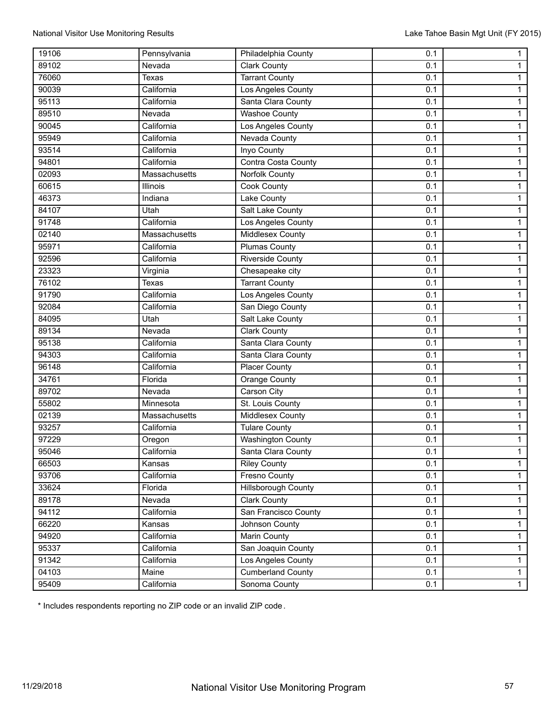| 19106 | Pennsylvania  | Philadelphia County      | 0.1 | $\mathbf{1}$   |
|-------|---------------|--------------------------|-----|----------------|
| 89102 | Nevada        | <b>Clark County</b>      | 0.1 | $\mathbf{1}$   |
| 76060 | Texas         | <b>Tarrant County</b>    | 0.1 | $\mathbf{1}$   |
| 90039 | California    | Los Angeles County       | 0.1 | $\mathbf{1}$   |
| 95113 | California    | Santa Clara County       | 0.1 | $\mathbf{1}$   |
| 89510 | Nevada        | <b>Washoe County</b>     | 0.1 | $\mathbf{1}$   |
| 90045 | California    | Los Angeles County       | 0.1 | $\mathbf{1}$   |
| 95949 | California    | Nevada County            | 0.1 | $\mathbf{1}$   |
| 93514 | California    | <b>Inyo County</b>       | 0.1 | $\mathbf{1}$   |
| 94801 | California    | Contra Costa County      | 0.1 | $\mathbf{1}$   |
| 02093 | Massachusetts | Norfolk County           | 0.1 | $\mathbf{1}$   |
| 60615 | Illinois      | Cook County              | 0.1 | $\overline{1}$ |
| 46373 | Indiana       | Lake County              | 0.1 | $\mathbf{1}$   |
| 84107 | Utah          | Salt Lake County         | 0.1 | $\mathbf{1}$   |
| 91748 | California    | Los Angeles County       | 0.1 | $\mathbf{1}$   |
| 02140 | Massachusetts | Middlesex County         | 0.1 | $\mathbf{1}$   |
| 95971 | California    | Plumas County            | 0.1 | $\mathbf{1}$   |
| 92596 | California    | <b>Riverside County</b>  | 0.1 | $\mathbf{1}$   |
| 23323 | Virginia      | Chesapeake city          | 0.1 | $\mathbf{1}$   |
| 76102 | Texas         | <b>Tarrant County</b>    | 0.1 | $\mathbf{1}$   |
| 91790 | California    | Los Angeles County       | 0.1 | $\mathbf{1}$   |
| 92084 | California    | San Diego County         | 0.1 | $\mathbf{1}$   |
| 84095 | Utah          | Salt Lake County         | 0.1 | $\mathbf{1}$   |
| 89134 | Nevada        | <b>Clark County</b>      | 0.1 | $\mathbf{1}$   |
| 95138 | California    | Santa Clara County       | 0.1 | $\mathbf{1}$   |
| 94303 | California    | Santa Clara County       | 0.1 | $\mathbf{1}$   |
| 96148 | California    | <b>Placer County</b>     | 0.1 | $\mathbf{1}$   |
| 34761 | Florida       | Orange County            | 0.1 | $\mathbf{1}$   |
| 89702 | Nevada        | Carson City              | 0.1 | $\mathbf{1}$   |
| 55802 | Minnesota     | St. Louis County         | 0.1 | $\mathbf{1}$   |
| 02139 | Massachusetts | Middlesex County         | 0.1 | $\overline{1}$ |
| 93257 | California    | <b>Tulare County</b>     | 0.1 | $\mathbf{1}$   |
| 97229 | Oregon        | <b>Washington County</b> | 0.1 | $\mathbf{1}$   |
| 95046 | California    | Santa Clara County       | 0.1 | $\mathbf{1}$   |
| 66503 | Kansas        | <b>Riley County</b>      | 0.1 | $\mathbf{1}$   |
| 93706 | California    | <b>Fresno County</b>     | 0.1 | $\mathbf{1}$   |
| 33624 | Florida       | Hillsborough County      | 0.1 | $\mathbf{1}$   |
| 89178 | Nevada        | <b>Clark County</b>      | 0.1 | $\mathbf{1}$   |
| 94112 | California    | San Francisco County     | 0.1 | $\mathbf{1}$   |
| 66220 | Kansas        | Johnson County           | 0.1 | $\mathbf{1}$   |
| 94920 | California    | Marin County             | 0.1 | $\mathbf{1}$   |
| 95337 | California    | San Joaquin County       | 0.1 | $\mathbf{1}$   |
| 91342 | California    | Los Angeles County       | 0.1 | $\mathbf{1}$   |
| 04103 | Maine         | <b>Cumberland County</b> | 0.1 | $\mathbf{1}$   |
| 95409 | California    | Sonoma County            | 0.1 | $\overline{1}$ |

\* Includes respondents reporting no ZIP code or an invalid ZIP code.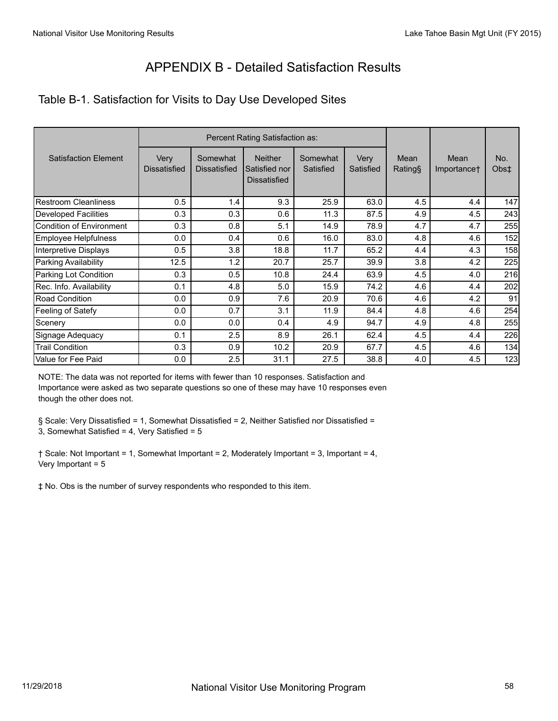# APPENDIX B - Detailed Satisfaction Results

#### Table B-1. Satisfaction for Visits to Day Use Developed Sites

|                             |                             | Percent Rating Satisfaction as: |                                                        |                       |                   |                 |                     |             |
|-----------------------------|-----------------------------|---------------------------------|--------------------------------------------------------|-----------------------|-------------------|-----------------|---------------------|-------------|
| <b>Satisfaction Element</b> | Very<br><b>Dissatisfied</b> | Somewhat<br><b>Dissatisfied</b> | <b>Neither</b><br>Satisfied nor<br><b>Dissatisfied</b> | Somewhat<br>Satisfied | Very<br>Satisfied | Mean<br>Rating§ | Mean<br>Importance† | No.<br>Obs‡ |
| <b>Restroom Cleanliness</b> | 0.5                         | 1.4                             | 9.3                                                    | 25.9                  | 63.0              | 4.5             | 4.4                 | 147         |
| <b>Developed Facilities</b> | 0.3                         | 0.3                             | 0.6                                                    | 11.3                  | 87.5              | 4.9             | 4.5                 | 243         |
| Condition of Environment    | 0.3                         | 0.8                             | 5.1                                                    | 14.9                  | 78.9              | 4.7             | 4.7                 | 255         |
| Employee Helpfulness        | 0.0                         | 0.4                             | 0.6                                                    | 16.0                  | 83.0              | 4.8             | 4.6                 | 152         |
| Interpretive Displays       | 0.5                         | 3.8                             | 18.8                                                   | 11.7                  | 65.2              | 4.4             | 4.3                 | 158         |
| Parking Availability        | 12.5                        | 1.2                             | 20.7                                                   | 25.7                  | 39.9              | 3.8             | 4.2                 | 225         |
| Parking Lot Condition       | 0.3                         | 0.5                             | 10.8                                                   | 24.4                  | 63.9              | 4.5             | 4.0                 | 216         |
| Rec. Info. Availability     | 0.1                         | 4.8                             | 5.0                                                    | 15.9                  | 74.2              | 4.6             | 4.4                 | 202         |
| Road Condition              | 0.0                         | 0.9                             | 7.6                                                    | 20.9                  | 70.6              | 4.6             | 4.2                 | 91          |
| Feeling of Satefy           | 0.0                         | 0.7                             | 3.1                                                    | 11.9                  | 84.4              | 4.8             | 4.6                 | 254         |
| Scenery                     | 0.0                         | 0.0                             | 0.4                                                    | 4.9                   | 94.7              | 4.9             | 4.8                 | 255         |
| Signage Adequacy            | 0.1                         | 2.5                             | 8.9                                                    | 26.1                  | 62.4              | 4.5             | 4.4                 | 226         |
| <b>Trail Condition</b>      | 0.3                         | 0.9                             | 10.2                                                   | 20.9                  | 67.7              | 4.5             | 4.6                 | 134         |
| Value for Fee Paid          | 0.0                         | 2.5                             | 31.1                                                   | 27.5                  | 38.8              | 4.0             | 4.5                 | 123         |

NOTE: The data was not reported for items with fewer than 10 responses. Satisfaction and Importance were asked as two separate questions so one of these may have 10 responses even though the other does not.

§ Scale: Very Dissatisfied = 1, Somewhat Dissatisfied = 2, Neither Satisfied nor Dissatisfied = 3, Somewhat Satisfied = 4, Very Satisfied = 5

† Scale: Not Important = 1, Somewhat Important = 2, Moderately Important = 3, Important = 4, Very Important = 5

‡ No. Obs is the number of survey respondents who responded to this item.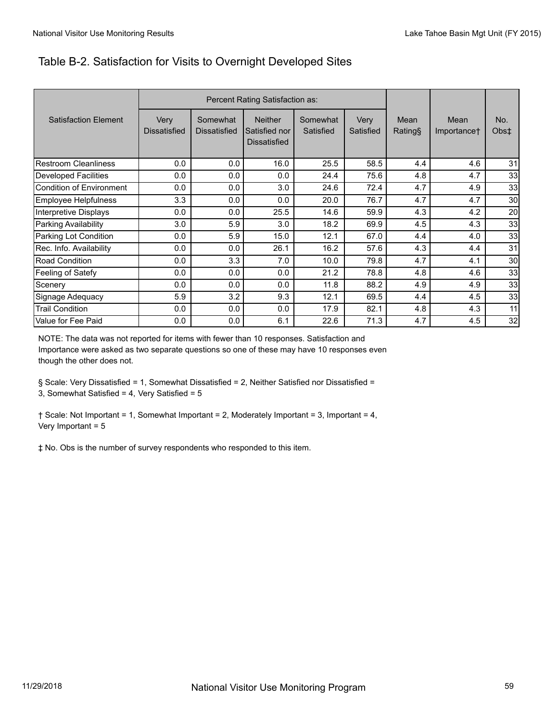#### Table B-2. Satisfaction for Visits to Overnight Developed Sites

|                             |                             |                                 | Percent Rating Satisfaction as:                 |                       |                   |                 |                     |             |
|-----------------------------|-----------------------------|---------------------------------|-------------------------------------------------|-----------------------|-------------------|-----------------|---------------------|-------------|
| <b>Satisfaction Element</b> | Very<br><b>Dissatisfied</b> | Somewhat<br><b>Dissatisfied</b> | <b>Neither</b><br>Satisfied nor<br>Dissatisfied | Somewhat<br>Satisfied | Very<br>Satisfied | Mean<br>Rating§ | Mean<br>Importance† | No.<br>Obs‡ |
| <b>Restroom Cleanliness</b> | 0.0                         | 0.0                             | 16.0                                            | 25.5                  | 58.5              | 4.4             | 4.6                 | 31          |
| <b>Developed Facilities</b> | 0.0                         | 0.0                             | 0.0                                             | 24.4                  | 75.6              | 4.8             | 4.7                 | 33          |
| Condition of Environment    | 0.0                         | 0.0                             | 3.0                                             | 24.6                  | 72.4              | 4.7             | 4.9                 | 33          |
| Employee Helpfulness        | 3.3                         | 0.0                             | 0.0                                             | 20.0                  | 76.7              | 4.7             | 4.7                 | 30          |
| Interpretive Displays       | 0.0                         | 0.0                             | 25.5                                            | 14.6                  | 59.9              | 4.3             | 4.2                 | 20          |
| Parking Availability        | 3.0                         | 5.9                             | 3.0                                             | 18.2                  | 69.9              | 4.5             | 4.3                 | 33          |
| Parking Lot Condition       | 0.0                         | 5.9                             | 15.0                                            | 12.1                  | 67.0              | 4.4             | 4.0                 | 33          |
| Rec. Info. Availability     | 0.0                         | 0.0                             | 26.1                                            | 16.2                  | 57.6              | 4.3             | 4.4                 | 31          |
| Road Condition              | 0.0                         | 3.3                             | 7.0                                             | 10.0                  | 79.8              | 4.7             | 4.1                 | 30          |
| Feeling of Satefy           | 0.0                         | 0.0                             | 0.0                                             | 21.2                  | 78.8              | 4.8             | 4.6                 | 33          |
| Scenery                     | 0.0                         | 0.0                             | 0.0                                             | 11.8                  | 88.2              | 4.9             | 4.9                 | 33          |
| Signage Adequacy            | 5.9                         | 3.2                             | 9.3                                             | 12.1                  | 69.5              | 4.4             | 4.5                 | 33          |
| <b>Trail Condition</b>      | 0.0                         | 0.0                             | 0.0                                             | 17.9                  | 82.1              | 4.8             | 4.3                 | 11          |
| Value for Fee Paid          | 0.0                         | 0.0                             | 6.1                                             | 22.6                  | 71.3              | 4.7             | 4.5                 | 32          |

NOTE: The data was not reported for items with fewer than 10 responses. Satisfaction and Importance were asked as two separate questions so one of these may have 10 responses even though the other does not.

§ Scale: Very Dissatisfied = 1, Somewhat Dissatisfied = 2, Neither Satisfied nor Dissatisfied = 3, Somewhat Satisfied = 4, Very Satisfied = 5

† Scale: Not Important = 1, Somewhat Important = 2, Moderately Important = 3, Important = 4, Very Important = 5

‡ No. Obs is the number of survey respondents who responded to this item.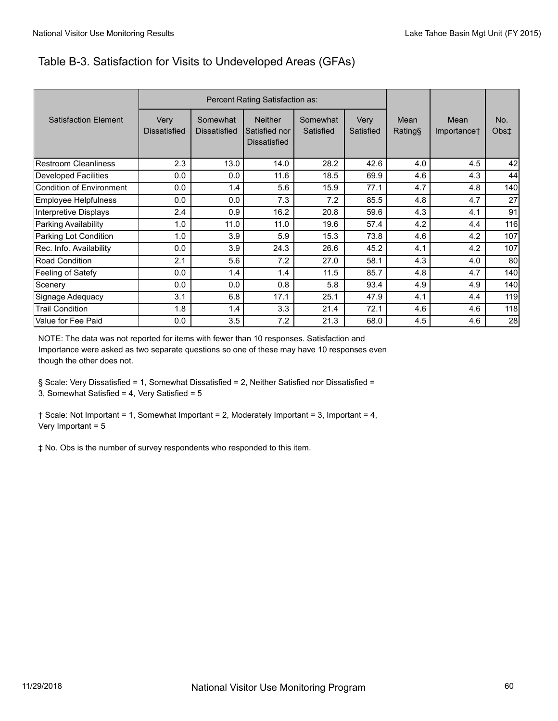#### Table B-3. Satisfaction for Visits to Undeveloped Areas (GFAs)

|                             | Percent Rating Satisfaction as: |                                 |                                                        |                       |                   |                |                     |             |
|-----------------------------|---------------------------------|---------------------------------|--------------------------------------------------------|-----------------------|-------------------|----------------|---------------------|-------------|
| <b>Satisfaction Element</b> | Very<br><b>Dissatisfied</b>     | Somewhat<br><b>Dissatisfied</b> | <b>Neither</b><br>Satisfied nor<br><b>Dissatisfied</b> | Somewhat<br>Satisfied | Very<br>Satisfied | Mean<br>Rating | Mean<br>Importance† | No.<br>Obs‡ |
| Restroom Cleanliness        | 2.3                             | 13.0                            | 14.0                                                   | 28.2                  | 42.6              | 4.0            | 4.5                 | 42          |
| <b>Developed Facilities</b> | 0.0                             | 0.0                             | 11.6                                                   | 18.5                  | 69.9              | 4.6            | 4.3                 | 44          |
| Condition of Environment    | 0.0                             | 1.4                             | 5.6                                                    | 15.9                  | 77.1              | 4.7            | 4.8                 | 140         |
| Employee Helpfulness        | 0.0                             | 0.0                             | 7.3                                                    | 7.2                   | 85.5              | 4.8            | 4.7                 | 27          |
| Interpretive Displays       | 2.4                             | 0.9                             | 16.2                                                   | 20.8                  | 59.6              | 4.3            | 4.1                 | 91          |
| Parking Availability        | 1.0                             | 11.0                            | 11.0                                                   | 19.6                  | 57.4              | 4.2            | 4.4                 | 116         |
| Parking Lot Condition       | 1.0                             | 3.9                             | 5.9                                                    | 15.3                  | 73.8              | 4.6            | 4.2                 | 107         |
| Rec. Info. Availability     | 0.0                             | 3.9                             | 24.3                                                   | 26.6                  | 45.2              | 4.1            | 4.2                 | 107         |
| Road Condition              | 2.1                             | 5.6                             | 7.2                                                    | 27.0                  | 58.1              | 4.3            | 4.0                 | 80          |
| Feeling of Satefy           | 0.0                             | 1.4                             | 1.4                                                    | 11.5                  | 85.7              | 4.8            | 4.7                 | 140         |
| Scenery                     | 0.0                             | 0.0                             | 0.8                                                    | 5.8                   | 93.4              | 4.9            | 4.9                 | 140         |
| Signage Adequacy            | 3.1                             | 6.8                             | 17.1                                                   | 25.1                  | 47.9              | 4.1            | 4.4                 | 119         |
| <b>Trail Condition</b>      | 1.8                             | 1.4                             | 3.3                                                    | 21.4                  | 72.1              | 4.6            | 4.6                 | 118         |
| Value for Fee Paid          | 0.0                             | 3.5                             | 7.2                                                    | 21.3                  | 68.0              | 4.5            | 4.6                 | 28          |

NOTE: The data was not reported for items with fewer than 10 responses. Satisfaction and Importance were asked as two separate questions so one of these may have 10 responses even though the other does not.

§ Scale: Very Dissatisfied = 1, Somewhat Dissatisfied = 2, Neither Satisfied nor Dissatisfied = 3, Somewhat Satisfied = 4, Very Satisfied = 5

† Scale: Not Important = 1, Somewhat Important = 2, Moderately Important = 3, Important = 4, Very Important = 5

‡ No. Obs is the number of survey respondents who responded to this item.